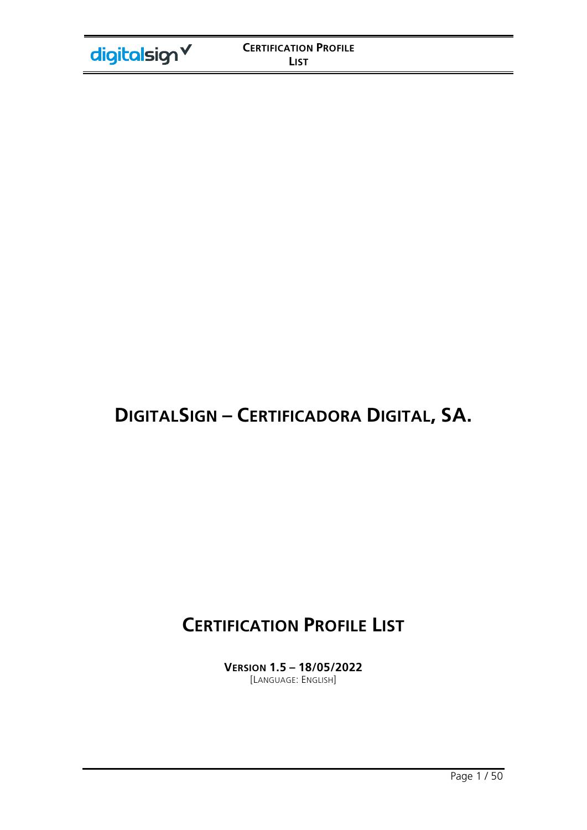# **DIGITALSIGN – CERTIFICADORA DIGITAL, SA.**

# **CERTIFICATION PROFILE LIST**

**VERSION 1.5 – 18/05/2022**  [LANGUAGE: ENGLISH]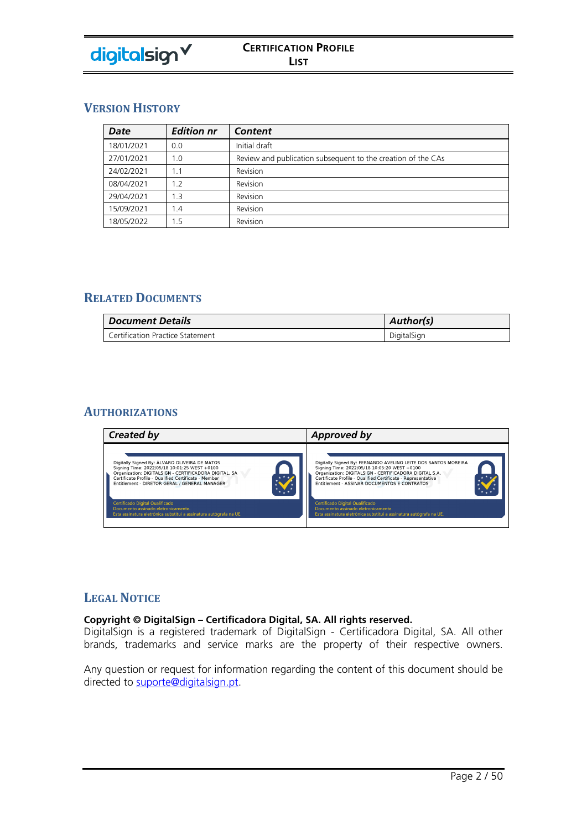

# **VERSION HISTORY**

| Date       | <b>Edition nr</b> | Content                                                      |
|------------|-------------------|--------------------------------------------------------------|
| 18/01/2021 | 0.0               | Initial draft                                                |
| 27/01/2021 | 1.0               | Review and publication subsequent to the creation of the CAs |
| 24/02/2021 | 1.1               | Revision                                                     |
| 08/04/2021 | 1.2               | Revision                                                     |
| 29/04/2021 | 1.3               | Revision                                                     |
| 15/09/2021 | 1.4               | Revision                                                     |
| 18/05/2022 | 1.5               | Revision                                                     |

# **RELATED DOCUMENTS**

| <b>Document Details</b>          | <b>Author(s)</b> |
|----------------------------------|------------------|
| Certification Practice Statement | DigitalSign      |

### **AUTHORIZATIONS**



### **LEGAL NOTICE**

#### **Copyright © DigitalSign – Certificadora Digital, SA. All rights reserved.**

DigitalSign is a registered trademark of DigitalSign - Certificadora Digital, SA. All other brands, trademarks and service marks are the property of their respective owners.

Any question or request for information regarding the content of this document should be directed to suporte@digitalsign.pt.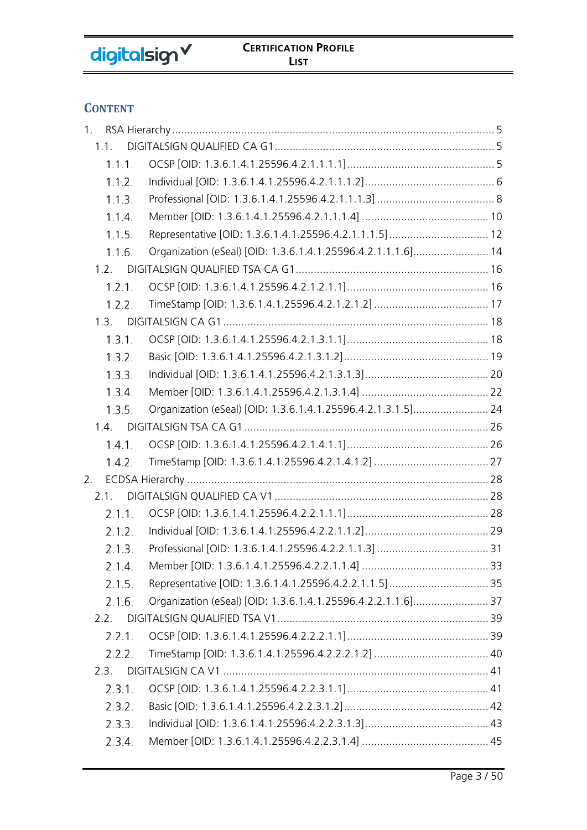# **CONTENT**

| 1 <sub>1</sub> |        |                                                              |  |
|----------------|--------|--------------------------------------------------------------|--|
| 1.1.           |        |                                                              |  |
|                | 1.1.1. |                                                              |  |
| 1.1.2.         |        |                                                              |  |
| 1.1.3.         |        |                                                              |  |
| 1.1.4.         |        |                                                              |  |
| 1.1.5.         |        |                                                              |  |
| 1.1.6.         |        | Organization (eSeal) [OID: 1.3.6.1.4.1.25596.4.2.1.1.1.6] 14 |  |
| 1.2.           |        |                                                              |  |
| 1.2.1.         |        |                                                              |  |
| 1.2.2.         |        |                                                              |  |
| 1.3.           |        |                                                              |  |
| 1.3.1.         |        |                                                              |  |
| 1.3.2.         |        |                                                              |  |
| 1.3.3.         |        |                                                              |  |
| 1.3.4.         |        |                                                              |  |
| 1.3.5.         |        | Organization (eSeal) [OID: 1.3.6.1.4.1.25596.4.2.1.3.1.5] 24 |  |
| 1.4.           |        |                                                              |  |
| 1.4.1.         |        |                                                              |  |
| 1.4.2.         |        |                                                              |  |
| 2.             |        |                                                              |  |
| 2.1.           |        |                                                              |  |
| 2.1.1.         |        |                                                              |  |
| 2.1.2.         |        |                                                              |  |
| 2.1.3.         |        |                                                              |  |
|                | 2.1.4. |                                                              |  |
| 2.1.5.         |        |                                                              |  |
| 2.1.6.         |        |                                                              |  |
| 2.2.           |        |                                                              |  |
| 2.2.1.         |        |                                                              |  |
| 2.2.2.         |        |                                                              |  |
| 2.3.           |        |                                                              |  |
| 2.3.1.         |        |                                                              |  |
| 2.3.2.         |        |                                                              |  |
| 2.3.3.         |        |                                                              |  |
| 2.3.4.         |        |                                                              |  |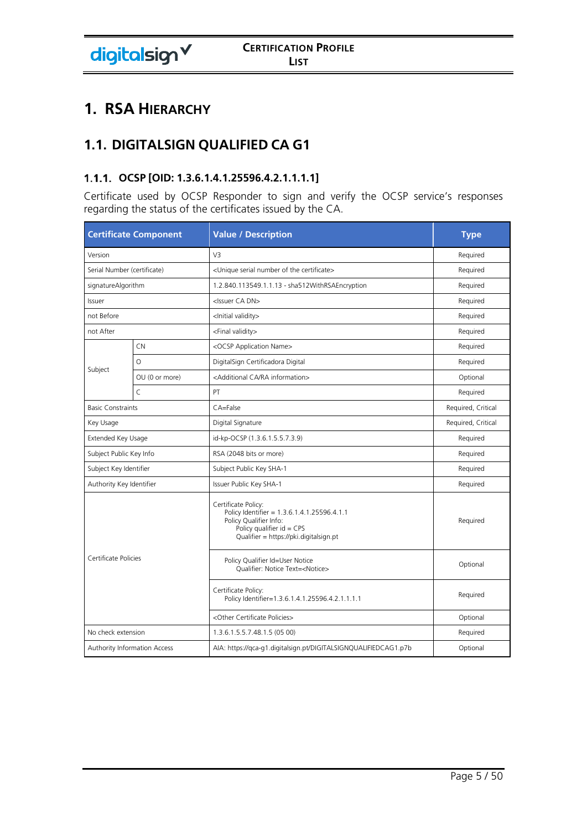# **1. RSA HIERARCHY**

# **1.1. DIGITALSIGN QUALIFIED CA G1**

# **OCSP [OID: 1.3.6.1.4.1.25596.4.2.1.1.1.1]**

Certificate used by OCSP Responder to sign and verify the OCSP service's responses regarding the status of the certificates issued by the CA.

| <b>Certificate Component</b> |                              | <b>Value / Description</b>                                                                                                                                            | <b>Type</b>        |
|------------------------------|------------------------------|-----------------------------------------------------------------------------------------------------------------------------------------------------------------------|--------------------|
| Version                      |                              | V <sub>3</sub>                                                                                                                                                        | Required           |
| Serial Number (certificate)  |                              | <unique certificate="" number="" of="" serial="" the=""></unique>                                                                                                     | Required           |
| signatureAlgorithm           |                              | 1.2.840.113549.1.1.13 - sha512WithRSAEncryption                                                                                                                       | Required           |
| Issuer                       |                              | <issuer ca="" dn=""></issuer>                                                                                                                                         | Required           |
| not Before                   |                              | <lnitial validity=""></lnitial>                                                                                                                                       | Required           |
| not After                    |                              | <final validity=""></final>                                                                                                                                           | Required           |
|                              | CN                           | <ocsp application="" name=""></ocsp>                                                                                                                                  | Required           |
|                              | $\circ$                      | DigitalSign Certificadora Digital                                                                                                                                     | Required           |
| Subject                      | OU (0 or more)               | <additional ca="" information="" ra=""></additional>                                                                                                                  | Optional           |
|                              | $\mathsf{C}$                 | PT                                                                                                                                                                    | Required           |
| <b>Basic Constraints</b>     |                              | CA=False                                                                                                                                                              | Required, Critical |
| Key Usage                    |                              | Digital Signature                                                                                                                                                     | Required, Critical |
| Extended Key Usage           |                              | id-kp-OCSP (1.3.6.1.5.5.7.3.9)                                                                                                                                        | Required           |
| Subject Public Key Info      |                              | RSA (2048 bits or more)                                                                                                                                               | Required           |
| Subject Key Identifier       |                              | Subject Public Key SHA-1                                                                                                                                              | Required           |
| Authority Key Identifier     |                              | Issuer Public Key SHA-1                                                                                                                                               | Required           |
|                              |                              | Certificate Policy:<br>Policy Identifier = 1.3.6.1.4.1.25596.4.1.1<br>Policy Qualifier Info:<br>Policy qualifier $id = CPS$<br>Qualifier = https://pki.digitalsign.pt | Required           |
| Certificate Policies         |                              | Policy Qualifier Id=User Notice<br>Qualifier: Notice Text= <notice></notice>                                                                                          | Optional           |
|                              |                              | Certificate Policy:<br>Policy Identifier=1.3.6.1.4.1.25596.4.2.1.1.1.1                                                                                                | Required           |
|                              |                              | <other certificate="" policies=""></other>                                                                                                                            | Optional           |
| No check extension           |                              | 1.3.6.1.5.5.7.48.1.5 (05 00)                                                                                                                                          | Required           |
|                              | Authority Information Access | AIA: https://qca-q1.digitalsign.pt/DIGITALSIGNQUALIFIEDCAG1.p7b                                                                                                       | Optional           |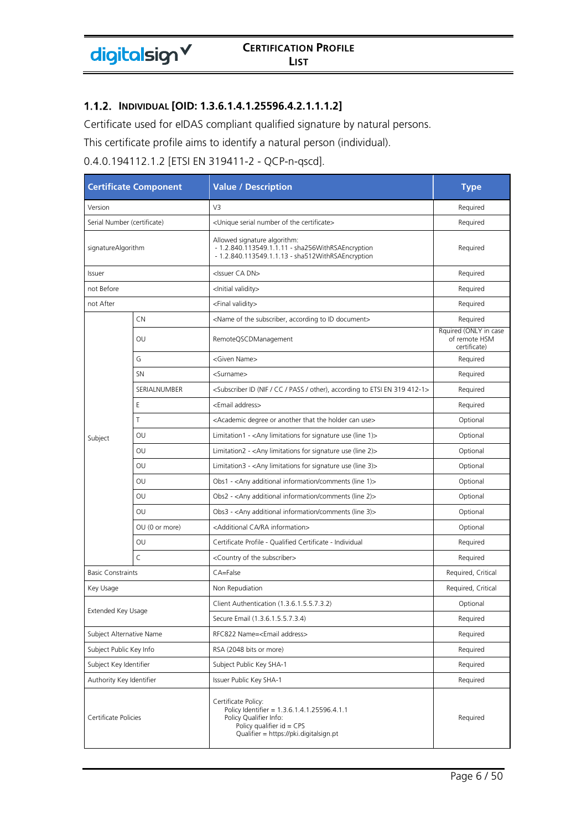#### **INDIVIDUAL [OID: 1.3.6.1.4.1.25596.4.2.1.1.1.2]**

Certificate used for eIDAS compliant qualified signature by natural persons.

This certificate profile aims to identify a natural person (individual).

0.4.0.194112.1.2 [ETSI EN 319411-2 - QCP-n-qscd].

| <b>Certificate Component</b> |                | <b>Value / Description</b>                                                                                                                                            | <b>Type</b>                                            |
|------------------------------|----------------|-----------------------------------------------------------------------------------------------------------------------------------------------------------------------|--------------------------------------------------------|
| Version                      |                | V3                                                                                                                                                                    | Required                                               |
| Serial Number (certificate)  |                | <unique certificate="" number="" of="" serial="" the=""></unique>                                                                                                     | Required                                               |
| signatureAlgorithm           |                | Allowed signature algorithm:<br>- 1.2.840.113549.1.1.11 - sha256WithRSAEncryption<br>- 1.2.840.113549.1.1.13 - sha512WithRSAEncryption                                | Required                                               |
| Issuer                       |                | <issuer ca="" dn=""></issuer>                                                                                                                                         | Required                                               |
| not Before                   |                | <lnitial validity=""></lnitial>                                                                                                                                       | Required                                               |
| not After                    |                | <final validity=""></final>                                                                                                                                           | Required                                               |
|                              | CN             | <name according="" document="" id="" of="" subscriber,="" the="" to=""></name>                                                                                        | Required                                               |
|                              | OU             | RemoteQSCDManagement                                                                                                                                                  | Rquired (ONLY in case<br>of remote HSM<br>certificate) |
|                              | G              | <given name=""></given>                                                                                                                                               | Required                                               |
|                              | <b>SN</b>      | <surname></surname>                                                                                                                                                   | Required                                               |
|                              | SERIALNUMBER   | <subscriber (nif="" 319="" 412-1="" according="" cc="" en="" etsi="" id="" other),="" pass="" to=""></subscriber>                                                     | Required                                               |
|                              | Ε              | <email address=""></email>                                                                                                                                            | Required                                               |
|                              | Τ              | <academic another="" can="" degree="" holder="" or="" that="" the="" use=""></academic>                                                                               | Optional                                               |
| Subject                      | OU             | Limitation1 - $\langle$ Any limitations for signature use (line 1) $>$                                                                                                | Optional                                               |
|                              | OU             | Limitation2 - < Any limitations for signature use (line 2) >                                                                                                          | Optional                                               |
|                              | OU             | Limitation3 - $\langle$ Any limitations for signature use (line 3) $>$                                                                                                | Optional                                               |
|                              | OU             | Obs1 - <any (line="" 1)="" additional="" comments="" information=""></any>                                                                                            | Optional                                               |
|                              | OU             | Obs2 - <any (line="" 2)="" additional="" comments="" information=""></any>                                                                                            | Optional                                               |
|                              | OU             | Obs3 - <any (line="" 3)="" additional="" comments="" information=""></any>                                                                                            | Optional                                               |
|                              | OU (0 or more) | <additional ca="" information="" ra=""></additional>                                                                                                                  | Optional                                               |
|                              | OU             | Certificate Profile - Qualified Certificate - Individual                                                                                                              | Required                                               |
|                              | $\mathsf{C}$   | <country of="" subscriber="" the=""></country>                                                                                                                        | Required                                               |
| <b>Basic Constraints</b>     |                | CA=False                                                                                                                                                              | Required, Critical                                     |
| Key Usage                    |                | Non Repudiation                                                                                                                                                       | Required, Critical                                     |
|                              |                | Client Authentication (1.3.6.1.5.5.7.3.2)                                                                                                                             | Optional                                               |
| Extended Key Usage           |                | Secure Email (1.3.6.1.5.5.7.3.4)                                                                                                                                      | <b>Required</b>                                        |
| Subject Alternative Name     |                | RFC822 Name= <email address=""></email>                                                                                                                               | Required                                               |
| Subject Public Key Info      |                | RSA (2048 bits or more)                                                                                                                                               | Required                                               |
| Subject Key Identifier       |                | Subject Public Key SHA-1                                                                                                                                              | Required                                               |
| Authority Key Identifier     |                | Issuer Public Key SHA-1                                                                                                                                               | Required                                               |
| Certificate Policies         |                | Certificate Policy:<br>Policy Identifier = 1.3.6.1.4.1.25596.4.1.1<br>Policy Qualifier Info:<br>Policy qualifier $id = CPS$<br>Qualifier = https://pki.digitalsign.pt | Required                                               |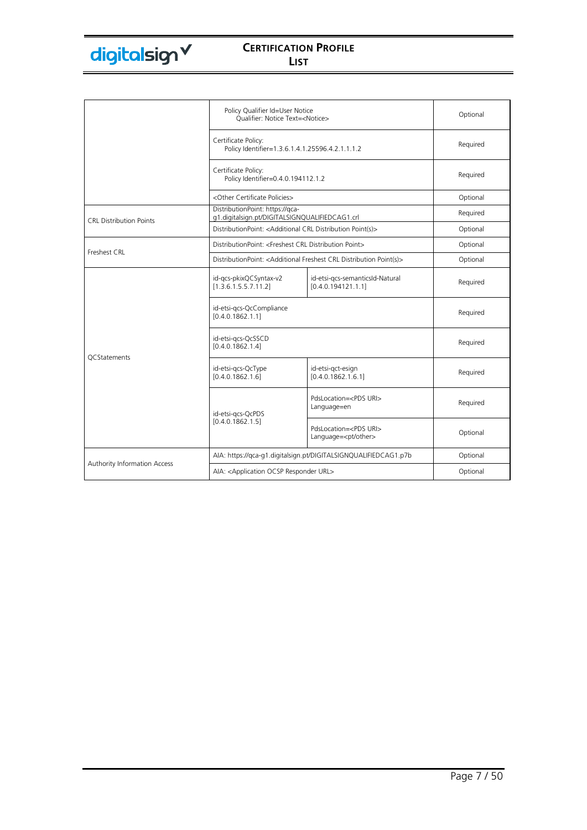|                                | Policy Qualifier Id=User Notice<br>Oualifier: Notice Text= <notice></notice>      |                                                                                             | Optional |
|--------------------------------|-----------------------------------------------------------------------------------|---------------------------------------------------------------------------------------------|----------|
|                                | Certificate Policy:<br>Policy Identifier=1.3.6.1.4.1.25596.4.2.1.1.1.2            |                                                                                             | Required |
|                                | Certificate Policy:<br>Policy Identifier=0.4.0.194112.1.2                         |                                                                                             | Required |
|                                | <other certificate="" policies=""></other>                                        |                                                                                             | Optional |
| <b>CRL Distribution Points</b> | DistributionPoint: https://gca-<br>g1.digitalsign.pt/DIGITALSIGNQUALIFIEDCAG1.crl |                                                                                             | Required |
|                                | DistributionPoint: <additional crl="" distribution="" point(s)=""></additional>   |                                                                                             | Optional |
| Freshest CRL                   | DistributionPoint: <freshest crl="" distribution="" point=""></freshest>          |                                                                                             | Optional |
|                                |                                                                                   | DistributionPoint: <additional crl="" distribution="" freshest="" point(s)=""></additional> | Optional |
|                                | id-gcs-pkixQCSyntax-v2<br>[1.3.6.1.5.5.7.11.2]                                    | id-etsi-gcs-semanticsId-Natural<br>[0.4.0.194121.1.1]                                       | Required |
|                                | id-etsi-gcs-QcCompliance<br>[0.4.0.1862.1.1]                                      |                                                                                             | Required |
| <b>OCStatements</b>            | id-etsi-gcs-QcSSCD<br>[0.4.0.1862.1.4]                                            |                                                                                             | Required |
|                                | id-etsi-gcs-QcType<br>[0.4.0.1862.1.6]                                            | id-etsi-gct-esign<br>[0.4.0.1862.1.6.1]                                                     | Required |
|                                | id-etsi-gcs-QcPDS                                                                 | PdsLocation= <pds uri=""><br/>Language=en</pds>                                             | Required |
|                                | [0.4.0.1862.1.5]                                                                  | PdsLocation= <pds uri=""><br/>Language=<pt other=""></pt></pds>                             | Optional |
|                                | AIA: https://qca-g1.digitalsign.pt/DIGITALSIGNQUALIFIEDCAG1.p7b                   |                                                                                             | Optional |
| Authority Information Access   | AIA: <application ocsp="" responder="" url=""></application>                      |                                                                                             | Optional |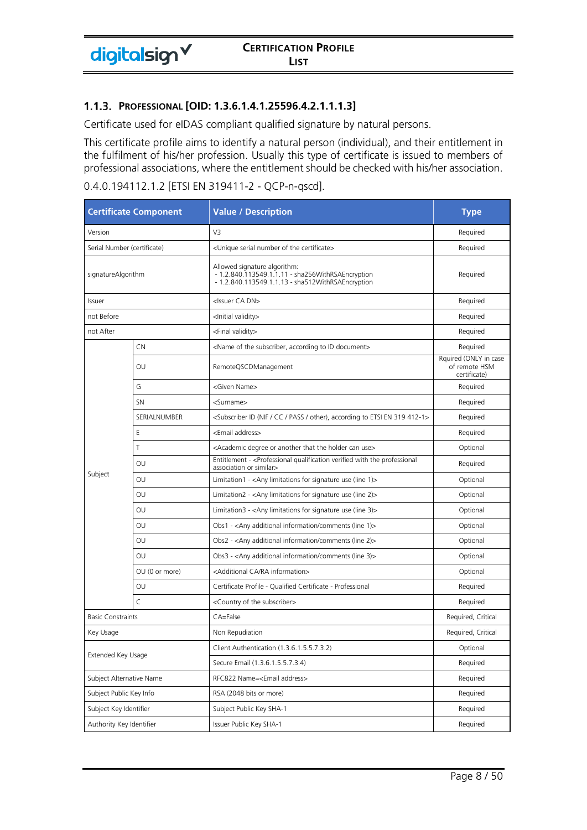Certificate used for eIDAS compliant qualified signature by natural persons.

This certificate profile aims to identify a natural person (individual), and their entitlement in the fulfilment of his/her profession. Usually this type of certificate is issued to members of professional associations, where the entitlement should be checked with his/her association.

| <b>Certificate Component</b> |                | <b>Value / Description</b>                                                                                                             | <b>Type</b>                                            |
|------------------------------|----------------|----------------------------------------------------------------------------------------------------------------------------------------|--------------------------------------------------------|
| Version                      |                | V3                                                                                                                                     | Required                                               |
| Serial Number (certificate)  |                | <unique certificate="" number="" of="" serial="" the=""></unique>                                                                      | Required                                               |
| signatureAlgorithm           |                | Allowed signature algorithm:<br>- 1.2.840.113549.1.1.11 - sha256WithRSAEncryption<br>- 1.2.840.113549.1.1.13 - sha512WithRSAEncryption | Required                                               |
| Issuer                       |                | <issuer ca="" dn=""></issuer>                                                                                                          | Required                                               |
| not Before                   |                | <lnitial validity=""></lnitial>                                                                                                        | Required                                               |
| not After                    |                | <final validity=""></final>                                                                                                            | Required                                               |
|                              | CN             | <name according="" document="" id="" of="" subscriber,="" the="" to=""></name>                                                         | Required                                               |
|                              | OU             | RemoteQSCDManagement                                                                                                                   | Rquired (ONLY in case<br>of remote HSM<br>certificate) |
|                              | G              | <given name=""></given>                                                                                                                | Required                                               |
|                              | SN             | <surname></surname>                                                                                                                    | Required                                               |
|                              | SERIALNUMBER   | <subscriber (nif="" 319="" 412-1="" according="" cc="" en="" etsi="" id="" other),="" pass="" to=""></subscriber>                      | Required                                               |
|                              | E              | <email address=""></email>                                                                                                             | Required                                               |
|                              | Τ              | <academic another="" can="" degree="" holder="" or="" that="" the="" use=""></academic>                                                | Optional                                               |
|                              | OU             | Entitlement - <professional professional<br="" qualification="" the="" verified="" with="">association or similar&gt;</professional>   | Required                                               |
| Subject                      | OU             | Limitation1 - < Any limitations for signature use (line 1) >                                                                           | Optional                                               |
|                              | OU             | Limitation2 - < Any limitations for signature use (line 2) >                                                                           | Optional                                               |
|                              | OU             | Limitation3 - < Any limitations for signature use (line 3)>                                                                            | Optional                                               |
|                              | OU             | Obs1 - <any (line="" 1)="" additional="" comments="" information=""></any>                                                             | Optional                                               |
|                              | OU             | Obs2 - <any (line="" 2)="" additional="" comments="" information=""></any>                                                             | Optional                                               |
|                              | OU             | Obs3 - <any (line="" 3)="" additional="" comments="" information=""></any>                                                             | Optional                                               |
|                              | OU (0 or more) | <additional ca="" information="" ra=""></additional>                                                                                   | Optional                                               |
|                              | OU             | Certificate Profile - Qualified Certificate - Professional                                                                             | Required                                               |
|                              | $\mathsf{C}$   | <country of="" subscriber="" the=""></country>                                                                                         | Required                                               |
| <b>Basic Constraints</b>     |                | CA=False                                                                                                                               | Required, Critical                                     |
| Key Usage                    |                | Non Repudiation                                                                                                                        | Required, Critical                                     |
| Extended Key Usage           |                | Client Authentication (1.3.6.1.5.5.7.3.2)                                                                                              | Optional                                               |
|                              |                | Secure Email (1.3.6.1.5.5.7.3.4)                                                                                                       | Required                                               |
| Subject Alternative Name     |                | RFC822 Name= <email address=""></email>                                                                                                | Required                                               |
| Subject Public Key Info      |                | RSA (2048 bits or more)                                                                                                                | Required                                               |
| Subject Key Identifier       |                | Subject Public Key SHA-1                                                                                                               | Required                                               |
| Authority Key Identifier     |                | Issuer Public Key SHA-1                                                                                                                | Required                                               |

#### 0.4.0.194112.1.2 [ETSI EN 319411-2 - QCP-n-qscd].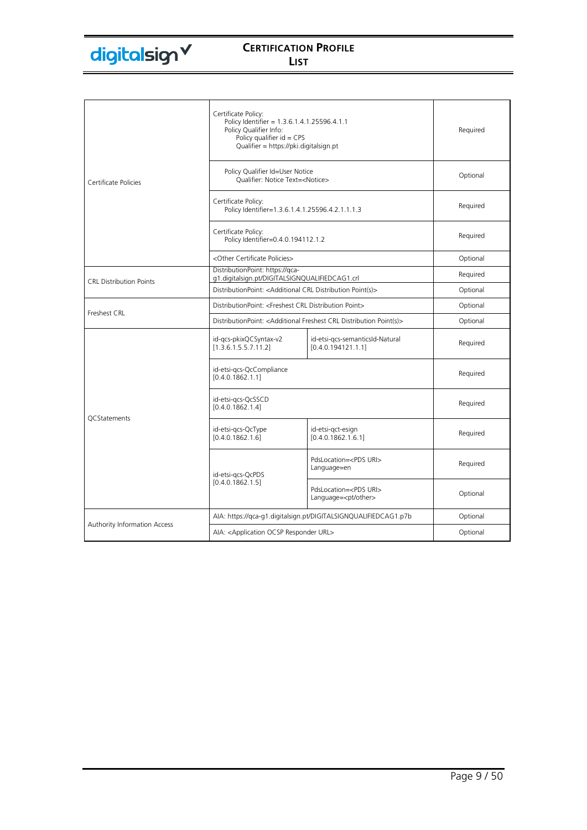|                                | Certificate Policy:<br>Policy Identifier = 1.3.6.1.4.1.25596.4.1.1<br>Policy Qualifier Info:<br>Policy qualifier $id = CPS$<br>Qualifier = https://pki.digitalsign.pt |                                                                 | Required |
|--------------------------------|-----------------------------------------------------------------------------------------------------------------------------------------------------------------------|-----------------------------------------------------------------|----------|
| Certificate Policies           | Policy Qualifier Id=User Notice<br>Qualifier: Notice Text= <notice></notice>                                                                                          |                                                                 | Optional |
|                                | Certificate Policy:<br>Policy Identifier=1.3.6.1.4.1.25596.4.2.1.1.1.3                                                                                                |                                                                 | Required |
|                                | Certificate Policy:<br>Policy Identifier=0.4.0.194112.1.2                                                                                                             |                                                                 | Required |
|                                | <other certificate="" policies=""></other>                                                                                                                            |                                                                 | Optional |
| <b>CRL Distribution Points</b> | DistributionPoint: https://qca-<br>g1.digitalsign.pt/DIGITALSIGNQUALIFIEDCAG1.crl                                                                                     |                                                                 | Required |
|                                | DistributionPoint: < Additional CRL Distribution Point(s)>                                                                                                            |                                                                 | Optional |
|                                | DistributionPoint: <freshest crl="" distribution="" point=""></freshest>                                                                                              |                                                                 | Optional |
| Freshest CRL                   | DistributionPoint: <additional crl="" distribution="" freshest="" point(s)=""></additional>                                                                           |                                                                 | Optional |
|                                | id-gcs-pkixQCSyntax-v2<br>[1.3.6.1.5.5.7.11.2]                                                                                                                        | id-etsi-gcs-semanticsId-Natural<br>[0.4.0.194121.1.1]           | Required |
|                                | id-etsi-gcs-QcCompliance<br>[0.4.0.1862.1.1]                                                                                                                          |                                                                 | Required |
| <b>QCStatements</b>            | id-etsi-gcs-QcSSCD<br>[0.4.0.1862.1.4]                                                                                                                                |                                                                 | Required |
|                                | id-etsi-gcs-QcType<br>[0.4.0.1862.1.6]                                                                                                                                | id-etsi-gct-esign<br>[0.4.0.1862.1.6.1]                         | Required |
|                                | id-etsi-gcs-QcPDS<br>[0.4.0.1862.1.5]                                                                                                                                 | PdsLocation= <pds uri=""><br/>Language=en</pds>                 | Required |
|                                |                                                                                                                                                                       | PdsLocation= <pds uri=""><br/>Language=<pt other=""></pt></pds> | Optional |
|                                | AIA: https://qca-q1.digitalsign.pt/DIGITALSIGNQUALIFIEDCAG1.p7b                                                                                                       |                                                                 | Optional |
| Authority Information Access   | AIA: < Application OCSP Responder URL>                                                                                                                                |                                                                 | Optional |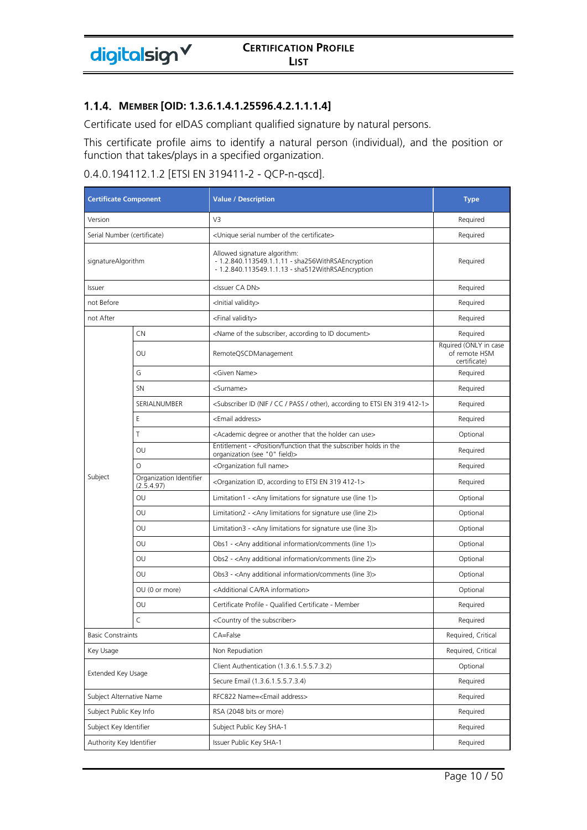#### **MEMBER [OID: 1.3.6.1.4.1.25596.4.2.1.1.1.4]**

digitalsign V

Certificate used for eIDAS compliant qualified signature by natural persons.

This certificate profile aims to identify a natural person (individual), and the position or function that takes/plays in a specified organization.

### 0.4.0.194112.1.2 [ETSI EN 319411-2 - QCP-n-qscd].

| <b>Certificate Component</b> |                                       | <b>Value / Description</b>                                                                                                             | <b>Type</b>                                            |
|------------------------------|---------------------------------------|----------------------------------------------------------------------------------------------------------------------------------------|--------------------------------------------------------|
| Version                      |                                       | V3                                                                                                                                     | Required                                               |
| Serial Number (certificate)  |                                       | <unique certificate="" number="" of="" serial="" the=""></unique>                                                                      | Required                                               |
| signatureAlgorithm           |                                       | Allowed signature algorithm:<br>- 1.2.840.113549.1.1.11 - sha256WithRSAEncryption<br>- 1.2.840.113549.1.1.13 - sha512WithRSAEncryption | Required                                               |
| Issuer                       |                                       | <issuer ca="" dn=""></issuer>                                                                                                          | Required                                               |
| not Before                   |                                       | <lnitial validity=""></lnitial>                                                                                                        | Required                                               |
| not After                    |                                       | <final validity=""></final>                                                                                                            | Required                                               |
|                              | <b>CN</b>                             | <name according="" document="" id="" of="" subscriber,="" the="" to=""></name>                                                         | Required                                               |
|                              | OU                                    | RemoteQSCDManagement                                                                                                                   | Rquired (ONLY in case<br>of remote HSM<br>certificate) |
|                              | G                                     | <given name=""></given>                                                                                                                | Required                                               |
|                              | <b>SN</b>                             | <surname></surname>                                                                                                                    | Required                                               |
|                              | SERIALNUMBER                          | <subscriber (nif="" 319="" 412-1="" according="" cc="" en="" etsi="" id="" other),="" pass="" to=""></subscriber>                      | Required                                               |
|                              | Ε                                     | <email address=""></email>                                                                                                             | Required                                               |
|                              | Τ                                     | <academic another="" can="" degree="" holder="" or="" that="" the="" use=""></academic>                                                | Optional                                               |
|                              | OU                                    | Entitlement - <position function="" holds="" in="" subscriber="" that="" the="" the<br="">organization (see "0" field)&gt;</position>  | Required                                               |
|                              | $\circ$                               | <organization full="" name=""></organization>                                                                                          | Required                                               |
| Subject                      | Organization Identifier<br>(2.5.4.97) | <organization 319="" 412-1="" according="" en="" etsi="" id,="" to=""></organization>                                                  | Required                                               |
|                              | OU                                    | Limitation1 - < Any limitations for signature use (line 1) >                                                                           | Optional                                               |
|                              | OU                                    | Limitation2 - <any (line="" 2)="" for="" limitations="" signature="" use=""></any>                                                     | Optional                                               |
|                              | OU                                    | Limitation3 - $\langle$ Any limitations for signature use (line 3) $>$                                                                 | Optional                                               |
|                              | OU                                    | Obs1 - <any (line="" 1)="" additional="" comments="" information=""></any>                                                             | Optional                                               |
|                              | OU                                    | Obs2 - <any (line="" 2)="" additional="" comments="" information=""></any>                                                             | Optional                                               |
|                              | OU                                    | Obs3 - <any (line="" 3)="" additional="" comments="" information=""></any>                                                             | Optional                                               |
|                              | OU (0 or more)                        | <additional ca="" information="" ra=""></additional>                                                                                   | Optional                                               |
|                              | OU                                    | Certificate Profile - Qualified Certificate - Member                                                                                   | Required                                               |
|                              | C                                     | <country of="" subscriber="" the=""></country>                                                                                         | Required                                               |
| <b>Basic Constraints</b>     |                                       | CA=False                                                                                                                               | Required, Critical                                     |
| Key Usage                    |                                       | Non Repudiation                                                                                                                        | Required, Critical                                     |
|                              |                                       | Client Authentication (1.3.6.1.5.5.7.3.2)                                                                                              | Optional                                               |
| Extended Key Usage           |                                       | Secure Email (1.3.6.1.5.5.7.3.4)                                                                                                       | Required                                               |
|                              | Subject Alternative Name              | RFC822 Name= <email address=""></email>                                                                                                | Required                                               |
| Subject Public Key Info      |                                       | RSA (2048 bits or more)                                                                                                                | Required                                               |
| Subject Key Identifier       |                                       | Subject Public Key SHA-1                                                                                                               | Required                                               |
| Authority Key Identifier     |                                       | Issuer Public Key SHA-1                                                                                                                | Required                                               |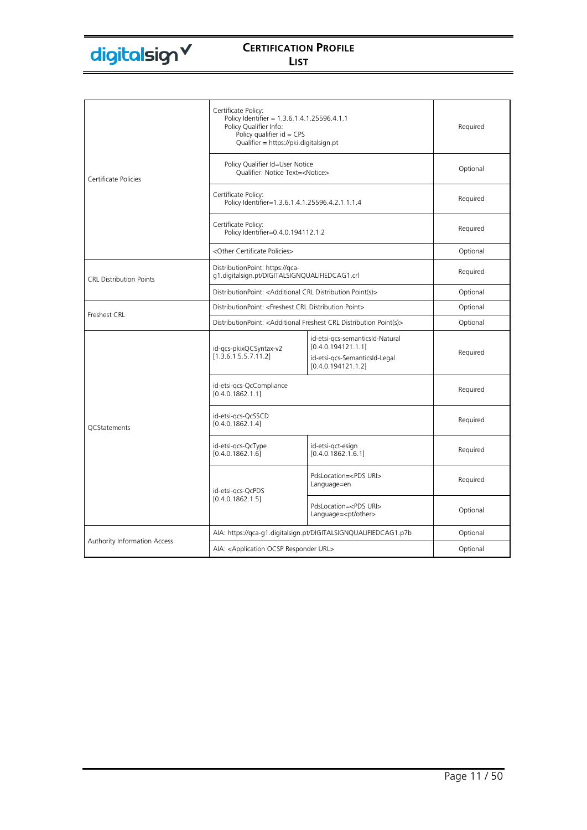|                                | Certificate Policy:<br>Policy Identifier = 1.3.6.1.4.1.25596.4.1.1<br>Policy Qualifier Info:<br>Policy qualifier $id = CPS$<br>Qualifier = https://pki.digitalsign.pt |                                                                                                              | Required |
|--------------------------------|-----------------------------------------------------------------------------------------------------------------------------------------------------------------------|--------------------------------------------------------------------------------------------------------------|----------|
| Certificate Policies           | Policy Qualifier Id=User Notice<br>Oualifier: Notice Text= <notice></notice>                                                                                          |                                                                                                              | Optional |
|                                | Certificate Policy:<br>Policy Identifier=1.3.6.1.4.1.25596.4.2.1.1.1.4                                                                                                |                                                                                                              | Required |
|                                | Certificate Policy:<br>Policy Identifier=0.4.0.194112.1.2                                                                                                             |                                                                                                              | Required |
|                                | <other certificate="" policies=""></other>                                                                                                                            |                                                                                                              | Optional |
| <b>CRL Distribution Points</b> | DistributionPoint: https://qca-<br>g1.digitalsign.pt/DIGITALSIGNQUALIFIEDCAG1.crl                                                                                     |                                                                                                              | Required |
|                                | DistributionPoint: < Additional CRL Distribution Point(s)>                                                                                                            |                                                                                                              | Optional |
|                                | DistributionPoint: <freshest crl="" distribution="" point=""></freshest>                                                                                              |                                                                                                              | Optional |
| Freshest CRL                   | DistributionPoint: <additional crl="" distribution="" freshest="" point(s)=""></additional>                                                                           |                                                                                                              | Optional |
|                                | id-gcs-pkixQCSyntax-v2<br>[1.3.6.1.5.5.7.11.2]                                                                                                                        | id-etsi-gcs-semanticsId-Natural<br>[0.4.0.194121.1.1]<br>id-etsi-gcs-SemanticsId-Legal<br>[0.4.0.194121.1.2] | Required |
|                                | id-etsi-gcs-QcCompliance<br>[0.4.0.1862.1.1]                                                                                                                          |                                                                                                              | Required |
| <b>OCStatements</b>            | id-etsi-gcs-QcSSCD<br>[0.4.0.1862.1.4]                                                                                                                                |                                                                                                              | Required |
|                                | id-etsi-gcs-QcType<br>[0.4.0.1862.1.6]                                                                                                                                | id-etsi-gct-esign<br>[0.4.0.1862.1.6.1]                                                                      | Required |
|                                | id-etsi-gcs-QcPDS                                                                                                                                                     | PdsLocation= <pds uri=""><br/>Language=en</pds>                                                              | Required |
|                                | [0.4.0.1862.1.5]                                                                                                                                                      | PdsLocation= <pds uri=""><br/>Language=<pt other=""></pt></pds>                                              | Optional |
|                                | AIA: https://qca-q1.digitalsign.pt/DIGITALSIGNQUALIFIEDCAG1.p7b                                                                                                       |                                                                                                              | Optional |
| Authority Information Access   | AIA: <application ocsp="" responder="" url=""></application>                                                                                                          |                                                                                                              | Optional |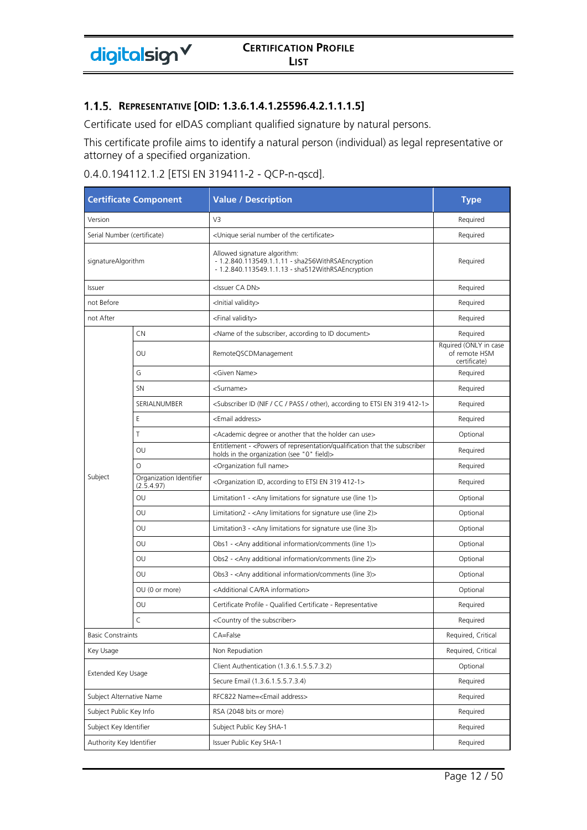#### **REPRESENTATIVE [OID: 1.3.6.1.4.1.25596.4.2.1.1.1.5]**

Certificate used for eIDAS compliant qualified signature by natural persons.

This certificate profile aims to identify a natural person (individual) as legal representative or attorney of a specified organization.

| 0.4.0.194112.1.2 [ETSI EN 319411-2 - QCP-n-qscd]. |  |  |
|---------------------------------------------------|--|--|
|---------------------------------------------------|--|--|

| <b>Certificate Component</b> |                                       | <b>Value / Description</b>                                                                                                             | <b>Type</b>                                            |
|------------------------------|---------------------------------------|----------------------------------------------------------------------------------------------------------------------------------------|--------------------------------------------------------|
| Version                      |                                       | V3                                                                                                                                     | Required                                               |
| Serial Number (certificate)  |                                       | <unique certificate="" number="" of="" serial="" the=""></unique>                                                                      | Required                                               |
| signatureAlgorithm           |                                       | Allowed signature algorithm:<br>- 1.2.840.113549.1.1.11 - sha256WithRSAEncryption<br>- 1.2.840.113549.1.1.13 - sha512WithRSAEncryption | Required                                               |
| Issuer                       |                                       | <issuer ca="" dn=""></issuer>                                                                                                          | Required                                               |
| not Before                   |                                       | <lnitial validity=""></lnitial>                                                                                                        | Required                                               |
| not After                    |                                       | <final validity=""></final>                                                                                                            | Required                                               |
|                              | CN                                    | <name according="" document="" id="" of="" subscriber,="" the="" to=""></name>                                                         | Required                                               |
|                              | OU                                    | RemoteQSCDManagement                                                                                                                   | Rquired (ONLY in case<br>of remote HSM<br>certificate) |
|                              | G                                     | <given name=""></given>                                                                                                                | Required                                               |
|                              | <b>SN</b>                             | <surname></surname>                                                                                                                    | Required                                               |
|                              | SERIALNUMBER                          | <subscriber (nif="" 319="" 412-1="" according="" cc="" en="" etsi="" id="" other),="" pass="" to=""></subscriber>                      | Required                                               |
|                              | Ε                                     | <email address=""></email>                                                                                                             | Required                                               |
|                              | T                                     | <academic another="" can="" degree="" holder="" or="" that="" the="" use=""></academic>                                                | Optional                                               |
|                              | OU                                    | Entitlement - < Powers of representation/qualification that the subscriber<br>holds in the organization (see "0" field)>               | Required                                               |
|                              | $\Omega$                              | <organization full="" name=""></organization>                                                                                          | Required                                               |
| Subject                      | Organization Identifier<br>(2.5.4.97) | <organization 319="" 412-1="" according="" en="" etsi="" id,="" to=""></organization>                                                  | Required                                               |
|                              | OU                                    | Limitation1 - $\langle$ Any limitations for signature use (line 1) $>$                                                                 | Optional                                               |
|                              | OU                                    | Limitation2 - $\langle$ Any limitations for signature use (line 2) $>$                                                                 | Optional                                               |
|                              | OU                                    | Limitation3 - $\langle$ Any limitations for signature use (line 3) $>$                                                                 | Optional                                               |
|                              | OU                                    | Obs1 - <any (line="" 1)="" additional="" comments="" information=""></any>                                                             | Optional                                               |
|                              | OU                                    | Obs2 - <any (line="" 2)="" additional="" comments="" information=""></any>                                                             | Optional                                               |
|                              | OU                                    | Obs3 - <any (line="" 3)="" additional="" comments="" information=""></any>                                                             | Optional                                               |
|                              | OU (0 or more)                        | <additional ca="" information="" ra=""></additional>                                                                                   | Optional                                               |
|                              | OU                                    | Certificate Profile - Qualified Certificate - Representative                                                                           | Required                                               |
|                              | C                                     | <country of="" subscriber="" the=""></country>                                                                                         | Required                                               |
| <b>Basic Constraints</b>     |                                       | CA=False                                                                                                                               | Required, Critical                                     |
| Key Usage                    |                                       | Non Repudiation                                                                                                                        | Required, Critical                                     |
| Extended Key Usage           |                                       | Client Authentication (1.3.6.1.5.5.7.3.2)                                                                                              | Optional                                               |
|                              |                                       | Secure Email (1.3.6.1.5.5.7.3.4)                                                                                                       | Required                                               |
| Subject Alternative Name     |                                       | RFC822 Name= <email address=""></email>                                                                                                | Required                                               |
| Subject Public Key Info      |                                       | RSA (2048 bits or more)                                                                                                                | Required                                               |
| Subject Key Identifier       |                                       | Subject Public Key SHA-1                                                                                                               | Required                                               |
| Authority Key Identifier     |                                       | Issuer Public Key SHA-1                                                                                                                | Required                                               |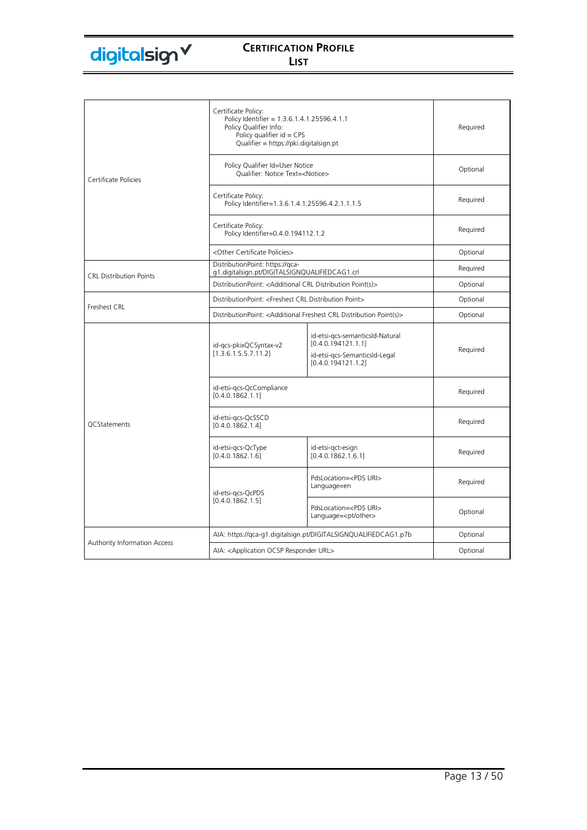|                                | Certificate Policy:<br>Policy Identifier = 1.3.6.1.4.1.25596.4.1.1<br>Policy Qualifier Info:<br>Policy qualifier $id = CPS$<br>Qualifier = https://pki.digitalsign.pt |                                                                                                              | Required |
|--------------------------------|-----------------------------------------------------------------------------------------------------------------------------------------------------------------------|--------------------------------------------------------------------------------------------------------------|----------|
| Certificate Policies           | Policy Qualifier Id=User Notice<br>Oualifier: Notice Text= <notice></notice>                                                                                          |                                                                                                              | Optional |
|                                | Certificate Policy:<br>Policy Identifier=1.3.6.1.4.1.25596.4.2.1.1.1.5                                                                                                |                                                                                                              | Required |
|                                | Certificate Policy:<br>Policy Identifier=0.4.0.194112.1.2                                                                                                             |                                                                                                              | Required |
|                                | <other certificate="" policies=""></other>                                                                                                                            |                                                                                                              | Optional |
| <b>CRL Distribution Points</b> | DistributionPoint: https://qca-<br>g1.digitalsign.pt/DIGITALSIGNQUALIFIEDCAG1.crl                                                                                     |                                                                                                              | Required |
|                                | DistributionPoint: < Additional CRL Distribution Point(s)>                                                                                                            |                                                                                                              | Optional |
|                                | DistributionPoint: <freshest crl="" distribution="" point=""></freshest>                                                                                              |                                                                                                              | Optional |
| Freshest CRL                   | DistributionPoint: <additional crl="" distribution="" freshest="" point(s)=""></additional>                                                                           |                                                                                                              | Optional |
|                                | id-gcs-pkixQCSyntax-v2<br>[1.3.6.1.5.5.7.11.2]                                                                                                                        | id-etsi-gcs-semanticsId-Natural<br>[0.4.0.194121.1.1]<br>id-etsi-gcs-SemanticsId-Legal<br>[0.4.0.194121.1.2] | Required |
|                                | id-etsi-gcs-QcCompliance<br>[0.4.0.1862.1.1]                                                                                                                          |                                                                                                              | Required |
| <b>QCStatements</b>            | id-etsi-gcs-QcSSCD<br>[0.4.0.1862.1.4]                                                                                                                                |                                                                                                              | Required |
|                                | id-etsi-gcs-QcType<br>[0.4.0.1862.1.6]                                                                                                                                | id-etsi-gct-esign<br>[0.4.0.1862.1.6.1]                                                                      | Required |
|                                | id-etsi-gcs-QcPDS                                                                                                                                                     | PdsLocation= <pds uri=""><br/>Language=en</pds>                                                              | Required |
|                                | [0.4.0.1862.1.5]                                                                                                                                                      | PdsLocation= <pds uri=""><br/>Language=<pt other=""></pt></pds>                                              | Optional |
|                                | AIA: https://qca-g1.digitalsign.pt/DIGITALSIGNQUALIFIEDCAG1.p7b                                                                                                       |                                                                                                              | Optional |
| Authority Information Access   | AIA: < Application OCSP Responder URL>                                                                                                                                |                                                                                                              | Optional |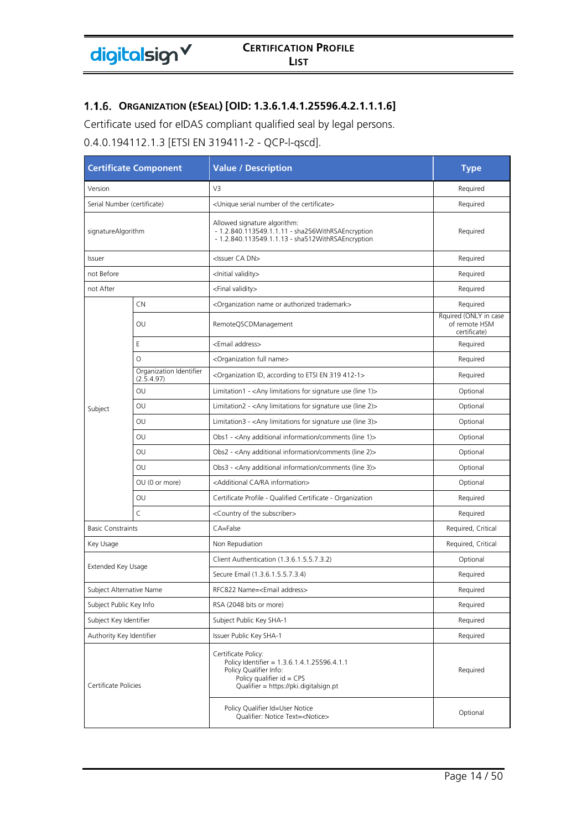### **ORGANIZATION (ESEAL) [OID: 1.3.6.1.4.1.25596.4.2.1.1.1.6]**

Certificate used for eIDAS compliant qualified seal by legal persons.

0.4.0.194112.1.3 [ETSI EN 319411-2 - QCP-l-qscd].

| <b>Certificate Component</b> |                                       | <b>Value / Description</b>                                                                                                                                            | <b>Type</b>                                            |
|------------------------------|---------------------------------------|-----------------------------------------------------------------------------------------------------------------------------------------------------------------------|--------------------------------------------------------|
| Version                      |                                       | V3                                                                                                                                                                    | Required                                               |
| Serial Number (certificate)  |                                       | <unique certificate="" number="" of="" serial="" the=""></unique>                                                                                                     | Required                                               |
| signatureAlgorithm           |                                       | Allowed signature algorithm:<br>- 1.2.840.113549.1.1.11 - sha256WithRSAEncryption<br>- 1.2.840.113549.1.1.13 - sha512WithRSAEncryption                                | Required                                               |
| Issuer                       |                                       | <issuer ca="" dn=""></issuer>                                                                                                                                         | Required                                               |
| not Before                   |                                       | <lnitial validity=""></lnitial>                                                                                                                                       | Required                                               |
| not After                    |                                       | <final validity=""></final>                                                                                                                                           | Required                                               |
|                              | <b>CN</b>                             | <organization authorized="" name="" or="" trademark=""></organization>                                                                                                | Required                                               |
|                              | OU                                    | RemoteQSCDManagement                                                                                                                                                  | Rquired (ONLY in case<br>of remote HSM<br>certificate) |
|                              | E                                     | <email address=""></email>                                                                                                                                            | Required                                               |
|                              | $\circ$                               | <organization full="" name=""></organization>                                                                                                                         | Required                                               |
|                              | Organization Identifier<br>(2.5.4.97) | <organization 319="" 412-1="" according="" en="" etsi="" id,="" to=""></organization>                                                                                 | Required                                               |
|                              | OU                                    | Limitation1 - $\langle$ Any limitations for signature use (line 1) $>$                                                                                                | Optional                                               |
| Subject                      | OU                                    | Limitation2 - <any (line="" 2)="" for="" limitations="" signature="" use=""></any>                                                                                    | Optional                                               |
|                              | OU                                    | Limitation3 - < Any limitations for signature use (line 3)>                                                                                                           | Optional                                               |
|                              | OU                                    | Obs1 - <any (line="" 1)="" additional="" comments="" information=""></any>                                                                                            | Optional                                               |
|                              | OU                                    | Obs2 - <any (line="" 2)="" additional="" comments="" information=""></any>                                                                                            | Optional                                               |
|                              | OU                                    | Obs3 - <any (line="" 3)="" additional="" comments="" information=""></any>                                                                                            | Optional                                               |
|                              | OU (0 or more)                        | <additional ca="" information="" ra=""></additional>                                                                                                                  | Optional                                               |
|                              | OU                                    | Certificate Profile - Qualified Certificate - Organization                                                                                                            | Required                                               |
|                              | $\mathsf{C}$                          | <country of="" subscriber="" the=""></country>                                                                                                                        | Required                                               |
| <b>Basic Constraints</b>     |                                       | CA=False                                                                                                                                                              | Required, Critical                                     |
| Key Usage                    |                                       | Non Repudiation                                                                                                                                                       | Required, Critical                                     |
|                              |                                       | Client Authentication (1.3.6.1.5.5.7.3.2)                                                                                                                             | Optional                                               |
| Extended Key Usage           |                                       | Secure Email (1.3.6.1.5.5.7.3.4)                                                                                                                                      | Required                                               |
| Subject Alternative Name     |                                       | RFC822 Name= <email address=""></email>                                                                                                                               | Required                                               |
| Subject Public Key Info      |                                       | RSA (2048 bits or more)                                                                                                                                               | Required                                               |
| Subject Key Identifier       |                                       | Subject Public Key SHA-1                                                                                                                                              | Required                                               |
| Authority Key Identifier     |                                       | Issuer Public Key SHA-1                                                                                                                                               | Required                                               |
| Certificate Policies         |                                       | Certificate Policy:<br>Policy Identifier = 1.3.6.1.4.1.25596.4.1.1<br>Policy Oualifier Info:<br>Policy qualifier $id = CPS$<br>Qualifier = https://pki.digitalsign.pt | Required                                               |
|                              |                                       | Policy Qualifier Id=User Notice<br>Qualifier: Notice Text= <notice></notice>                                                                                          | Optional                                               |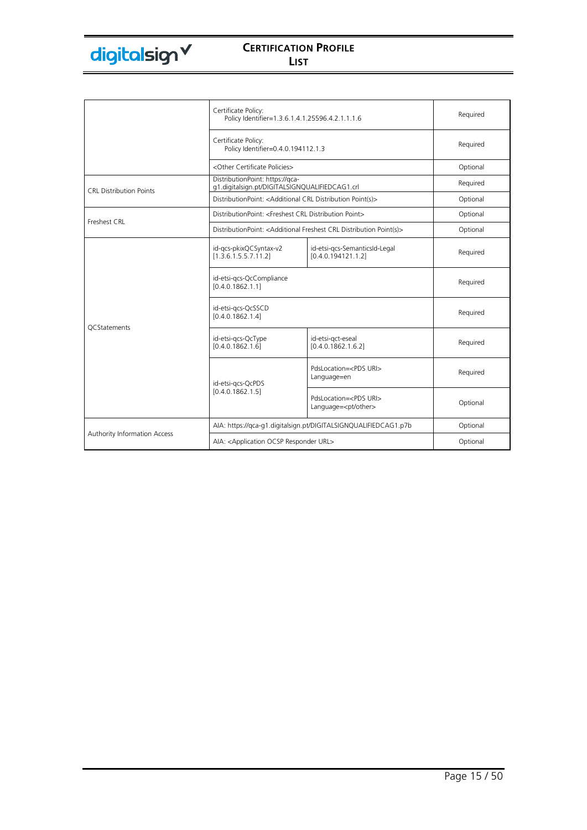|                                | Certificate Policy:<br>Policy Identifier=1.3.6.1.4.1.25596.4.2.1.1.1.6                      |                                                                 | Required |
|--------------------------------|---------------------------------------------------------------------------------------------|-----------------------------------------------------------------|----------|
|                                | Certificate Policy:<br>Policy Identifier=0.4.0.194112.1.3                                   |                                                                 | Required |
|                                | <other certificate="" policies=""></other>                                                  |                                                                 | Optional |
| <b>CRL Distribution Points</b> | DistributionPoint: https://qca-<br>g1.digitalsign.pt/DIGITALSIGNQUALIFIEDCAG1.crl           |                                                                 | Required |
|                                | DistributionPoint: < Additional CRL Distribution Point(s)>                                  |                                                                 | Optional |
|                                | DistributionPoint: <freshest crl="" distribution="" point=""></freshest>                    |                                                                 | Optional |
| Freshest CRL                   | DistributionPoint: <additional crl="" distribution="" freshest="" point(s)=""></additional> |                                                                 | Optional |
|                                | id-gcs-pkixQCSyntax-v2<br>[1.3.6.1.5.5.7.11.2]                                              | id-etsi-gcs-SemanticsId-Legal<br>[0.4.0.194121.1.2]             | Required |
|                                | id-etsi-gcs-QcCompliance<br>[0.4.0.1862.1.1]                                                |                                                                 | Required |
| <b>OCStatements</b>            | id-etsi-gcs-QcSSCD<br>[0.4.0.1862.1.4]                                                      |                                                                 | Required |
|                                | id-etsi-qcs-QcType<br>[0.4.0.1862.1.6]                                                      | id-etsi-gct-eseal<br>[0.4.0.1862.1.6.2]                         | Required |
|                                | id-etsi-gcs-QcPDS                                                                           | PdsLocation= <pds uri=""><br/>Language=en</pds>                 | Required |
|                                | [0.4.0.1862.1.5]                                                                            | PdsLocation= <pds uri=""><br/>Language=<pt other=""></pt></pds> | Optional |
|                                | AIA: https://qca-q1.digitalsign.pt/DIGITALSIGNQUALIFIEDCAG1.p7b                             |                                                                 | Optional |
| Authority Information Access   | AIA: < Application OCSP Responder URL>                                                      |                                                                 | Optional |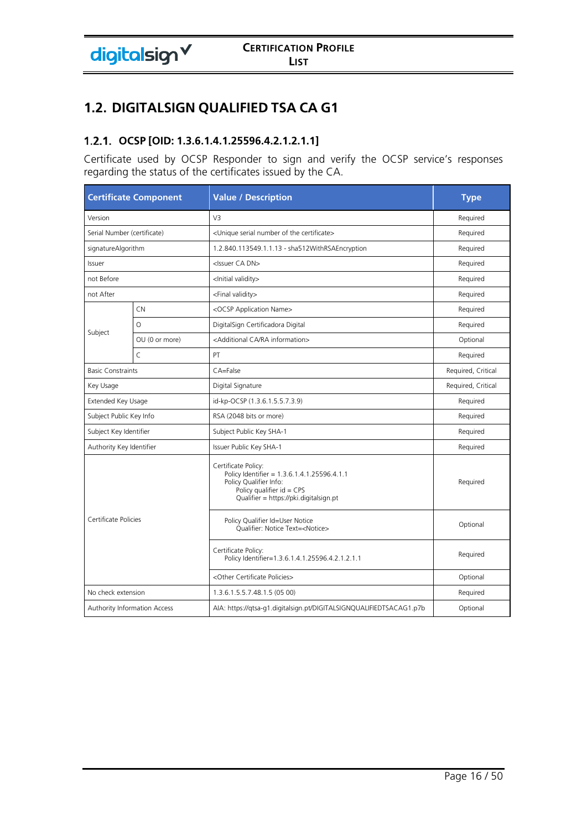# **1.2. DIGITALSIGN QUALIFIED TSA CA G1**

# **OCSP [OID: 1.3.6.1.4.1.25596.4.2.1.2.1.1]**

Certificate used by OCSP Responder to sign and verify the OCSP service's responses regarding the status of the certificates issued by the CA.

|                             | <b>Certificate Component</b>        | <b>Value / Description</b>                                                                                                                                            | <b>Type</b>        |
|-----------------------------|-------------------------------------|-----------------------------------------------------------------------------------------------------------------------------------------------------------------------|--------------------|
| Version                     |                                     | V <sub>3</sub>                                                                                                                                                        | Required           |
| Serial Number (certificate) |                                     | <unique certificate="" number="" of="" serial="" the=""></unique>                                                                                                     | Required           |
| signatureAlgorithm          |                                     | 1.2.840.113549.1.1.13 - sha512WithRSAEncryption                                                                                                                       | Required           |
| Issuer                      |                                     | <issuer ca="" dn=""></issuer>                                                                                                                                         | Required           |
| not Before                  |                                     | <lnitial validity=""></lnitial>                                                                                                                                       | Required           |
| not After                   |                                     | <final validity=""></final>                                                                                                                                           | Required           |
|                             | CN                                  | <ocsp application="" name=""></ocsp>                                                                                                                                  | Required           |
|                             | $\Omega$                            | DigitalSign Certificadora Digital                                                                                                                                     | Required           |
| Subject                     | OU (0 or more)                      | <additional ca="" information="" ra=""></additional>                                                                                                                  | Optional           |
|                             | $\mathsf{C}$                        | PT                                                                                                                                                                    | Required           |
| <b>Basic Constraints</b>    |                                     | CA=False                                                                                                                                                              | Required, Critical |
| Key Usage                   |                                     | Digital Signature                                                                                                                                                     | Required, Critical |
| Extended Key Usage          |                                     | id-kp-OCSP (1.3.6.1.5.5.7.3.9)                                                                                                                                        | Required           |
| Subject Public Key Info     |                                     | RSA (2048 bits or more)                                                                                                                                               | Required           |
| Subject Key Identifier      |                                     | Subject Public Key SHA-1                                                                                                                                              | Required           |
| Authority Key Identifier    |                                     | Issuer Public Key SHA-1                                                                                                                                               | Required           |
| Certificate Policies        |                                     | Certificate Policy:<br>Policy Identifier = 1.3.6.1.4.1.25596.4.1.1<br>Policy Qualifier Info:<br>Policy qualifier $id = CPS$<br>Qualifier = https://pki.digitalsign.pt | Required           |
|                             |                                     | Policy Qualifier Id=User Notice<br>Qualifier: Notice Text= <notice></notice>                                                                                          | Optional           |
|                             |                                     | Certificate Policy:<br>Policy Identifier=1.3.6.1.4.1.25596.4.2.1.2.1.1                                                                                                | Required           |
|                             |                                     | <other certificate="" policies=""></other>                                                                                                                            | Optional           |
| No check extension          |                                     | 1.3.6.1.5.5.7.48.1.5 (05 00)                                                                                                                                          | Required           |
|                             | <b>Authority Information Access</b> | AIA: https://qtsa-g1.digitalsign.pt/DIGITALSIGNQUALIFIEDTSACAG1.p7b                                                                                                   | Optional           |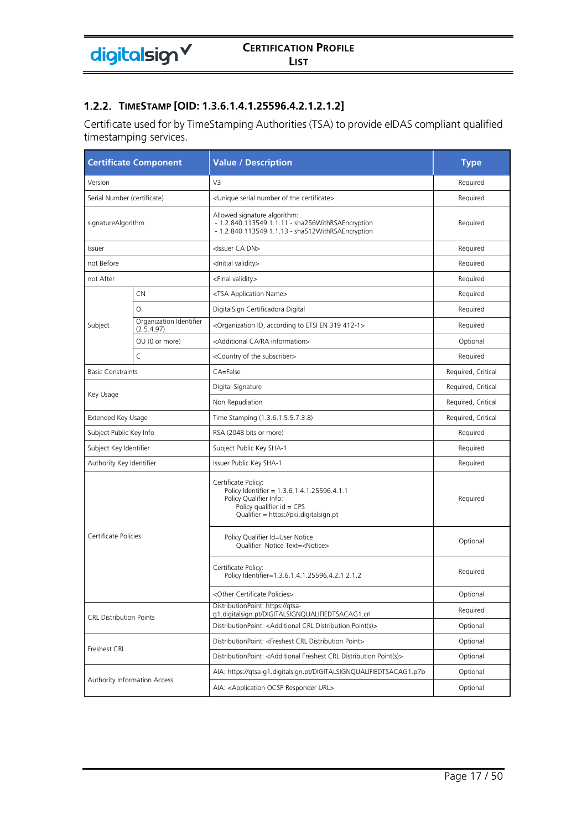### **TIMESTAMP [OID: 1.3.6.1.4.1.25596.4.2.1.2.1.2]**

Certificate used for by TimeStamping Authorities (TSA) to provide eIDAS compliant qualified timestamping services.

| <b>Certificate Component</b>   |                                       | <b>Value / Description</b>                                                                                                                                            | <b>Type</b>        |
|--------------------------------|---------------------------------------|-----------------------------------------------------------------------------------------------------------------------------------------------------------------------|--------------------|
| Version                        |                                       | V <sub>3</sub>                                                                                                                                                        | Required           |
| Serial Number (certificate)    |                                       | <unique certificate="" number="" of="" serial="" the=""></unique>                                                                                                     | Required           |
| signatureAlgorithm             |                                       | Allowed signature algorithm:<br>- 1.2.840.113549.1.1.11 - sha256WithRSAEncryption<br>- 1.2.840.113549.1.1.13 - sha512WithRSAEncryption                                | Required           |
| Issuer                         |                                       | <issuer ca="" dn=""></issuer>                                                                                                                                         | Required           |
| not Before                     |                                       | <lnitial validity=""></lnitial>                                                                                                                                       | Required           |
| not After                      |                                       | <final validity=""></final>                                                                                                                                           | Required           |
|                                | <b>CN</b>                             | <tsa application="" name=""></tsa>                                                                                                                                    | Required           |
|                                | $\circ$                               | DigitalSign Certificadora Digital                                                                                                                                     | Required           |
| Subject                        | Organization Identifier<br>(2.5.4.97) | <organization 319="" 412-1="" according="" en="" etsi="" id,="" to=""></organization>                                                                                 | Required           |
|                                | OU (0 or more)                        | <additional ca="" information="" ra=""></additional>                                                                                                                  | Optional           |
|                                | $\mathsf C$                           | <country of="" subscriber="" the=""></country>                                                                                                                        | Required           |
| <b>Basic Constraints</b>       |                                       | CA=False                                                                                                                                                              | Required, Critical |
|                                |                                       | Digital Signature                                                                                                                                                     | Required, Critical |
| Key Usage                      |                                       | Non Repudiation                                                                                                                                                       | Required, Critical |
| Extended Key Usage             |                                       | Time Stamping (1.3.6.1.5.5.7.3.8)                                                                                                                                     | Required, Critical |
| Subject Public Key Info        |                                       | RSA (2048 bits or more)                                                                                                                                               | Required           |
| Subject Key Identifier         |                                       | Subject Public Key SHA-1                                                                                                                                              | Required           |
| Authority Key Identifier       |                                       | Issuer Public Key SHA-1                                                                                                                                               | Required           |
|                                |                                       | Certificate Policy:<br>Policy Identifier = 1.3.6.1.4.1.25596.4.1.1<br>Policy Qualifier Info:<br>Policy qualifier $id = CPS$<br>Qualifier = https://pki.digitalsign.pt | Required           |
| Certificate Policies           |                                       | Policy Qualifier Id=User Notice<br>Qualifier: Notice Text= <notice></notice>                                                                                          | Optional           |
|                                |                                       | Certificate Policy:<br>Policy Identifier=1.3.6.1.4.1.25596.4.2.1.2.1.2                                                                                                | Required           |
|                                |                                       | <other certificate="" policies=""></other>                                                                                                                            | Optional           |
| <b>CRL Distribution Points</b> |                                       | DistributionPoint: https://qtsa-<br>g1.digitalsign.pt/DIGITALSIGNQUALIFIEDTSACAG1.crl                                                                                 | Required           |
|                                |                                       | DistributionPoint: <additional crl="" distribution="" point(s)=""></additional>                                                                                       | Optional           |
|                                |                                       | DistributionPoint: <freshest crl="" distribution="" point=""></freshest>                                                                                              | Optional           |
| Freshest CRL                   |                                       | DistributionPoint: <additional crl="" distribution="" freshest="" point(s)=""></additional>                                                                           | Optional           |
|                                |                                       | AIA: https://qtsa-q1.digitalsign.pt/DIGITALSIGNQUALIFIEDTSACAG1.p7b                                                                                                   | Optional           |
|                                | Authority Information Access          | AIA: <application ocsp="" responder="" url=""></application>                                                                                                          | Optional           |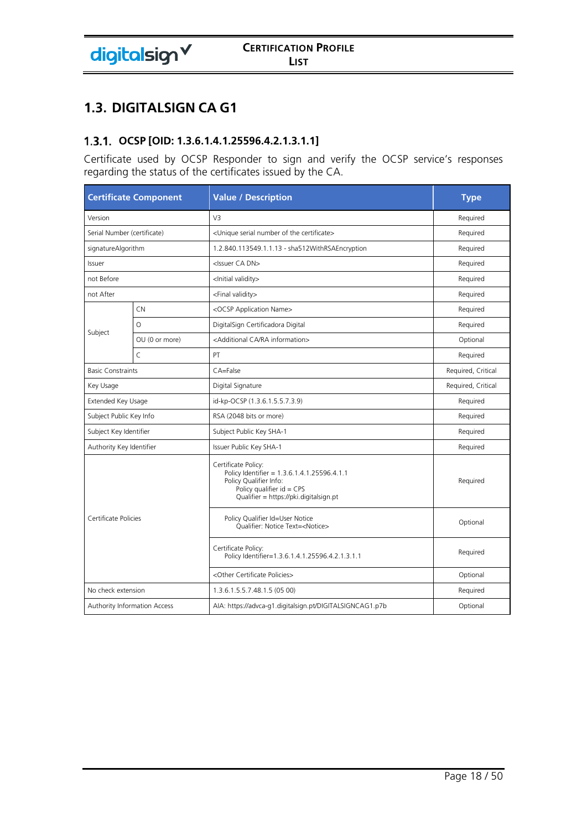# **1.3. DIGITALSIGN CA G1**

# **OCSP [OID: 1.3.6.1.4.1.25596.4.2.1.3.1.1]**

Certificate used by OCSP Responder to sign and verify the OCSP service's responses regarding the status of the certificates issued by the CA.

|                          | <b>Certificate Component</b> | <b>Value / Description</b>                                                                                                                                            | <b>Type</b>        |
|--------------------------|------------------------------|-----------------------------------------------------------------------------------------------------------------------------------------------------------------------|--------------------|
| Version                  |                              | V <sub>3</sub>                                                                                                                                                        | Required           |
|                          | Serial Number (certificate)  | <unique certificate="" number="" of="" serial="" the=""></unique>                                                                                                     | Required           |
| signatureAlgorithm       |                              | 1.2.840.113549.1.1.13 - sha512WithRSAEncryption                                                                                                                       | Required           |
| Issuer                   |                              | <issuer ca="" dn=""></issuer>                                                                                                                                         | Required           |
| not Before               |                              | <lnitial validity=""></lnitial>                                                                                                                                       | Required           |
| not After                |                              | <final validity=""></final>                                                                                                                                           | Required           |
|                          | <b>CN</b>                    | <ocsp application="" name=""></ocsp>                                                                                                                                  | Required           |
|                          | O                            | DigitalSign Certificadora Digital                                                                                                                                     | Required           |
| Subject                  | OU (0 or more)               | <additional ca="" information="" ra=""></additional>                                                                                                                  | Optional           |
|                          | $\mathsf{C}$                 | PT                                                                                                                                                                    | Required           |
| <b>Basic Constraints</b> |                              | CA=False                                                                                                                                                              | Required, Critical |
| Key Usage                |                              | Digital Signature                                                                                                                                                     | Required, Critical |
| Extended Key Usage       |                              | id-kp-OCSP (1.3.6.1.5.5.7.3.9)                                                                                                                                        | Required           |
| Subject Public Key Info  |                              | RSA (2048 bits or more)                                                                                                                                               | Required           |
| Subject Key Identifier   |                              | Subject Public Key SHA-1                                                                                                                                              | Required           |
| Authority Key Identifier |                              | Issuer Public Key SHA-1                                                                                                                                               | Required           |
| Certificate Policies     |                              | Certificate Policy:<br>Policy Identifier = 1.3.6.1.4.1.25596.4.1.1<br>Policy Qualifier Info:<br>Policy qualifier $id = CPS$<br>Qualifier = https://pki.digitalsign.pt | Required           |
|                          |                              | Policy Qualifier Id=User Notice<br>Qualifier: Notice Text= <notice></notice>                                                                                          | Optional           |
|                          |                              | Certificate Policy:<br>Policy Identifier=1.3.6.1.4.1.25596.4.2.1.3.1.1                                                                                                | Required           |
|                          |                              | <other certificate="" policies=""></other>                                                                                                                            | Optional           |
| No check extension       |                              | 1.3.6.1.5.5.7.48.1.5 (05 00)                                                                                                                                          | Required           |
|                          | Authority Information Access | AIA: https://advca-g1.digitalsign.pt/DIGITALSIGNCAG1.p7b                                                                                                              | Optional           |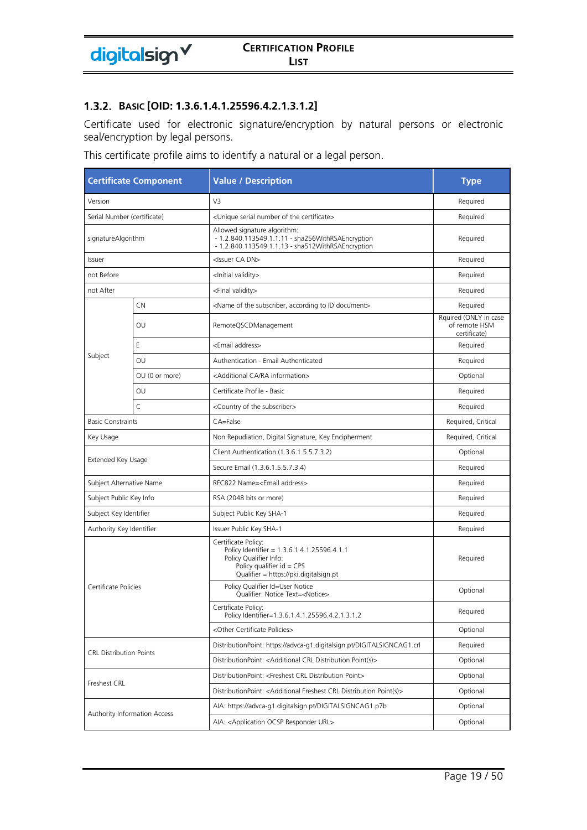#### **BASIC [OID: 1.3.6.1.4.1.25596.4.2.1.3.1.2]**

Certificate used for electronic signature/encryption by natural persons or electronic seal/encryption by legal persons.

This certificate profile aims to identify a natural or a legal person.

| <b>Certificate Component</b>   |                              | <b>Value / Description</b>                                                                                                                                            | <b>Type</b>                                            |
|--------------------------------|------------------------------|-----------------------------------------------------------------------------------------------------------------------------------------------------------------------|--------------------------------------------------------|
| Version                        |                              | V <sub>3</sub>                                                                                                                                                        | Required                                               |
| Serial Number (certificate)    |                              | <unique certificate="" number="" of="" serial="" the=""></unique>                                                                                                     | Required                                               |
| signatureAlgorithm             |                              | Allowed signature algorithm:<br>- 1.2.840.113549.1.1.11 - sha256WithRSAEncryption<br>- 1.2.840.113549.1.1.13 - sha512WithRSAEncryption                                | Required                                               |
| Issuer                         |                              | <issuer ca="" dn=""></issuer>                                                                                                                                         | Required                                               |
| not Before                     |                              | <lnitial validity=""></lnitial>                                                                                                                                       | Required                                               |
| not After                      |                              | <final validity=""></final>                                                                                                                                           | Required                                               |
|                                | CN                           | <name according="" document="" id="" of="" subscriber,="" the="" to=""></name>                                                                                        | Required                                               |
|                                | OU                           | RemoteQSCDManagement                                                                                                                                                  | Rquired (ONLY in case<br>of remote HSM<br>certificate) |
|                                | E                            | <email address=""></email>                                                                                                                                            | Required                                               |
| Subject                        | OU                           | Authentication - Email Authenticated                                                                                                                                  | Required                                               |
|                                | OU (0 or more)               | <additional ca="" information="" ra=""></additional>                                                                                                                  | Optional                                               |
|                                | OU                           | Certificate Profile - Basic                                                                                                                                           | Required                                               |
|                                | $\mathsf{C}$                 | <country of="" subscriber="" the=""></country>                                                                                                                        | Required                                               |
| <b>Basic Constraints</b>       |                              | CA=False                                                                                                                                                              | Required, Critical                                     |
| Key Usage                      |                              | Non Repudiation, Digital Signature, Key Encipherment                                                                                                                  | Required, Critical                                     |
|                                |                              | Client Authentication (1.3.6.1.5.5.7.3.2)                                                                                                                             | Optional                                               |
| Extended Key Usage             |                              | Secure Email (1.3.6.1.5.5.7.3.4)                                                                                                                                      | Required                                               |
| Subject Alternative Name       |                              | RFC822 Name= <email address=""></email>                                                                                                                               | Required                                               |
| Subject Public Key Info        |                              | RSA (2048 bits or more)                                                                                                                                               | Required                                               |
| Subject Key Identifier         |                              | Subject Public Key SHA-1                                                                                                                                              | Required                                               |
| Authority Key Identifier       |                              | Issuer Public Key SHA-1                                                                                                                                               | Required                                               |
|                                |                              | Certificate Policy:<br>Policy Identifier = 1.3.6.1.4.1.25596.4.1.1<br>Policy Qualifier Info:<br>Policy qualifier $id = CPS$<br>Qualifier = https://pki.digitalsign.pt | Required                                               |
| Certificate Policies           |                              | Policy Qualifier Id=User Notice<br>Qualifier: Notice Text= <notice></notice>                                                                                          | Optional                                               |
|                                |                              | Certificate Policy:<br>Policy Identifier=1.3.6.1.4.1.25596.4.2.1.3.1.2                                                                                                | Required                                               |
|                                |                              | <other certificate="" policies=""></other>                                                                                                                            | Optional                                               |
| <b>CRL Distribution Points</b> |                              | DistributionPoint: https://advca-g1.digitalsign.pt/DIGITALSIGNCAG1.crl                                                                                                | Required                                               |
|                                |                              | DistributionPoint: <additional crl="" distribution="" point(s)=""></additional>                                                                                       | Optional                                               |
|                                |                              | DistributionPoint: <freshest crl="" distribution="" point=""></freshest>                                                                                              | Optional                                               |
| Freshest CRL                   |                              | DistributionPoint: <additional crl="" distribution="" freshest="" point(s)=""></additional>                                                                           | Optional                                               |
|                                |                              | AIA: https://advca-g1.digitalsign.pt/DIGITALSIGNCAG1.p7b                                                                                                              | Optional                                               |
|                                | Authority Information Access | AIA: < Application OCSP Responder URL>                                                                                                                                | Optional                                               |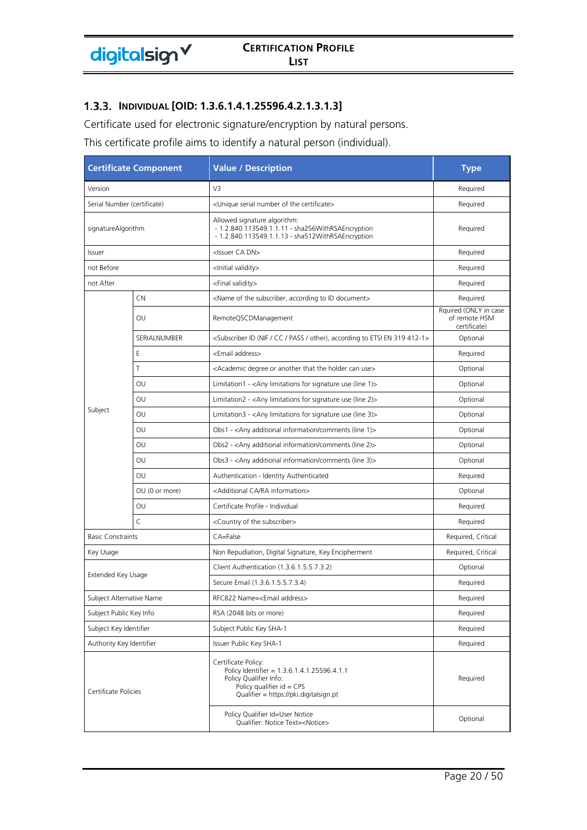### **INDIVIDUAL [OID: 1.3.6.1.4.1.25596.4.2.1.3.1.3]**

Certificate used for electronic signature/encryption by natural persons.

This certificate profile aims to identify a natural person (individual).

| <b>Certificate Component</b> |                             | <b>Value / Description</b>                                                                                                                                            | <b>Type</b>                                            |
|------------------------------|-----------------------------|-----------------------------------------------------------------------------------------------------------------------------------------------------------------------|--------------------------------------------------------|
| Version                      |                             | V3                                                                                                                                                                    | Required                                               |
|                              | Serial Number (certificate) | <unique certificate="" number="" of="" serial="" the=""></unique>                                                                                                     | Required                                               |
| signatureAlgorithm           |                             | Allowed signature algorithm:<br>- 1.2.840.113549.1.1.11 - sha256WithRSAEncryption<br>- 1.2.840.113549.1.1.13 - sha512WithRSAEncryption                                | Required                                               |
| Issuer                       |                             | <issuer ca="" dn=""></issuer>                                                                                                                                         | Required                                               |
| not Before                   |                             | <lnitial validity=""></lnitial>                                                                                                                                       | Required                                               |
| not After                    |                             | <final validity=""></final>                                                                                                                                           | Required                                               |
|                              | CN                          | <name according="" document="" id="" of="" subscriber,="" the="" to=""></name>                                                                                        | Required                                               |
|                              | OU                          | RemoteQSCDManagement                                                                                                                                                  | Rquired (ONLY in case<br>of remote HSM<br>certificate) |
|                              | SERIALNUMBER                | <subscriber (nif="" 319="" 412-1="" according="" cc="" en="" etsi="" id="" other),="" pass="" to=""></subscriber>                                                     | Optional                                               |
|                              | Ε                           | <email address=""></email>                                                                                                                                            | Required                                               |
|                              | T                           | <academic another="" can="" degree="" holder="" or="" that="" the="" use=""></academic>                                                                               | Optional                                               |
|                              | OU                          | Limitation1 - $\langle$ Any limitations for signature use (line 1) $>$                                                                                                | Optional                                               |
|                              | OU                          | Limitation2 - <any (line="" 2)="" for="" limitations="" signature="" use=""></any>                                                                                    | Optional                                               |
| Subject                      | OU                          | Limitation3 - <any (line="" 3)="" for="" limitations="" signature="" use=""></any>                                                                                    | Optional                                               |
|                              | OU                          | Obs1 - <any (line="" 1)="" additional="" comments="" information=""></any>                                                                                            | Optional                                               |
|                              | OU                          | Obs2 - <any (line="" 2)="" additional="" comments="" information=""></any>                                                                                            | Optional                                               |
|                              | OU                          | Obs3 - <any (line="" 3)="" additional="" comments="" information=""></any>                                                                                            | Optional                                               |
|                              | OU                          | Authentication - Identity Authenticated                                                                                                                               | Required                                               |
|                              | OU (0 or more)              | <additional ca="" information="" ra=""></additional>                                                                                                                  | Optional                                               |
|                              | OU                          | Certificate Profile - Individual                                                                                                                                      | Required                                               |
|                              | $\mathsf{C}$                | <country of="" subscriber="" the=""></country>                                                                                                                        | Required                                               |
| <b>Basic Constraints</b>     |                             | CA=False                                                                                                                                                              | Required, Critical                                     |
| Key Usage                    |                             | Non Repudiation, Digital Signature, Key Encipherment                                                                                                                  | Required, Critical                                     |
|                              |                             | Client Authentication (1.3.6.1.5.5.7.3.2)                                                                                                                             | Optional                                               |
| Extended Key Usage           |                             | Secure Email (1.3.6.1.5.5.7.3.4)                                                                                                                                      | Required                                               |
| Subject Alternative Name     |                             | RFC822 Name= <email address=""></email>                                                                                                                               | Required                                               |
| Subject Public Key Info      |                             | RSA (2048 bits or more)                                                                                                                                               | Required                                               |
| Subject Key Identifier       |                             | Subject Public Key SHA-1                                                                                                                                              | Required                                               |
| Authority Key Identifier     |                             | Issuer Public Key SHA-1                                                                                                                                               | Required                                               |
| Certificate Policies         |                             | Certificate Policy:<br>Policy Identifier = 1.3.6.1.4.1.25596.4.1.1<br>Policy Qualifier Info:<br>Policy qualifier $id = CPS$<br>Qualifier = https://pki.digitalsign.pt | Required                                               |
|                              |                             | Policy Qualifier Id=User Notice<br>Qualifier: Notice Text= <notice></notice>                                                                                          | Optional                                               |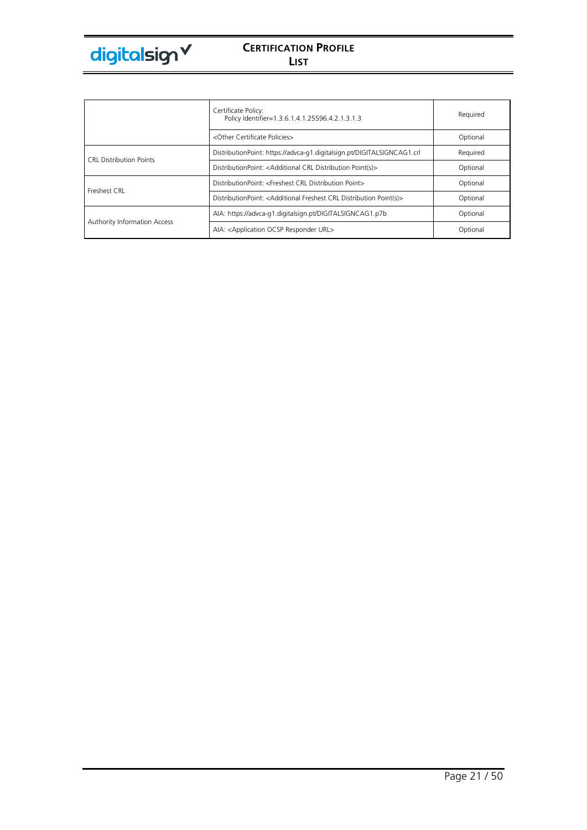

|                                     | Certificate Policy:<br>Policy Identifier=1.3.6.1.4.1.25596.4.2.1.3.1.3                      | Required |
|-------------------------------------|---------------------------------------------------------------------------------------------|----------|
|                                     | <other certificate="" policies=""></other>                                                  | Optional |
| <b>CRL Distribution Points</b>      | DistributionPoint: https://advca-g1.digitalsign.pt/DIGITALSIGNCAG1.crl                      | Required |
|                                     | DistributionPoint: <additional crl="" distribution="" point(s)=""></additional>             | Optional |
| Freshest CRL                        | DistributionPoint: <freshest crl="" distribution="" point=""></freshest>                    | Optional |
|                                     | DistributionPoint: <additional crl="" distribution="" freshest="" point(s)=""></additional> | Optional |
|                                     | AIA: https://advca-q1.digitalsign.pt/DIGITALSIGNCAG1.p7b                                    | Optional |
| <b>Authority Information Access</b> | AIA: <application ocsp="" responder="" url=""></application>                                | Optional |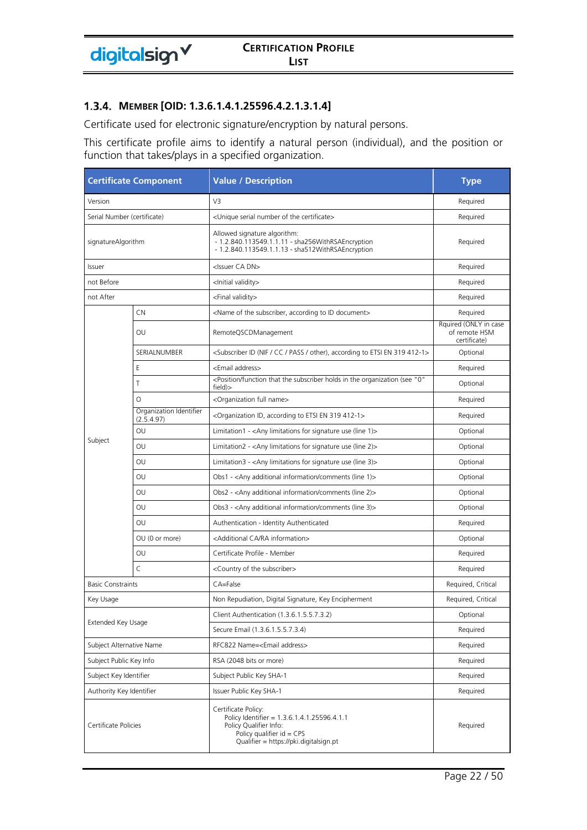#### **MEMBER [OID: 1.3.6.1.4.1.25596.4.2.1.3.1.4]**

Certificate used for electronic signature/encryption by natural persons.

This certificate profile aims to identify a natural person (individual), and the position or function that takes/plays in a specified organization.

| <b>Certificate Component</b> |                                       | <b>Value / Description</b>                                                                                                                                            | <b>Type</b>                                            |
|------------------------------|---------------------------------------|-----------------------------------------------------------------------------------------------------------------------------------------------------------------------|--------------------------------------------------------|
| Version                      |                                       | V <sub>3</sub>                                                                                                                                                        | Required                                               |
|                              | Serial Number (certificate)           | <unique certificate="" number="" of="" serial="" the=""></unique>                                                                                                     | Required                                               |
| signatureAlgorithm           |                                       | Allowed signature algorithm:<br>- 1.2.840.113549.1.1.11 - sha256WithRSAEncryption<br>- 1.2.840.113549.1.1.13 - sha512WithRSAEncryption                                | Required                                               |
| Issuer                       |                                       | <issuer ca="" dn=""></issuer>                                                                                                                                         | Required                                               |
| not Before                   |                                       | <lnitial validity=""></lnitial>                                                                                                                                       | Required                                               |
| not After                    |                                       | <final validity=""></final>                                                                                                                                           | Required                                               |
|                              | CN                                    | <name according="" document="" id="" of="" subscriber,="" the="" to=""></name>                                                                                        | Required                                               |
|                              | OU                                    | RemoteQSCDManagement                                                                                                                                                  | Rquired (ONLY in case<br>of remote HSM<br>certificate) |
|                              | SERIALNUMBER                          | <subscriber (nif="" 319="" 412-1="" according="" cc="" en="" etsi="" id="" other),="" pass="" to=""></subscriber>                                                     | Optional                                               |
|                              | Ε                                     | <email address=""></email>                                                                                                                                            | Required                                               |
|                              | T                                     | <position "0"<br="" (see="" function="" holds="" in="" organization="" subscriber="" that="" the="">field)&gt;</position>                                             | Optional                                               |
|                              | $\Omega$                              | <organization full="" name=""></organization>                                                                                                                         | Required                                               |
|                              | Organization Identifier<br>(2.5.4.97) | <organization 319="" 412-1="" according="" en="" etsi="" id,="" to=""></organization>                                                                                 | Required                                               |
|                              | OU                                    | Limitation1 - <any (line="" 1)="" for="" limitations="" signature="" use=""></any>                                                                                    | Optional                                               |
| Subject                      | OU                                    | Limitation2 - < Any limitations for signature use (line 2)>                                                                                                           | Optional                                               |
|                              | OU                                    | Limitation3 - <any (line="" 3)="" for="" limitations="" signature="" use=""></any>                                                                                    | Optional                                               |
|                              | OU                                    | Obs1 - <any (line="" 1)="" additional="" comments="" information=""></any>                                                                                            | Optional                                               |
|                              | OU                                    | Obs2 - <any (line="" 2)="" additional="" comments="" information=""></any>                                                                                            | Optional                                               |
|                              | OU                                    | Obs3 - <any (line="" 3)="" additional="" comments="" information=""></any>                                                                                            | Optional                                               |
|                              | OU                                    | Authentication - Identity Authenticated                                                                                                                               | Required                                               |
|                              | OU (0 or more)                        | <additional ca="" information="" ra=""></additional>                                                                                                                  | Optional                                               |
|                              | OU                                    | Certificate Profile - Member                                                                                                                                          | Required                                               |
|                              | $\mathsf{C}$                          | <country of="" subscriber="" the=""></country>                                                                                                                        | Required                                               |
| <b>Basic Constraints</b>     |                                       | CA=False                                                                                                                                                              | Required, Critical                                     |
| Key Usage                    |                                       | Non Repudiation, Digital Signature, Key Encipherment                                                                                                                  | Required, Critical                                     |
|                              |                                       | Client Authentication (1.3.6.1.5.5.7.3.2)                                                                                                                             | Optional                                               |
| Extended Key Usage           |                                       | Secure Email (1.3.6.1.5.5.7.3.4)                                                                                                                                      | Required                                               |
| Subject Alternative Name     |                                       | RFC822 Name= <email address=""></email>                                                                                                                               | Required                                               |
| Subject Public Key Info      |                                       | RSA (2048 bits or more)                                                                                                                                               | Required                                               |
| Subject Key Identifier       |                                       | Subject Public Key SHA-1                                                                                                                                              | Required                                               |
| Authority Key Identifier     |                                       | Issuer Public Key SHA-1                                                                                                                                               | Required                                               |
| Certificate Policies         |                                       | Certificate Policy:<br>Policy Identifier = 1.3.6.1.4.1.25596.4.1.1<br>Policy Qualifier Info:<br>Policy qualifier $id = CPS$<br>Qualifier = https://pki.digitalsign.pt | Required                                               |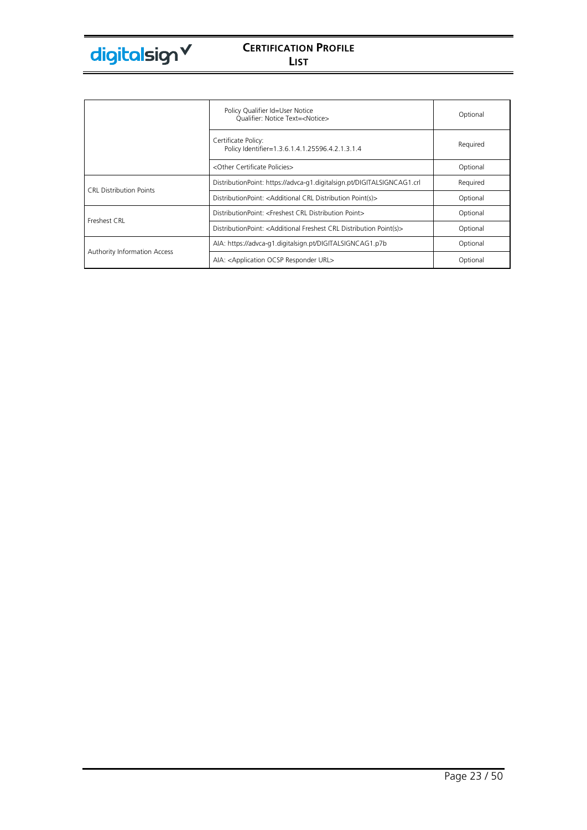|                                     | Policy Qualifier Id=User Notice<br>Qualifier: Notice Text= <notice></notice>                | Optional |
|-------------------------------------|---------------------------------------------------------------------------------------------|----------|
|                                     | Certificate Policy:<br>Policy Identifier=1.3.6.1.4.1.25596.4.2.1.3.1.4                      | Required |
|                                     | <other certificate="" policies=""></other>                                                  | Optional |
| <b>CRL Distribution Points</b>      | DistributionPoint: https://advca-g1.digitalsign.pt/DIGITALSIGNCAG1.crl                      | Required |
|                                     | DistributionPoint: <additional crl="" distribution="" point(s)=""></additional>             | Optional |
| Freshest CRL                        | DistributionPoint: <freshest crl="" distribution="" point=""></freshest>                    | Optional |
|                                     | DistributionPoint: <additional crl="" distribution="" freshest="" point(s)=""></additional> | Optional |
|                                     | AIA: https://advca-g1.digitalsign.pt/DIGITALSIGNCAG1.p7b                                    | Optional |
| <b>Authority Information Access</b> | AIA: <application ocsp="" responder="" url=""></application>                                | Optional |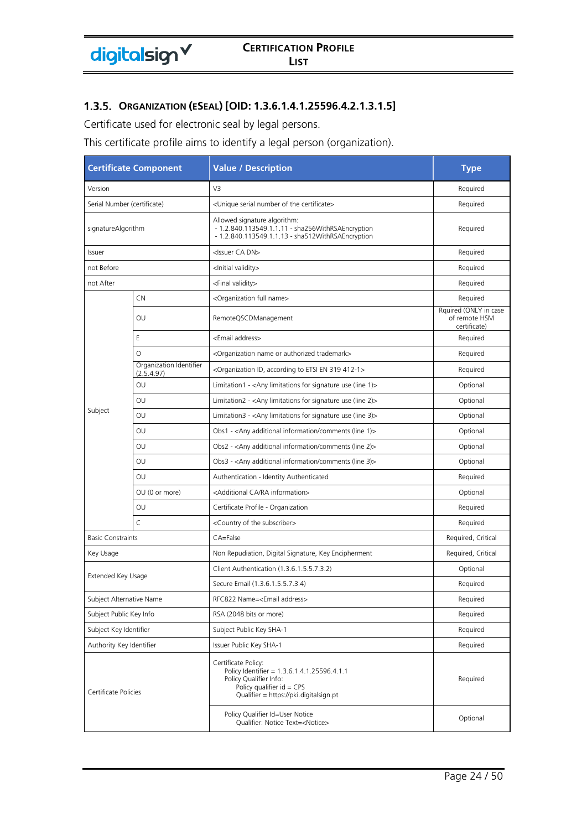# **ORGANIZATION (ESEAL) [OID: 1.3.6.1.4.1.25596.4.2.1.3.1.5]**

Certificate used for electronic seal by legal persons.

This certificate profile aims to identify a legal person (organization).

| <b>Certificate Component</b> |                                       | <b>Value / Description</b>                                                                                                                                            | <b>Type</b>                                            |
|------------------------------|---------------------------------------|-----------------------------------------------------------------------------------------------------------------------------------------------------------------------|--------------------------------------------------------|
| Version                      |                                       | V3                                                                                                                                                                    | Required                                               |
| Serial Number (certificate)  |                                       | <unique certificate="" number="" of="" serial="" the=""></unique>                                                                                                     | Required                                               |
| signatureAlgorithm           |                                       | Allowed signature algorithm:<br>- 1.2.840.113549.1.1.11 - sha256WithRSAEncryption<br>- 1.2.840.113549.1.1.13 - sha512WithRSAEncryption                                | Required                                               |
| Issuer                       |                                       | <issuer ca="" dn=""></issuer>                                                                                                                                         | Required                                               |
| not Before                   |                                       | <lnitial validity=""></lnitial>                                                                                                                                       | Required                                               |
| not After                    |                                       | <final validity=""></final>                                                                                                                                           | Required                                               |
|                              | <b>CN</b>                             | <organization full="" name=""></organization>                                                                                                                         | Required                                               |
|                              | OU                                    | RemoteQSCDManagement                                                                                                                                                  | Rquired (ONLY in case<br>of remote HSM<br>certificate) |
|                              | E                                     | <email address=""></email>                                                                                                                                            | Required                                               |
|                              | $\circ$                               | <organization authorized="" name="" or="" trademark=""></organization>                                                                                                | Required                                               |
|                              | Organization Identifier<br>(2.5.4.97) | <organization 319="" 412-1="" according="" en="" etsi="" id,="" to=""></organization>                                                                                 | Required                                               |
|                              | OU                                    | Limitation1 - $\langle$ Any limitations for signature use (line 1) $>$                                                                                                | Optional                                               |
|                              | OU                                    | Limitation2 - $\langle$ Any limitations for signature use (line 2) $>$                                                                                                | Optional                                               |
| Subject                      | OU                                    | Limitation3 - < Any limitations for signature use (line 3)>                                                                                                           | Optional                                               |
|                              | OU                                    | Obs1 - <any (line="" 1)="" additional="" comments="" information=""></any>                                                                                            | Optional                                               |
|                              | OU                                    | Obs2 - <any (line="" 2)="" additional="" comments="" information=""></any>                                                                                            | Optional                                               |
|                              | OU                                    | Obs3 - <any (line="" 3)="" additional="" comments="" information=""></any>                                                                                            | Optional                                               |
|                              | OU                                    | Authentication - Identity Authenticated                                                                                                                               | Required                                               |
|                              | OU (0 or more)                        | <additional ca="" information="" ra=""></additional>                                                                                                                  | Optional                                               |
|                              | OU                                    | Certificate Profile - Organization                                                                                                                                    | Required                                               |
|                              | $\mathsf{C}$                          | <country of="" subscriber="" the=""></country>                                                                                                                        | Required                                               |
| <b>Basic Constraints</b>     |                                       | $CA = False$                                                                                                                                                          | Required, Critical                                     |
| Key Usage                    |                                       | Non Repudiation, Digital Signature, Key Encipherment                                                                                                                  | Required, Critical                                     |
| Extended Key Usage           |                                       | Client Authentication (1.3.6.1.5.5.7.3.2)                                                                                                                             | Optional                                               |
|                              |                                       | Secure Email (1.3.6.1.5.5.7.3.4)                                                                                                                                      | Required                                               |
| Subject Alternative Name     |                                       | RFC822 Name= <email address=""></email>                                                                                                                               | Required                                               |
| Subject Public Key Info      |                                       | RSA (2048 bits or more)                                                                                                                                               | Required                                               |
| Subject Key Identifier       |                                       | Subject Public Key SHA-1                                                                                                                                              | Required                                               |
| Authority Key Identifier     |                                       | Issuer Public Key SHA-1                                                                                                                                               | Required                                               |
| Certificate Policies         |                                       | Certificate Policy:<br>Policy Identifier = 1.3.6.1.4.1.25596.4.1.1<br>Policy Qualifier Info:<br>Policy qualifier $id = CPS$<br>Qualifier = https://pki.digitalsign.pt | Required                                               |
|                              |                                       | Policy Qualifier Id=User Notice<br>Qualifier: Notice Text= <notice></notice>                                                                                          | Optional                                               |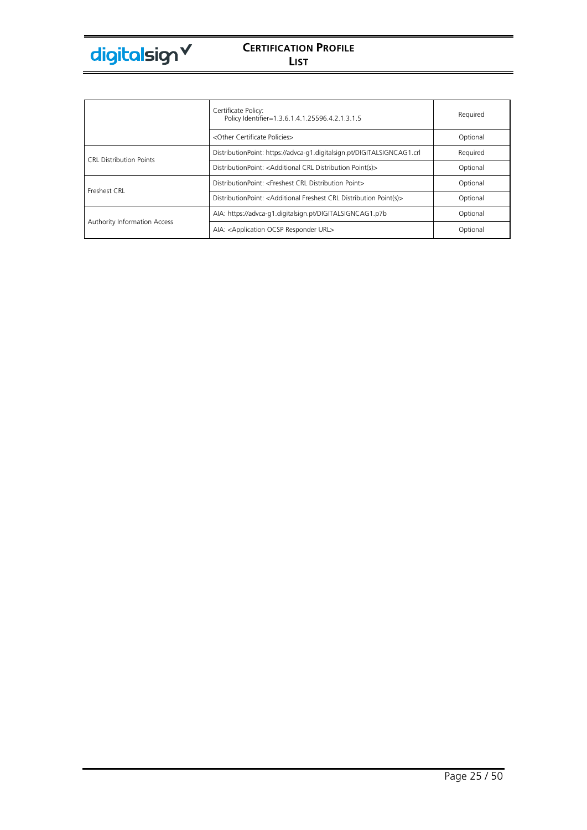

|                                     | Certificate Policy:<br>Policy Identifier=1.3.6.1.4.1.25596.4.2.1.3.1.5                      | Required |
|-------------------------------------|---------------------------------------------------------------------------------------------|----------|
|                                     | <other certificate="" policies=""></other>                                                  | Optional |
| <b>CRL Distribution Points</b>      | DistributionPoint: https://advca-g1.digitalsign.pt/DIGITALSIGNCAG1.crl                      | Required |
|                                     | DistributionPoint: <additional crl="" distribution="" point(s)=""></additional>             | Optional |
| Freshest CRL                        | DistributionPoint: <freshest crl="" distribution="" point=""></freshest>                    | Optional |
|                                     | DistributionPoint: <additional crl="" distribution="" freshest="" point(s)=""></additional> | Optional |
|                                     | AIA: https://advca-g1.digitalsign.pt/DIGITALSIGNCAG1.p7b                                    | Optional |
| <b>Authority Information Access</b> | AIA: <application ocsp="" responder="" url=""></application>                                | Optional |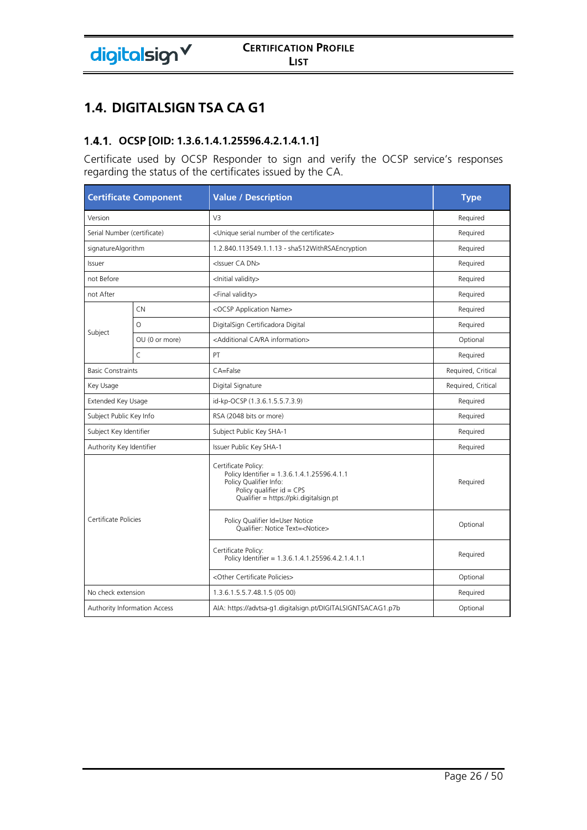# **1.4. DIGITALSIGN TSA CA G1**

# **OCSP [OID: 1.3.6.1.4.1.25596.4.2.1.4.1.1]**

Certificate used by OCSP Responder to sign and verify the OCSP service's responses regarding the status of the certificates issued by the CA.

| <b>Certificate Component</b> |                | <b>Value / Description</b>                                                                                                                                            | <b>Type</b>        |
|------------------------------|----------------|-----------------------------------------------------------------------------------------------------------------------------------------------------------------------|--------------------|
| Version                      |                | V <sub>3</sub>                                                                                                                                                        | Required           |
| Serial Number (certificate)  |                | <unique certificate="" number="" of="" serial="" the=""></unique>                                                                                                     | Required           |
| signatureAlgorithm           |                | 1.2.840.113549.1.1.13 - sha512WithRSAEncryption                                                                                                                       | Required           |
| Issuer                       |                | <issuer ca="" dn=""></issuer>                                                                                                                                         | Required           |
| not Before                   |                | <lnitial validity=""></lnitial>                                                                                                                                       | Required           |
| not After                    |                | <final validity=""></final>                                                                                                                                           | Required           |
|                              | CN.            | <ocsp application="" name=""></ocsp>                                                                                                                                  | Required           |
|                              | $\circ$        | DigitalSign Certificadora Digital                                                                                                                                     | Required           |
| Subject                      | OU (0 or more) | <additional ca="" information="" ra=""></additional>                                                                                                                  | Optional           |
|                              | $\mathsf{C}$   | PT                                                                                                                                                                    | Required           |
| <b>Basic Constraints</b>     |                | CA=False                                                                                                                                                              | Required, Critical |
| Key Usage                    |                | Digital Signature                                                                                                                                                     | Required, Critical |
| Extended Key Usage           |                | id-kp-OCSP (1.3.6.1.5.5.7.3.9)                                                                                                                                        | Required           |
| Subject Public Key Info      |                | RSA (2048 bits or more)                                                                                                                                               | Required           |
| Subject Key Identifier       |                | Subject Public Key SHA-1                                                                                                                                              | Required           |
| Authority Key Identifier     |                | Issuer Public Key SHA-1                                                                                                                                               | Required           |
|                              |                | Certificate Policy:<br>Policy Identifier = 1.3.6.1.4.1.25596.4.1.1<br>Policy Qualifier Info:<br>Policy qualifier $id = CPS$<br>Qualifier = https://pki.digitalsign.pt | Required           |
| Certificate Policies         |                | Policy Qualifier Id=User Notice<br>Oualifier: Notice Text= <notice></notice>                                                                                          | Optional           |
|                              |                | Certificate Policy:<br>Policy Identifier = 1.3.6.1.4.1.25596.4.2.1.4.1.1                                                                                              | Required           |
|                              |                | <other certificate="" policies=""></other>                                                                                                                            | Optional           |
| No check extension           |                | 1.3.6.1.5.5.7.48.1.5 (05 00)                                                                                                                                          | Required           |
| Authority Information Access |                | AIA: https://advtsa-g1.digitalsign.pt/DIGITALSIGNTSACAG1.p7b                                                                                                          | Optional           |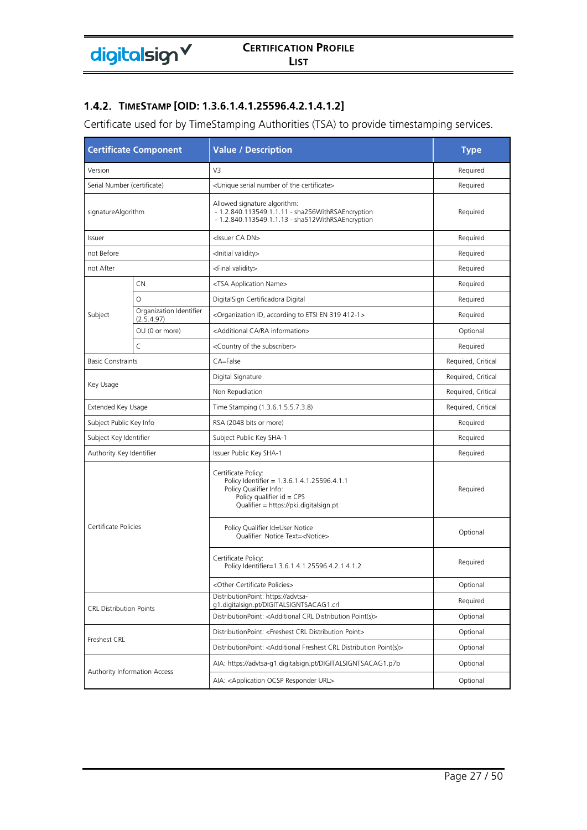### **TIMESTAMP [OID: 1.3.6.1.4.1.25596.4.2.1.4.1.2]**

Certificate used for by TimeStamping Authorities (TSA) to provide timestamping services.

| <b>Certificate Component</b>   |                                       | <b>Value / Description</b>                                                                                                                                            | <b>Type</b>        |  |
|--------------------------------|---------------------------------------|-----------------------------------------------------------------------------------------------------------------------------------------------------------------------|--------------------|--|
| Version                        |                                       | V3                                                                                                                                                                    | Required           |  |
| Serial Number (certificate)    |                                       | <unique certificate="" number="" of="" serial="" the=""></unique>                                                                                                     | Required           |  |
| signatureAlgorithm             |                                       | Allowed signature algorithm:<br>- 1.2.840.113549.1.1.11 - sha256WithRSAEncryption<br>- 1.2.840.113549.1.1.13 - sha512WithRSAEncryption                                | Required           |  |
| Issuer                         |                                       | <issuer ca="" dn=""></issuer>                                                                                                                                         | Required           |  |
| not Before                     |                                       | <lnitial validity=""></lnitial>                                                                                                                                       | Required           |  |
| not After                      |                                       | <final validity=""></final>                                                                                                                                           | Required           |  |
|                                | <b>CN</b>                             | <tsa application="" name=""></tsa>                                                                                                                                    | Required           |  |
|                                | $\circ$                               | DigitalSign Certificadora Digital                                                                                                                                     | Required           |  |
| Subject                        | Organization Identifier<br>(2.5.4.97) | <organization 319="" 412-1="" according="" en="" etsi="" id,="" to=""></organization>                                                                                 | Required           |  |
|                                | OU (0 or more)                        | <additional ca="" information="" ra=""></additional>                                                                                                                  | Optional           |  |
|                                | $\subset$                             | <country of="" subscriber="" the=""></country>                                                                                                                        | Required           |  |
| <b>Basic Constraints</b>       |                                       | CA=False                                                                                                                                                              | Required, Critical |  |
|                                |                                       | Digital Signature                                                                                                                                                     | Required, Critical |  |
| Key Usage                      |                                       | Non Repudiation                                                                                                                                                       | Required, Critical |  |
| Extended Key Usage             |                                       | Time Stamping (1.3.6.1.5.5.7.3.8)                                                                                                                                     | Required, Critical |  |
| Subject Public Key Info        |                                       | RSA (2048 bits or more)                                                                                                                                               | Required           |  |
| Subject Key Identifier         |                                       | Subject Public Key SHA-1                                                                                                                                              | Required           |  |
| Authority Key Identifier       |                                       | Issuer Public Key SHA-1                                                                                                                                               | Required           |  |
|                                |                                       | Certificate Policy:<br>Policy Identifier = 1.3.6.1.4.1.25596.4.1.1<br>Policy Qualifier Info:<br>Policy qualifier $id = CPS$<br>Qualifier = https://pki.digitalsign.pt | Required           |  |
| Certificate Policies           |                                       | Policy Qualifier Id=User Notice<br>Qualifier: Notice Text= <notice></notice>                                                                                          | Optional           |  |
|                                |                                       | Certificate Policy:<br>Policy Identifier=1.3.6.1.4.1.25596.4.2.1.4.1.2                                                                                                | Required           |  |
|                                |                                       | <other certificate="" policies=""></other>                                                                                                                            | Optional           |  |
|                                |                                       | DistributionPoint: https://advtsa-<br>g1.digitalsign.pt/DIGITALSIGNTSACAG1.crl                                                                                        | Required           |  |
| <b>CRL Distribution Points</b> |                                       | DistributionPoint: <additional crl="" distribution="" point(s)=""></additional>                                                                                       | Optional           |  |
|                                |                                       | DistributionPoint: <freshest crl="" distribution="" point=""></freshest>                                                                                              | Optional           |  |
| Freshest CRL                   |                                       | DistributionPoint: <additional crl="" distribution="" freshest="" point(s)=""></additional>                                                                           | Optional           |  |
|                                |                                       | AIA: https://advtsa-g1.digitalsign.pt/DIGITALSIGNTSACAG1.p7b                                                                                                          | Optional           |  |
| Authority Information Access   |                                       | AIA: < Application OCSP Responder URL>                                                                                                                                | Optional           |  |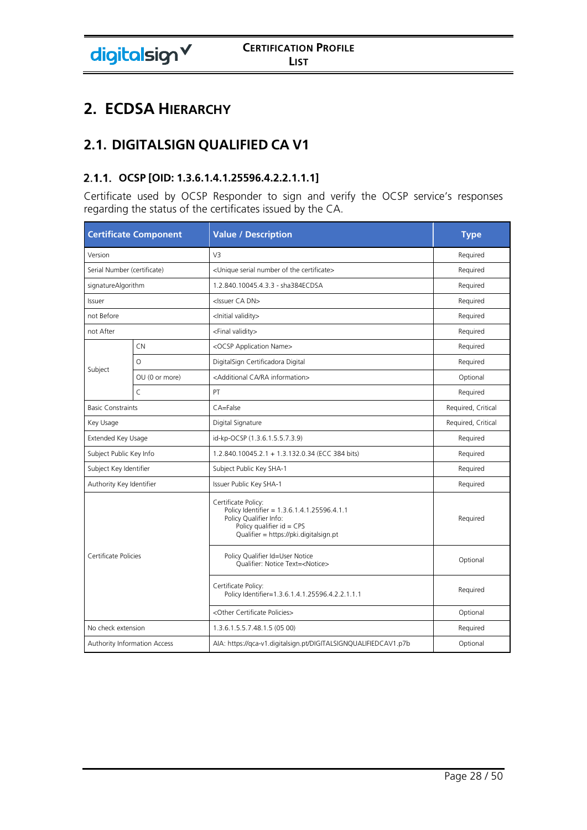# **2. ECDSA HIERARCHY**

# **2.1. DIGITALSIGN QUALIFIED CA V1**

# **OCSP [OID: 1.3.6.1.4.1.25596.4.2.2.1.1.1]**

Certificate used by OCSP Responder to sign and verify the OCSP service's responses regarding the status of the certificates issued by the CA.

| <b>Certificate Component</b> |                | <b>Value / Description</b>                                                                                                                                            | <b>Type</b>        |
|------------------------------|----------------|-----------------------------------------------------------------------------------------------------------------------------------------------------------------------|--------------------|
| Version                      |                | V3                                                                                                                                                                    | Required           |
| Serial Number (certificate)  |                | <unique certificate="" number="" of="" serial="" the=""></unique>                                                                                                     | Required           |
| signatureAlgorithm           |                | 1.2.840.10045.4.3.3 - sha384ECDSA                                                                                                                                     | Required           |
| Issuer                       |                | <issuer ca="" dn=""></issuer>                                                                                                                                         | Required           |
| not Before                   |                | <lnitial validity=""></lnitial>                                                                                                                                       | Required           |
| not After                    |                | <final validity=""></final>                                                                                                                                           | Required           |
|                              | CN             | <ocsp application="" name=""></ocsp>                                                                                                                                  | Required           |
|                              | $\circ$        | DigitalSign Certificadora Digital                                                                                                                                     | Required           |
| Subject                      | OU (0 or more) | <additional ca="" information="" ra=""></additional>                                                                                                                  | Optional           |
|                              | $\mathsf{C}$   | PT                                                                                                                                                                    | Required           |
| <b>Basic Constraints</b>     |                | CA=False                                                                                                                                                              | Required, Critical |
| Key Usage                    |                | Digital Signature                                                                                                                                                     | Required, Critical |
| Extended Key Usage           |                | id-kp-OCSP (1.3.6.1.5.5.7.3.9)                                                                                                                                        | Required           |
| Subject Public Key Info      |                | 1.2.840.10045.2.1 + 1.3.132.0.34 (ECC 384 bits)                                                                                                                       | Required           |
| Subject Key Identifier       |                | Subject Public Key SHA-1                                                                                                                                              | Required           |
| Authority Key Identifier     |                | Issuer Public Key SHA-1                                                                                                                                               | Required           |
|                              |                | Certificate Policy:<br>Policy Identifier = 1.3.6.1.4.1.25596.4.1.1<br>Policy Qualifier Info:<br>Policy qualifier $id = CPS$<br>Qualifier = https://pki.digitalsign.pt | Required           |
| Certificate Policies         |                | Policy Qualifier Id=User Notice<br>Oualifier: Notice Text= <notice></notice>                                                                                          |                    |
|                              |                | Certificate Policy:<br>Policy Identifier=1.3.6.1.4.1.25596.4.2.2.1.1.1                                                                                                | Required           |
|                              |                | <other certificate="" policies=""></other>                                                                                                                            | Optional           |
| No check extension           |                | 1.3.6.1.5.5.7.48.1.5 (05 00)                                                                                                                                          | Required           |
| Authority Information Access |                | AIA: https://qca-v1.digitalsign.pt/DIGITALSIGNQUALIFIEDCAV1.p7b                                                                                                       | Optional           |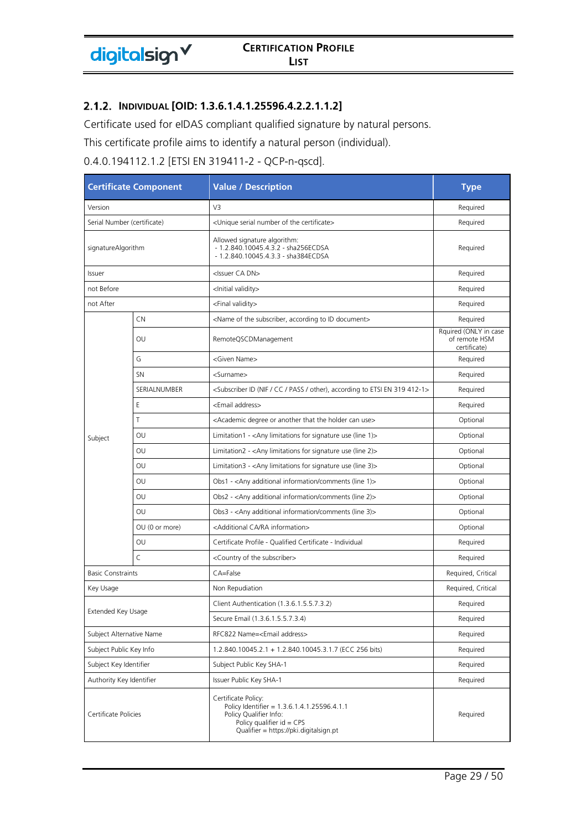#### **INDIVIDUAL [OID: 1.3.6.1.4.1.25596.4.2.2.1.1.2]**

Certificate used for eIDAS compliant qualified signature by natural persons.

This certificate profile aims to identify a natural person (individual).

0.4.0.194112.1.2 [ETSI EN 319411-2 - QCP-n-qscd].

| <b>Certificate Component</b> |                             | <b>Value / Description</b>                                                                                                                                            | <b>Type</b>                                            |
|------------------------------|-----------------------------|-----------------------------------------------------------------------------------------------------------------------------------------------------------------------|--------------------------------------------------------|
| Version                      |                             | V <sub>3</sub>                                                                                                                                                        | Required                                               |
|                              | Serial Number (certificate) | <unique certificate="" number="" of="" serial="" the=""></unique>                                                                                                     | Required                                               |
| signatureAlgorithm           |                             | Allowed signature algorithm:<br>- 1.2.840.10045.4.3.2 - sha256ECDSA<br>- 1.2.840.10045.4.3.3 - sha384ECDSA                                                            | Required                                               |
| Issuer                       |                             | <issuer ca="" dn=""></issuer>                                                                                                                                         | Required                                               |
| not Before                   |                             | <lnitial validity=""></lnitial>                                                                                                                                       | Required                                               |
| not After                    |                             | <final validity=""></final>                                                                                                                                           | Required                                               |
|                              | CN                          | <name according="" document="" id="" of="" subscriber,="" the="" to=""></name>                                                                                        | Required                                               |
|                              | OU                          | RemoteQSCDManagement                                                                                                                                                  | Rquired (ONLY in case<br>of remote HSM<br>certificate) |
|                              | G                           | <given name=""></given>                                                                                                                                               | Required                                               |
|                              | <b>SN</b>                   | <surname></surname>                                                                                                                                                   | Required                                               |
|                              | SERIALNUMBER                | <subscriber (nif="" 319="" 412-1="" according="" cc="" en="" etsi="" id="" other),="" pass="" to=""></subscriber>                                                     | Required                                               |
|                              | Ε                           | <email address=""></email>                                                                                                                                            | Required                                               |
|                              | Τ                           | <academic another="" can="" degree="" holder="" or="" that="" the="" use=""></academic>                                                                               | Optional                                               |
| Subject                      | OU                          | Limitation1 - < Any limitations for signature use (line 1) >                                                                                                          | Optional                                               |
|                              | OU                          | Limitation2 - < Any limitations for signature use (line 2)>                                                                                                           | Optional                                               |
|                              | OU                          | Limitation3 - $\langle$ Any limitations for signature use (line 3) $>$                                                                                                | Optional                                               |
|                              | OU                          | Obs1 - < Any additional information/comments (line 1)>                                                                                                                | Optional                                               |
|                              | OU                          | Obs2 - <any (line="" 2)="" additional="" comments="" information=""></any>                                                                                            | Optional                                               |
|                              | OU                          | Obs3 - <any (line="" 3)="" additional="" comments="" information=""></any>                                                                                            | Optional                                               |
|                              | OU (0 or more)              | <additional ca="" information="" ra=""></additional>                                                                                                                  | Optional                                               |
|                              | OU                          | Certificate Profile - Qualified Certificate - Individual                                                                                                              | Required                                               |
|                              | $\mathsf{C}$                | <country of="" subscriber="" the=""></country>                                                                                                                        | Required                                               |
| <b>Basic Constraints</b>     |                             | CA=False                                                                                                                                                              | Required, Critical                                     |
| Key Usage                    |                             | Non Repudiation                                                                                                                                                       | Required, Critical                                     |
| Extended Key Usage           |                             | Client Authentication (1.3.6.1.5.5.7.3.2)                                                                                                                             | Required                                               |
|                              |                             | Secure Email (1.3.6.1.5.5.7.3.4)                                                                                                                                      | Required                                               |
| Subject Alternative Name     |                             | RFC822 Name= <email address=""></email>                                                                                                                               | Required                                               |
| Subject Public Key Info      |                             | 1.2.840.10045.2.1 + 1.2.840.10045.3.1.7 (ECC 256 bits)                                                                                                                | Required                                               |
| Subject Key Identifier       |                             | Subject Public Key SHA-1                                                                                                                                              | Required                                               |
| Authority Key Identifier     |                             | Issuer Public Key SHA-1                                                                                                                                               | Required                                               |
| Certificate Policies         |                             | Certificate Policy:<br>Policy Identifier = 1.3.6.1.4.1.25596.4.1.1<br>Policy Qualifier Info:<br>Policy qualifier $id = CPS$<br>Qualifier = https://pki.digitalsign.pt | Required                                               |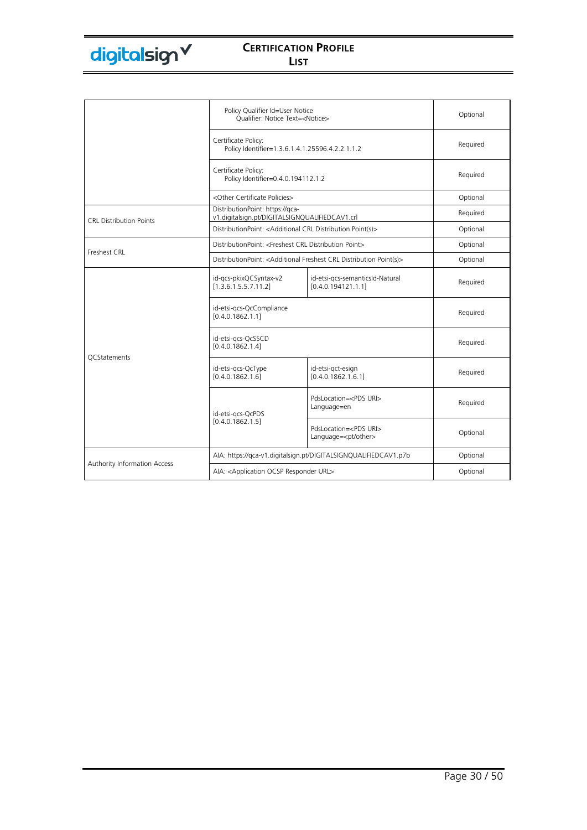|                                | Policy Qualifier Id=User Notice<br>Oualifier: Notice Text= <notice></notice>      |                                                                 | Optional |
|--------------------------------|-----------------------------------------------------------------------------------|-----------------------------------------------------------------|----------|
|                                | Certificate Policy:<br>Policy Identifier=1.3.6.1.4.1.25596.4.2.2.1.1.2            |                                                                 | Required |
|                                | Certificate Policy:<br>Policy Identifier=0.4.0.194112.1.2                         |                                                                 | Required |
|                                | <other certificate="" policies=""></other>                                        |                                                                 | Optional |
| <b>CRL Distribution Points</b> | DistributionPoint: https://gca-<br>v1.digitalsign.pt/DIGITALSIGNQUALIFIEDCAV1.crl |                                                                 | Required |
|                                | DistributionPoint: < Additional CRL Distribution Point(s)>                        |                                                                 | Optional |
|                                | DistributionPoint: <freshest crl="" distribution="" point=""></freshest>          |                                                                 | Optional |
| Freshest CRL                   | DistributionPoint: < Additional Freshest CRL Distribution Point(s)>               |                                                                 | Optional |
|                                | id-gcs-pkixQCSyntax-v2<br>[1.3.6.1.5.5.7.11.2]                                    | id-etsi-gcs-semanticsId-Natural<br>[0.4.0.194121.1.1]           | Required |
|                                | id-etsi-gcs-QcCompliance<br>[0.4.0.1862.1.1]                                      |                                                                 | Required |
| <b>QCStatements</b>            | id-etsi-gcs-QcSSCD<br>[0.4.0.1862.1.4]                                            |                                                                 | Required |
|                                | id-etsi-gcs-QcType<br>[0.4.0.1862.1.6]                                            | id-etsi-gct-esign<br>[0.4.0.1862.1.6.1]                         | Required |
|                                | id-etsi-gcs-QcPDS                                                                 | PdsLocation= <pds uri=""><br/>Language=en</pds>                 | Required |
|                                | [0.4.0.1862.1.5]                                                                  | PdsLocation= <pds uri=""><br/>Language=<pt other=""></pt></pds> | Optional |
|                                |                                                                                   | AIA: https://qca-v1.digitalsign.pt/DIGITALSIGNQUALIFIEDCAV1.p7b | Optional |
| Authority Information Access   | AIA: <application ocsp="" responder="" url=""></application>                      |                                                                 | Optional |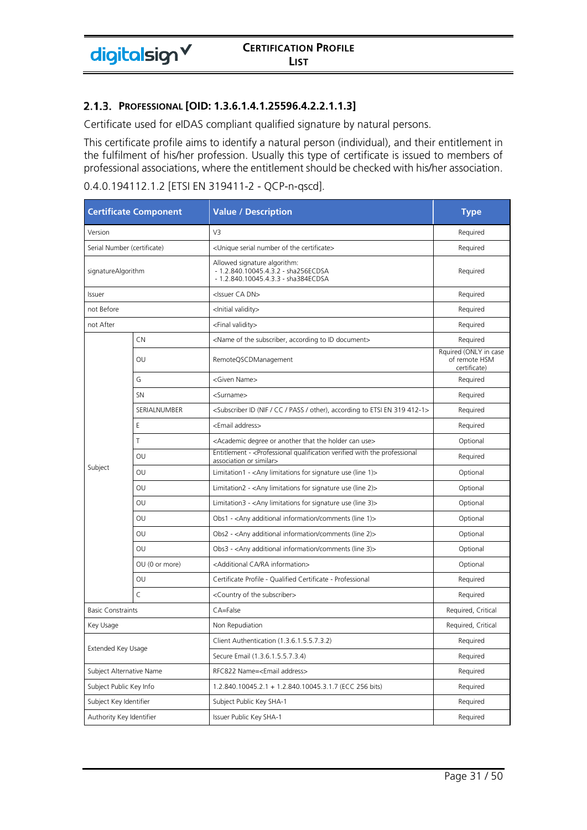Certificate used for eIDAS compliant qualified signature by natural persons.

This certificate profile aims to identify a natural person (individual), and their entitlement in the fulfilment of his/her profession. Usually this type of certificate is issued to members of professional associations, where the entitlement should be checked with his/her association.

| <b>Certificate Component</b> |                          | <b>Value / Description</b>                                                                                                           | <b>Type</b>                                            |
|------------------------------|--------------------------|--------------------------------------------------------------------------------------------------------------------------------------|--------------------------------------------------------|
| Version                      |                          | V3                                                                                                                                   | Required                                               |
| Serial Number (certificate)  |                          | <unique certificate="" number="" of="" serial="" the=""></unique>                                                                    | Required                                               |
| signatureAlgorithm           |                          | Allowed signature algorithm:<br>- 1.2.840.10045.4.3.2 - sha256ECDSA<br>- 1.2.840.10045.4.3.3 - sha384ECDSA                           | Required                                               |
| Issuer                       |                          | <issuer ca="" dn=""></issuer>                                                                                                        | Required                                               |
| not Before                   |                          | <lnitial validity=""></lnitial>                                                                                                      | Required                                               |
| not After                    |                          | <final validity=""></final>                                                                                                          | Required                                               |
|                              | CN                       | <name according="" document="" id="" of="" subscriber,="" the="" to=""></name>                                                       | Required                                               |
|                              | OU                       | RemoteQSCDManagement                                                                                                                 | Rquired (ONLY in case<br>of remote HSM<br>certificate) |
|                              | G                        | <given name=""></given>                                                                                                              | Required                                               |
|                              | <b>SN</b>                | <surname></surname>                                                                                                                  | Required                                               |
|                              | SERIALNUMBER             | <subscriber (nif="" 319="" 412-1="" according="" cc="" en="" etsi="" id="" other),="" pass="" to=""></subscriber>                    | Required                                               |
|                              | Ε                        | <email address=""></email>                                                                                                           | Required                                               |
|                              | T                        | <academic another="" can="" degree="" holder="" or="" that="" the="" use=""></academic>                                              | Optional                                               |
|                              | OU                       | Entitlement - <professional professional<br="" qualification="" the="" verified="" with="">association or similar&gt;</professional> | Required                                               |
| Subject                      | OU                       | Limitation1 - < Any limitations for signature use (line 1) >                                                                         | Optional                                               |
|                              | OU                       | Limitation2 - < Any limitations for signature use (line 2)>                                                                          | Optional                                               |
|                              | OU                       | Limitation3 - $\langle$ Any limitations for signature use (line 3) $>$                                                               | Optional                                               |
|                              | OU                       | Obs1 - <any (line="" 1)="" additional="" comments="" information=""></any>                                                           | Optional                                               |
|                              | OU                       | Obs2 - <any (line="" 2)="" additional="" comments="" information=""></any>                                                           | Optional                                               |
|                              | OU                       | Obs3 - <any (line="" 3)="" additional="" comments="" information=""></any>                                                           | Optional                                               |
|                              | OU (0 or more)           | <additional ca="" information="" ra=""></additional>                                                                                 | Optional                                               |
|                              | OU                       | Certificate Profile - Qualified Certificate - Professional                                                                           | Required                                               |
|                              | $\mathsf{C}$             | <country of="" subscriber="" the=""></country>                                                                                       | Required                                               |
| <b>Basic Constraints</b>     |                          | CA=False                                                                                                                             | Required, Critical                                     |
| Key Usage                    |                          | Non Repudiation                                                                                                                      | Required, Critical                                     |
| Extended Key Usage           |                          | Client Authentication (1.3.6.1.5.5.7.3.2)                                                                                            | Required                                               |
|                              |                          | Secure Email (1.3.6.1.5.5.7.3.4)                                                                                                     | Required                                               |
|                              | Subject Alternative Name | RFC822 Name= <email address=""></email>                                                                                              | Required                                               |
| Subject Public Key Info      |                          | 1.2.840.10045.2.1 + 1.2.840.10045.3.1.7 (ECC 256 bits)                                                                               | Required                                               |
| Subject Key Identifier       |                          | Subject Public Key SHA-1                                                                                                             | Required                                               |
| Authority Key Identifier     |                          | Issuer Public Key SHA-1                                                                                                              | Required                                               |

#### 0.4.0.194112.1.2 [ETSI EN 319411-2 - QCP-n-qscd].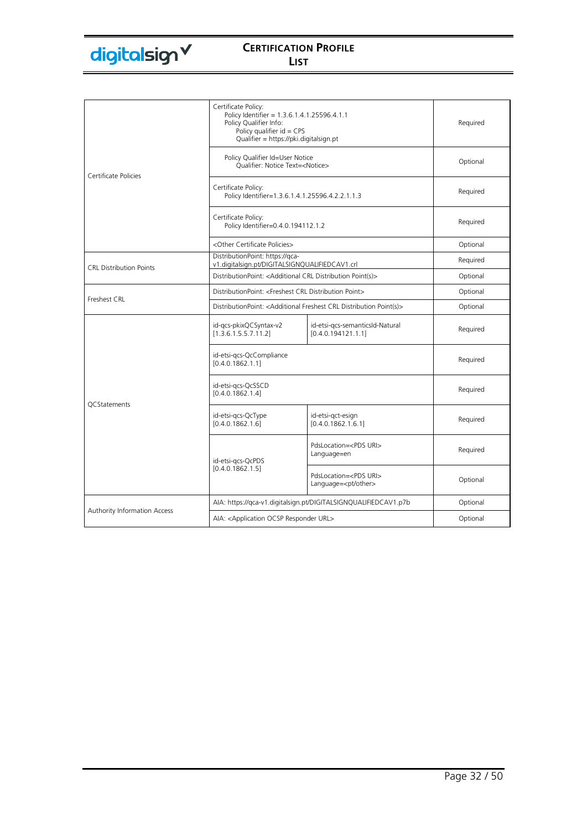|                                | Certificate Policy:<br>Policy Identifier = 1.3.6.1.4.1.25596.4.1.1<br>Policy Qualifier Info:<br>Policy qualifier $id = CPS$<br>Qualifier = https://pki.digitalsign.pt |                                                                 | Required |
|--------------------------------|-----------------------------------------------------------------------------------------------------------------------------------------------------------------------|-----------------------------------------------------------------|----------|
| Certificate Policies           | Policy Qualifier Id=User Notice<br>Qualifier: Notice Text= <notice></notice>                                                                                          |                                                                 | Optional |
|                                | Certificate Policy:<br>Policy Identifier=1.3.6.1.4.1.25596.4.2.2.1.1.3                                                                                                |                                                                 | Required |
|                                | Certificate Policy:<br>Policy Identifier=0.4.0.194112.1.2                                                                                                             |                                                                 | Required |
|                                | <other certificate="" policies=""></other>                                                                                                                            |                                                                 | Optional |
|                                | DistributionPoint: https://qca-<br>v1.digitalsign.pt/DIGITALSIGNQUALIFIEDCAV1.crl                                                                                     |                                                                 | Required |
| <b>CRL Distribution Points</b> |                                                                                                                                                                       | DistributionPoint: < Additional CRL Distribution Point(s)>      |          |
| Freshest CRL                   | DistributionPoint: <freshest crl="" distribution="" point=""></freshest>                                                                                              |                                                                 | Optional |
|                                | DistributionPoint: < Additional Freshest CRL Distribution Point(s)>                                                                                                   |                                                                 | Optional |
|                                | id-qcs-pkixQCSyntax-v2<br>[1.3.6.1.5.5.7.11.2]                                                                                                                        | id-etsi-qcs-semanticsId-Natural<br>[0.4.0.194121.1.1]           | Required |
|                                | id-etsi-gcs-QcCompliance<br>[0.4.0.1862.1.1]                                                                                                                          |                                                                 | Required |
|                                | id-etsi-gcs-QcSSCD<br>[0.4.0.1862.1.4]                                                                                                                                |                                                                 | Required |
| QCStatements                   | id-etsi-gcs-QcType<br>[0.4.0.1862.1.6]                                                                                                                                | id-etsi-gct-esign<br>[0.4.0.1862.1.6.1]                         | Required |
|                                | id-etsi-gcs-QcPDS                                                                                                                                                     | PdsLocation= <pds uri=""><br/>Language=en</pds>                 | Required |
|                                | [0.4.0.1862.1.5]                                                                                                                                                      | PdsLocation= <pds uri=""><br/>Language=<pt other=""></pt></pds> | Optional |
|                                | AIA: https://qca-v1.digitalsign.pt/DIGITALSIGNQUALIFIEDCAV1.p7b                                                                                                       |                                                                 | Optional |
| Authority Information Access   | AIA: < Application OCSP Responder URL>                                                                                                                                |                                                                 | Optional |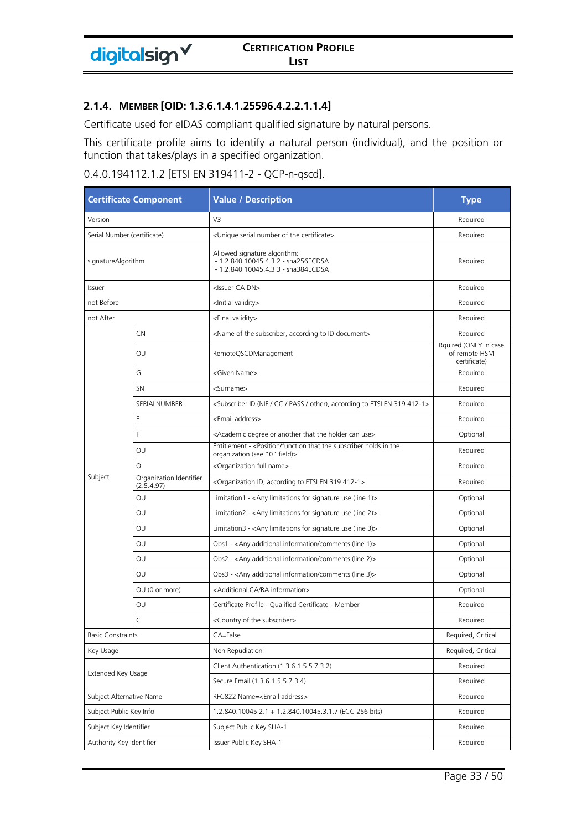#### **MEMBER [OID: 1.3.6.1.4.1.25596.4.2.2.1.1.4]**

digitalsign V

Certificate used for eIDAS compliant qualified signature by natural persons.

This certificate profile aims to identify a natural person (individual), and the position or function that takes/plays in a specified organization.

### 0.4.0.194112.1.2 [ETSI EN 319411-2 - QCP-n-qscd].

| <b>Certificate Component</b> |                                       | <b>Value / Description</b>                                                                                        | <b>Type</b>                                            |
|------------------------------|---------------------------------------|-------------------------------------------------------------------------------------------------------------------|--------------------------------------------------------|
| Version                      |                                       | V3                                                                                                                | Required                                               |
| Serial Number (certificate)  |                                       | <unique certificate="" number="" of="" serial="" the=""></unique>                                                 | Required                                               |
| signatureAlgorithm           |                                       | Allowed signature algorithm:<br>- 1.2.840.10045.4.3.2 - sha256ECDSA<br>- 1.2.840.10045.4.3.3 - sha384ECDSA        | Required                                               |
| Issuer                       |                                       | <issuer ca="" dn=""></issuer>                                                                                     | Required                                               |
| not Before                   |                                       | <lnitial validity=""></lnitial>                                                                                   | Required                                               |
| not After                    |                                       | <final validity=""></final>                                                                                       | Required                                               |
|                              | <b>CN</b>                             | <name according="" document="" id="" of="" subscriber,="" the="" to=""></name>                                    | Required                                               |
|                              | OU                                    | RemoteQSCDManagement                                                                                              | Rquired (ONLY in case<br>of remote HSM<br>certificate) |
|                              | G                                     | <given name=""></given>                                                                                           | Required                                               |
|                              | <b>SN</b>                             | <surname></surname>                                                                                               | Required                                               |
|                              | SERIALNUMBER                          | <subscriber (nif="" 319="" 412-1="" according="" cc="" en="" etsi="" id="" other),="" pass="" to=""></subscriber> | Required                                               |
|                              | Ε                                     | <email address=""></email>                                                                                        | Required                                               |
|                              | Τ                                     | <academic another="" can="" degree="" holder="" or="" that="" the="" use=""></academic>                           | Optional                                               |
|                              | OU                                    | Entitlement - < Position/function that the subscriber holds in the<br>organization (see "0" field)>               | Required                                               |
|                              | $\circ$                               | <organization full="" name=""></organization>                                                                     | Required                                               |
| Subject                      | Organization Identifier<br>(2.5.4.97) | <organization 319="" 412-1="" according="" en="" etsi="" id,="" to=""></organization>                             | Required                                               |
|                              | OU                                    | Limitation1 - < Any limitations for signature use (line $1$ ) >                                                   | Optional                                               |
|                              | OU                                    | Limitation2 - <any (line="" 2)="" for="" limitations="" signature="" use=""></any>                                | Optional                                               |
|                              | OU                                    | Limitation3 - $\langle$ Any limitations for signature use (line 3) $>$                                            | Optional                                               |
|                              | OU                                    | Obs1 - <any (line="" 1)="" additional="" comments="" information=""></any>                                        | Optional                                               |
|                              | OU                                    | Obs2 - <any (line="" 2)="" additional="" comments="" information=""></any>                                        | Optional                                               |
|                              | OU                                    | Obs3 - <any (line="" 3)="" additional="" comments="" information=""></any>                                        | Optional                                               |
|                              | OU (0 or more)                        | <additional ca="" information="" ra=""></additional>                                                              | Optional                                               |
|                              | OU                                    | Certificate Profile - Qualified Certificate - Member                                                              | Required                                               |
|                              | C                                     | <country of="" subscriber="" the=""></country>                                                                    | Required                                               |
| <b>Basic Constraints</b>     |                                       | CA=False                                                                                                          | Required, Critical                                     |
| Key Usage                    |                                       | Non Repudiation                                                                                                   | Required, Critical                                     |
|                              |                                       | Client Authentication (1.3.6.1.5.5.7.3.2)                                                                         | Required                                               |
| Extended Key Usage           |                                       | Secure Email (1.3.6.1.5.5.7.3.4)                                                                                  | Required                                               |
| Subject Alternative Name     |                                       | RFC822 Name= <email address=""></email>                                                                           | Required                                               |
| Subject Public Key Info      |                                       | 1.2.840.10045.2.1 + 1.2.840.10045.3.1.7 (ECC 256 bits)                                                            | Required                                               |
| Subject Key Identifier       |                                       | Subject Public Key SHA-1                                                                                          | Required                                               |
| Authority Key Identifier     |                                       | Issuer Public Key SHA-1                                                                                           | Required                                               |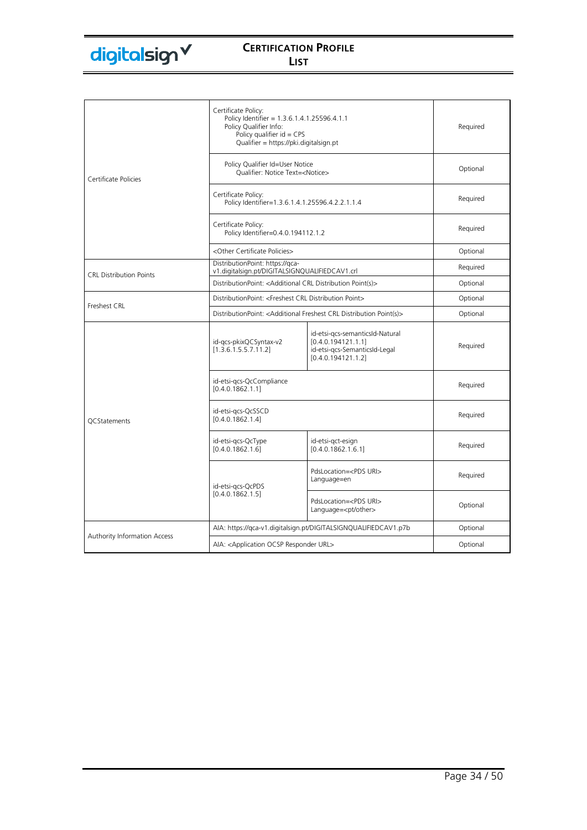|                                | Certificate Policy:<br>Policy Identifier = 1.3.6.1.4.1.25596.4.1.1<br>Policy Qualifier Info:<br>Policy qualifier $id = CPS$<br>Qualifier = https://pki.digitalsign.pt |                                                                                                              | Required |
|--------------------------------|-----------------------------------------------------------------------------------------------------------------------------------------------------------------------|--------------------------------------------------------------------------------------------------------------|----------|
| Certificate Policies           | Policy Qualifier Id=User Notice<br>Oualifier: Notice Text= <notice></notice>                                                                                          |                                                                                                              | Optional |
|                                | Certificate Policy:<br>Policy Identifier=1.3.6.1.4.1.25596.4.2.2.1.1.4                                                                                                |                                                                                                              | Required |
|                                | Certificate Policy:<br>Policy Identifier=0.4.0.194112.1.2                                                                                                             |                                                                                                              | Required |
|                                | <other certificate="" policies=""></other>                                                                                                                            |                                                                                                              | Optional |
|                                | DistributionPoint: https://gca-<br>v1.digitalsign.pt/DIGITALSIGNQUALIFIEDCAV1.crl                                                                                     |                                                                                                              | Required |
| <b>CRL Distribution Points</b> | DistributionPoint: <additional crl="" distribution="" point(s)=""></additional>                                                                                       |                                                                                                              | Optional |
|                                | DistributionPoint: <freshest crl="" distribution="" point=""></freshest>                                                                                              |                                                                                                              | Optional |
| Freshest CRL                   | DistributionPoint: <additional crl="" distribution="" freshest="" point(s)=""></additional>                                                                           |                                                                                                              | Optional |
|                                | id-gcs-pkixQCSyntax-v2<br>[1.3.6.1.5.5.7.11.2]                                                                                                                        | id-etsi-gcs-semanticsId-Natural<br>[0.4.0.194121.1.1]<br>id-etsi-gcs-SemanticsId-Legal<br>[0.4.0.194121.1.2] | Required |
|                                | id-etsi-gcs-QcCompliance<br>[0.4.0.1862.1.1]                                                                                                                          |                                                                                                              | Required |
| <b>OCStatements</b>            | id-etsi-gcs-QcSSCD<br>[0.4.0.1862.1.4]                                                                                                                                |                                                                                                              | Required |
|                                | id-etsi-gcs-QcType<br>[0.4.0.1862.1.6]                                                                                                                                | id-etsi-gct-esign<br>[0.4.0.1862.1.6.1]                                                                      | Required |
|                                | id-etsi-gcs-QcPDS                                                                                                                                                     | PdsLocation= <pds uri=""><br/>Language=en</pds>                                                              | Required |
|                                | [0.4.0.1862.1.5]                                                                                                                                                      | PdsLocation= <pds uri=""><br/>Language=<pt other=""></pt></pds>                                              | Optional |
|                                | AIA: https://qca-v1.digitalsign.pt/DIGITALSIGNQUALIFIEDCAV1.p7b                                                                                                       |                                                                                                              | Optional |
| Authority Information Access   | AIA: <application ocsp="" responder="" url=""></application>                                                                                                          |                                                                                                              | Optional |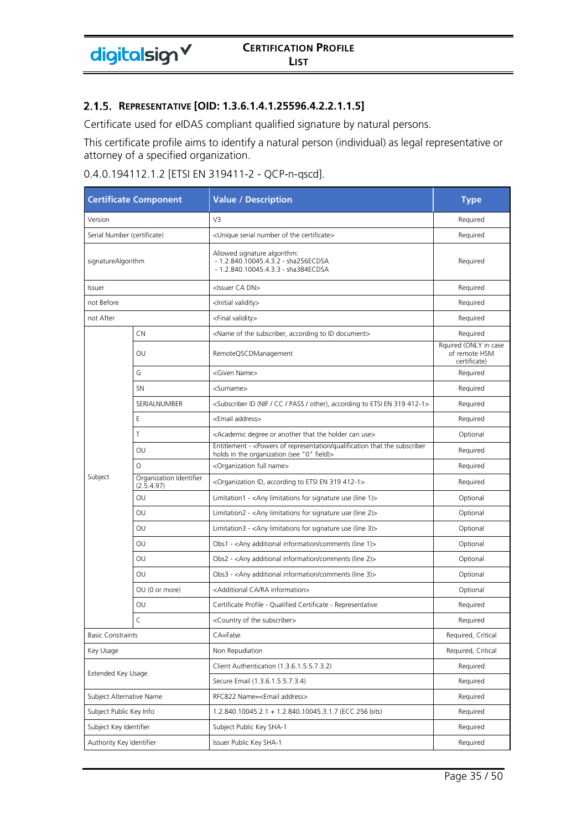Certificate used for eIDAS compliant qualified signature by natural persons.

This certificate profile aims to identify a natural person (individual) as legal representative or attorney of a specified organization.

| 0.4.0.194112.1.2 [ETSI EN 319411-2 - QCP-n-qscd]. |  |  |  |
|---------------------------------------------------|--|--|--|
|---------------------------------------------------|--|--|--|

| <b>Certificate Component</b> |                                       | <b>Value / Description</b>                                                                                               | <b>Type</b>                                            |
|------------------------------|---------------------------------------|--------------------------------------------------------------------------------------------------------------------------|--------------------------------------------------------|
| Version                      |                                       | V3                                                                                                                       | Required                                               |
| Serial Number (certificate)  |                                       | <unique certificate="" number="" of="" serial="" the=""></unique>                                                        | Required                                               |
| signatureAlgorithm           |                                       | Allowed signature algorithm:<br>- 1.2.840.10045.4.3.2 - sha256ECDSA<br>- 1.2.840.10045.4.3.3 - sha384ECDSA               | Required                                               |
| Issuer                       |                                       | <issuer ca="" dn=""></issuer>                                                                                            | Required                                               |
| not Before                   |                                       | <lnitial validity=""></lnitial>                                                                                          | Required                                               |
| not After                    |                                       | <final validity=""></final>                                                                                              | Required                                               |
|                              | CN                                    | <name according="" document="" id="" of="" subscriber,="" the="" to=""></name>                                           | Required                                               |
|                              | OU                                    | RemoteQSCDManagement                                                                                                     | Rquired (ONLY in case<br>of remote HSM<br>certificate) |
|                              | G                                     | <given name=""></given>                                                                                                  | Required                                               |
|                              | <b>SN</b>                             | <surname></surname>                                                                                                      | Required                                               |
|                              | SERIALNUMBER                          | <subscriber (nif="" 319="" 412-1="" according="" cc="" en="" etsi="" id="" other),="" pass="" to=""></subscriber>        | Required                                               |
|                              | Ε                                     | <email address=""></email>                                                                                               | Required                                               |
|                              | T                                     | <academic another="" can="" degree="" holder="" or="" that="" the="" use=""></academic>                                  | Optional                                               |
|                              | OU                                    | Entitlement - < Powers of representation/qualification that the subscriber<br>holds in the organization (see "0" field)> | Required                                               |
|                              | $\Omega$                              | <organization full="" name=""></organization>                                                                            | Required                                               |
| Subject                      | Organization Identifier<br>(2.5.4.97) | <organization 319="" 412-1="" according="" en="" etsi="" id,="" to=""></organization>                                    | Required                                               |
|                              | OU                                    | Limitation1 - $\langle$ Any limitations for signature use (line 1) $>$                                                   | Optional                                               |
|                              | OU                                    | Limitation2 - $\langle$ Any limitations for signature use (line 2) $>$                                                   | Optional                                               |
|                              | OU                                    | Limitation3 - $\langle$ Any limitations for signature use (line 3) $>$                                                   | Optional                                               |
|                              | OU                                    | Obs1 - <any (line="" 1)="" additional="" comments="" information=""></any>                                               | Optional                                               |
|                              | OU                                    | Obs2 - <any (line="" 2)="" additional="" comments="" information=""></any>                                               | Optional                                               |
|                              | OU                                    | Obs3 - <any (line="" 3)="" additional="" comments="" information=""></any>                                               | Optional                                               |
|                              | OU (0 or more)                        | <additional ca="" information="" ra=""></additional>                                                                     | Optional                                               |
|                              | OU                                    | Certificate Profile - Qualified Certificate - Representative                                                             | Required                                               |
|                              | C                                     | <country of="" subscriber="" the=""></country>                                                                           | Required                                               |
| <b>Basic Constraints</b>     |                                       | CA=False                                                                                                                 | Required, Critical                                     |
| Key Usage                    |                                       | Non Repudiation                                                                                                          | Required, Critical                                     |
|                              |                                       | Client Authentication (1.3.6.1.5.5.7.3.2)                                                                                | Required                                               |
| Extended Key Usage           |                                       | Secure Email (1.3.6.1.5.5.7.3.4)                                                                                         | Required                                               |
| Subject Alternative Name     |                                       | RFC822 Name= <email address=""></email>                                                                                  | Required                                               |
| Subject Public Key Info      |                                       | 1.2.840.10045.2.1 + 1.2.840.10045.3.1.7 (ECC 256 bits)                                                                   | Required                                               |
| Subject Key Identifier       |                                       | Subject Public Key SHA-1                                                                                                 | Required                                               |
| Authority Key Identifier     |                                       | Issuer Public Key SHA-1                                                                                                  | Required                                               |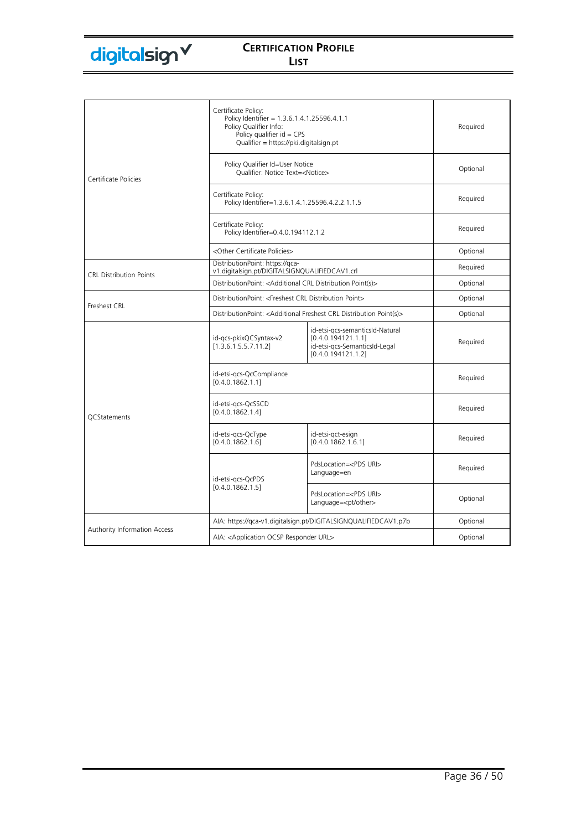|                                     | Certificate Policy:<br>Policy Identifier = 1.3.6.1.4.1.25596.4.1.1<br>Policy Qualifier Info:<br>Policy qualifier $id = CPS$<br>Qualifier = https://pki.digitalsign.pt |                                                                                                              | Required |
|-------------------------------------|-----------------------------------------------------------------------------------------------------------------------------------------------------------------------|--------------------------------------------------------------------------------------------------------------|----------|
| Certificate Policies                | Policy Qualifier Id=User Notice<br>Qualifier: Notice Text= <notice></notice>                                                                                          |                                                                                                              | Optional |
|                                     | Certificate Policy:<br>Policy Identifier=1.3.6.1.4.1.25596.4.2.2.1.1.5                                                                                                |                                                                                                              | Required |
|                                     | Certificate Policy:<br>Policy Identifier=0.4.0.194112.1.2                                                                                                             |                                                                                                              | Required |
|                                     | <other certificate="" policies=""></other>                                                                                                                            |                                                                                                              | Optional |
|                                     | DistributionPoint: https://qca-<br>v1.digitalsign.pt/DIGITALSIGNQUALIFIEDCAV1.crl                                                                                     |                                                                                                              | Required |
| <b>CRL Distribution Points</b>      | DistributionPoint: < Additional CRL Distribution Point(s)>                                                                                                            |                                                                                                              | Optional |
|                                     | DistributionPoint: <freshest crl="" distribution="" point=""></freshest>                                                                                              |                                                                                                              | Optional |
| Freshest CRL                        | DistributionPoint: <additional crl="" distribution="" freshest="" point(s)=""></additional>                                                                           |                                                                                                              | Optional |
|                                     | id-gcs-pkixQCSyntax-v2<br>[1.3.6.1.5.5.7.11.2]                                                                                                                        | id-etsi-qcs-semanticsId-Natural<br>[0.4.0.194121.1.1]<br>id-etsi-gcs-SemanticsId-Legal<br>[0.4.0.194121.1.2] | Required |
|                                     | id-etsi-gcs-QcCompliance<br>[0.4.0.1862.1.1]                                                                                                                          |                                                                                                              | Required |
| <b>OCStatements</b>                 | id-etsi-gcs-QcSSCD<br>[0.4.0.1862.1.4]                                                                                                                                |                                                                                                              | Required |
|                                     | id-etsi-gcs-QcType<br>[0.4.0.1862.1.6]                                                                                                                                | id-etsi-gct-esign<br>[0.4.0.1862.1.6.1]                                                                      | Required |
|                                     | id-etsi-gcs-QcPDS                                                                                                                                                     | PdsLocation= <pds uri=""><br/>Language=en</pds>                                                              | Required |
|                                     | [0.4.0.1862.1.5]                                                                                                                                                      | PdsLocation= <pds uri=""><br/>Language=<pt other=""></pt></pds>                                              | Optional |
|                                     | AIA: https://qca-v1.digitalsign.pt/DIGITALSIGNQUALIFIEDCAV1.p7b                                                                                                       |                                                                                                              | Optional |
| <b>Authority Information Access</b> | AIA: < Application OCSP Responder URL>                                                                                                                                |                                                                                                              | Optional |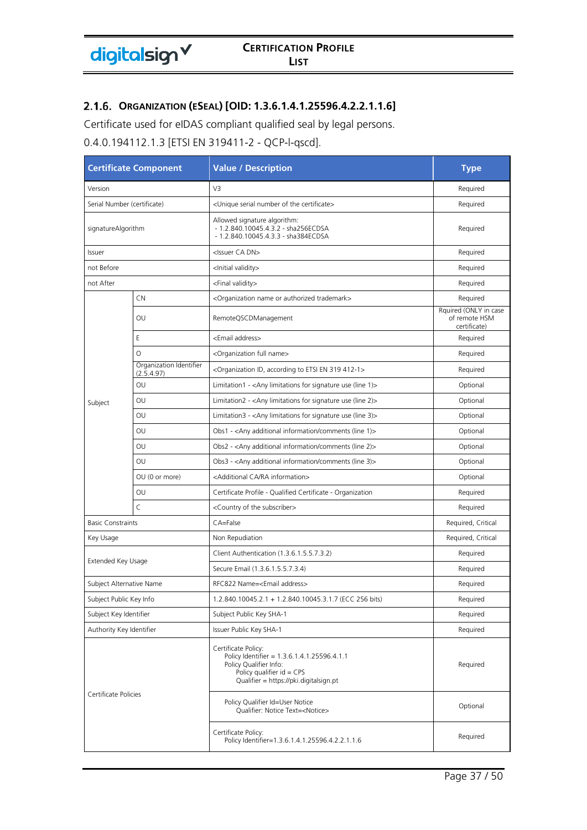# **ORGANIZATION (ESEAL) [OID: 1.3.6.1.4.1.25596.4.2.2.1.1.6]**

Certificate used for eIDAS compliant qualified seal by legal persons.

0.4.0.194112.1.3 [ETSI EN 319411-2 - QCP-l-qscd].

| <b>Certificate Component</b> |                                       | <b>Value / Description</b>                                                                                                                                            | <b>Type</b>                                            |
|------------------------------|---------------------------------------|-----------------------------------------------------------------------------------------------------------------------------------------------------------------------|--------------------------------------------------------|
| Version                      |                                       | V3                                                                                                                                                                    | Required                                               |
| Serial Number (certificate)  |                                       | <unique certificate="" number="" of="" serial="" the=""></unique>                                                                                                     | Required                                               |
| signatureAlgorithm           |                                       | Allowed signature algorithm:<br>- 1.2.840.10045.4.3.2 - sha256ECDSA<br>- 1.2.840.10045.4.3.3 - sha384ECDSA                                                            | Required                                               |
| Issuer                       |                                       | <issuer ca="" dn=""></issuer>                                                                                                                                         | Required                                               |
| not Before                   |                                       | <lnitial validity=""></lnitial>                                                                                                                                       | Required                                               |
| not After                    |                                       | <final validity=""></final>                                                                                                                                           | Required                                               |
|                              | CN                                    | <organization authorized="" name="" or="" trademark=""></organization>                                                                                                | Required                                               |
|                              | OU                                    | RemoteQSCDManagement                                                                                                                                                  | Rquired (ONLY in case<br>of remote HSM<br>certificate) |
|                              | Ε                                     | <email address=""></email>                                                                                                                                            | Required                                               |
|                              | $\circ$                               | <organization full="" name=""></organization>                                                                                                                         | Required                                               |
|                              | Organization Identifier<br>(2.5.4.97) | <organization 319="" 412-1="" according="" en="" etsi="" id,="" to=""></organization>                                                                                 | Required                                               |
|                              | OU                                    | Limitation1 - < Any limitations for signature use (line 1) >                                                                                                          | Optional                                               |
| Subject                      | OU                                    | Limitation2 - < Any limitations for signature use (line 2)>                                                                                                           | Optional                                               |
|                              | OU                                    | Limitation $3 -$ <any (line="" <math="" for="" limitations="" signature="" use="">3)&gt;</any>                                                                        | Optional                                               |
|                              | OU                                    | Obs1 - <any (line="" 1)="" additional="" comments="" information=""></any>                                                                                            | Optional                                               |
|                              | OU                                    | Obs2 - <any (line="" 2)="" additional="" comments="" information=""></any>                                                                                            | Optional                                               |
|                              | OU                                    | Obs3 - <any (line="" 3)="" additional="" comments="" information=""></any>                                                                                            | Optional                                               |
|                              | OU (0 or more)                        | <additional ca="" information="" ra=""></additional>                                                                                                                  | Optional                                               |
|                              | OU                                    | Certificate Profile - Qualified Certificate - Organization                                                                                                            | Required                                               |
|                              | $\mathsf{C}$                          | <country of="" subscriber="" the=""></country>                                                                                                                        | Required                                               |
| <b>Basic Constraints</b>     |                                       | CA=False                                                                                                                                                              | Required, Critical                                     |
| Key Usage                    |                                       | Non Repudiation                                                                                                                                                       | Required, Critical                                     |
|                              |                                       | Client Authentication (1.3.6.1.5.5.7.3.2)                                                                                                                             | Required                                               |
| Extended Key Usage           |                                       | Secure Email (1.3.6.1.5.5.7.3.4)                                                                                                                                      | Required                                               |
| Subject Alternative Name     |                                       | RFC822 Name= <email address=""></email>                                                                                                                               | Required                                               |
| Subject Public Key Info      |                                       | 1.2.840.10045.2.1 + 1.2.840.10045.3.1.7 (ECC 256 bits)                                                                                                                | Required                                               |
| Subject Key Identifier       |                                       | Subject Public Key SHA-1                                                                                                                                              | Required                                               |
| Authority Key Identifier     |                                       | Issuer Public Key SHA-1                                                                                                                                               | Required                                               |
| Certificate Policies         |                                       | Certificate Policy:<br>Policy Identifier = 1.3.6.1.4.1.25596.4.1.1<br>Policy Qualifier Info:<br>Policy qualifier $id = CPS$<br>Qualifier = https://pki.digitalsign.pt | Required                                               |
|                              |                                       | Policy Qualifier Id=User Notice<br>Qualifier: Notice Text= <notice></notice>                                                                                          | Optional                                               |
|                              |                                       | Certificate Policy:<br>Policy Identifier=1.3.6.1.4.1.25596.4.2.2.1.1.6                                                                                                | Required                                               |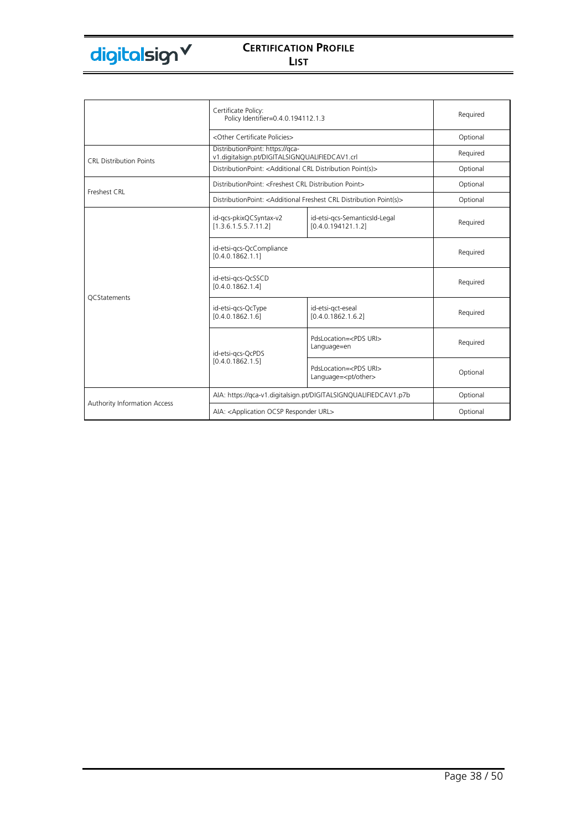

|                                | Certificate Policy:<br>Policy Identifier=0.4.0.194112.1.3                         |                                                                                             | Required |
|--------------------------------|-----------------------------------------------------------------------------------|---------------------------------------------------------------------------------------------|----------|
|                                | <other certificate="" policies=""></other>                                        |                                                                                             | Optional |
| <b>CRL Distribution Points</b> | DistributionPoint: https://qca-<br>v1.digitalsign.pt/DIGITALSIGNQUALIFIEDCAV1.crl |                                                                                             | Required |
|                                | DistributionPoint: < Additional CRL Distribution Point(s)>                        |                                                                                             | Optional |
| Freshest CRL                   | DistributionPoint: <freshest crl="" distribution="" point=""></freshest>          |                                                                                             | Optional |
|                                |                                                                                   | DistributionPoint: <additional crl="" distribution="" freshest="" point(s)=""></additional> | Optional |
|                                | id-gcs-pkixQCSyntax-v2<br>[1.3.6.1.5.5.7.11.2]                                    | id-etsi-gcs-SemanticsId-Legal<br>[0.4.0.194121.1.2]                                         | Required |
|                                | id-etsi-gcs-QcCompliance<br>[0.4.0.1862.1.1]                                      |                                                                                             | Required |
| <b>OCStatements</b>            | id-etsi-gcs-QcSSCD<br>[0.4.0.1862.1.4]                                            |                                                                                             | Required |
|                                | id-etsi-gcs-QcType<br>[0.4.0.1862.1.6]                                            | id-etsi-gct-eseal<br>[0.4.0.1862.1.6.2]                                                     | Required |
|                                | id-etsi-gcs-QcPDS                                                                 | PdsLocation= <pds uri=""><br/>Language=en</pds>                                             | Required |
|                                | [0.4.0.1862.1.5]                                                                  | PdsLocation= <pds uri=""><br/>Language=<pt other=""></pt></pds>                             | Optional |
|                                | AIA: https://qca-v1.digitalsign.pt/DIGITALSIGNQUALIFIEDCAV1.p7b                   |                                                                                             | Optional |
| Authority Information Access   | AIA: < Application OCSP Responder URL>                                            |                                                                                             | Optional |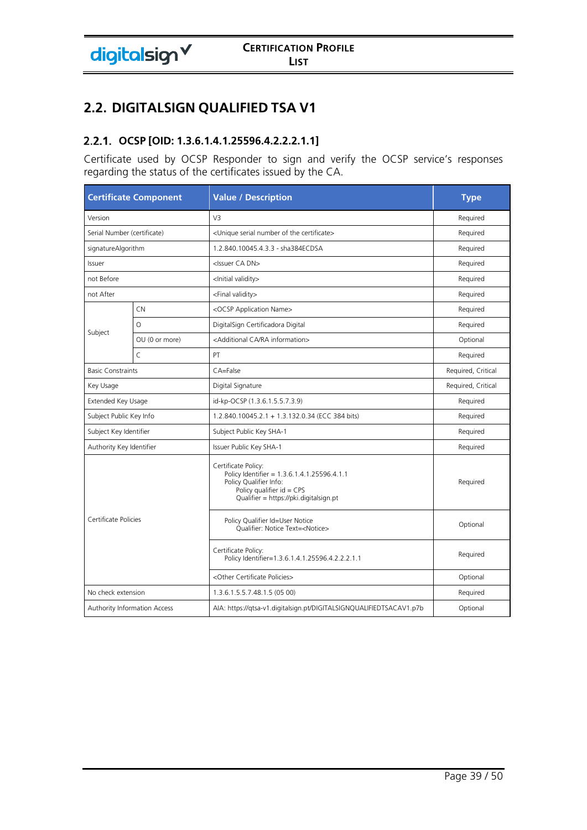# **2.2. DIGITALSIGN QUALIFIED TSA V1**

# **OCSP [OID: 1.3.6.1.4.1.25596.4.2.2.2.1.1]**

Certificate used by OCSP Responder to sign and verify the OCSP service's responses regarding the status of the certificates issued by the CA.

|                             | <b>Certificate Component</b> | <b>Value / Description</b>                                                                                                                                            | <b>Type</b>        |
|-----------------------------|------------------------------|-----------------------------------------------------------------------------------------------------------------------------------------------------------------------|--------------------|
| Version                     |                              | V <sub>3</sub>                                                                                                                                                        | Required           |
| Serial Number (certificate) |                              | <unique certificate="" number="" of="" serial="" the=""></unique>                                                                                                     | Required           |
| signatureAlgorithm          |                              | 1.2.840.10045.4.3.3 - sha384ECDSA                                                                                                                                     | Required           |
| Issuer                      |                              | <issuer ca="" dn=""></issuer>                                                                                                                                         | Required           |
| not Before                  |                              | <lnitial validity=""></lnitial>                                                                                                                                       | Required           |
| not After                   |                              | <final validity=""></final>                                                                                                                                           | Required           |
|                             | CN                           | <ocsp application="" name=""></ocsp>                                                                                                                                  | Required           |
|                             | $\Omega$                     | DigitalSign Certificadora Digital                                                                                                                                     | Required           |
| Subject                     | OU (0 or more)               | <additional ca="" information="" ra=""></additional>                                                                                                                  | Optional           |
|                             | $\mathsf{C}$                 | PT                                                                                                                                                                    | Required           |
| <b>Basic Constraints</b>    |                              | CA=False                                                                                                                                                              | Required, Critical |
| Key Usage                   |                              | Digital Signature                                                                                                                                                     | Required, Critical |
| Extended Key Usage          |                              | id-kp-OCSP (1.3.6.1.5.5.7.3.9)                                                                                                                                        | Required           |
| Subject Public Key Info     |                              | 1.2.840.10045.2.1 + 1.3.132.0.34 (ECC 384 bits)                                                                                                                       | Required           |
| Subject Key Identifier      |                              | Subject Public Key SHA-1                                                                                                                                              | Required           |
| Authority Key Identifier    |                              | Issuer Public Key SHA-1                                                                                                                                               | Required           |
| Certificate Policies        |                              | Certificate Policy:<br>Policy Identifier = 1.3.6.1.4.1.25596.4.1.1<br>Policy Qualifier Info:<br>Policy qualifier $id = CPS$<br>Qualifier = https://pki.digitalsign.pt | Required           |
|                             |                              | Policy Qualifier Id=User Notice<br>Qualifier: Notice Text= <notice></notice>                                                                                          | Optional           |
|                             |                              | Certificate Policy:<br>Policy Identifier=1.3.6.1.4.1.25596.4.2.2.2.1.1                                                                                                | Required           |
|                             |                              | <other certificate="" policies=""></other>                                                                                                                            | Optional           |
| No check extension          |                              | 1.3.6.1.5.5.7.48.1.5 (05 00)                                                                                                                                          | Required           |
|                             | Authority Information Access | AIA: https://qtsa-v1.digitalsign.pt/DIGITALSIGNQUALIFIEDTSACAV1.p7b                                                                                                   | Optional           |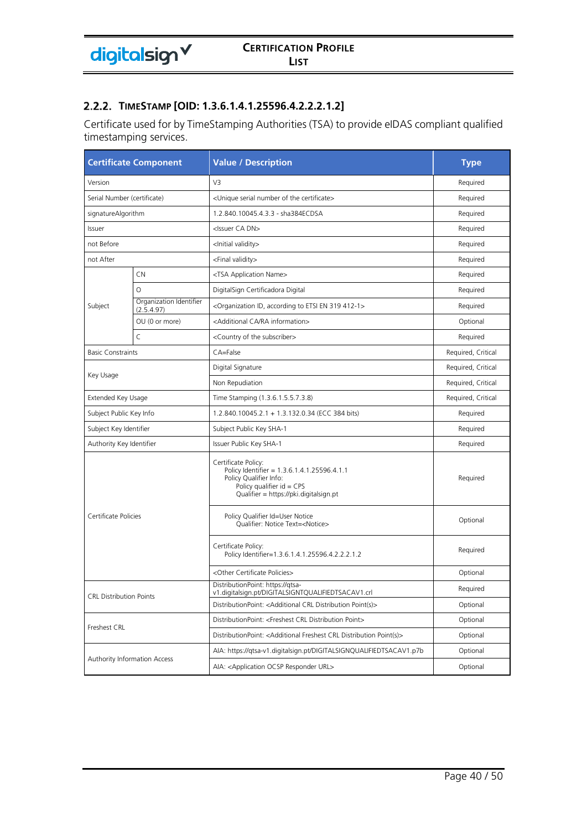### **TIMESTAMP [OID: 1.3.6.1.4.1.25596.4.2.2.2.1.2]**

Certificate used for by TimeStamping Authorities (TSA) to provide eIDAS compliant qualified timestamping services.

| <b>Certificate Component</b>   |                                       | <b>Value / Description</b>                                                                                                                                            | <b>Type</b>        |
|--------------------------------|---------------------------------------|-----------------------------------------------------------------------------------------------------------------------------------------------------------------------|--------------------|
| Version                        |                                       | V3                                                                                                                                                                    | Required           |
| Serial Number (certificate)    |                                       | <unique certificate="" number="" of="" serial="" the=""></unique>                                                                                                     | Required           |
| signatureAlgorithm             |                                       | 1.2.840.10045.4.3.3 - sha384ECDSA                                                                                                                                     | Required           |
| Issuer                         |                                       | <issuer ca="" dn=""></issuer>                                                                                                                                         | Required           |
| not Before                     |                                       | <lnitial validity=""></lnitial>                                                                                                                                       | Required           |
| not After                      |                                       | <final validity=""></final>                                                                                                                                           | Required           |
|                                | <b>CN</b>                             | <tsa application="" name=""></tsa>                                                                                                                                    | Required           |
|                                | $\circ$                               | DigitalSign Certificadora Digital                                                                                                                                     | Required           |
| Subject                        | Organization Identifier<br>(2.5.4.97) | <organization 319="" 412-1="" according="" en="" etsi="" id,="" to=""></organization>                                                                                 | Required           |
|                                | OU (0 or more)                        | <additional ca="" information="" ra=""></additional>                                                                                                                  | Optional           |
|                                | $\subset$                             | <country of="" subscriber="" the=""></country>                                                                                                                        | Required           |
| <b>Basic Constraints</b>       |                                       | CA=False                                                                                                                                                              | Required, Critical |
|                                |                                       | Digital Signature                                                                                                                                                     | Required, Critical |
| Key Usage                      |                                       | Non Repudiation                                                                                                                                                       | Required, Critical |
| Extended Key Usage             |                                       | Time Stamping (1.3.6.1.5.5.7.3.8)                                                                                                                                     | Required, Critical |
| Subject Public Key Info        |                                       | 1.2.840.10045.2.1 + 1.3.132.0.34 (ECC 384 bits)                                                                                                                       | Required           |
| Subject Key Identifier         |                                       | Subject Public Key SHA-1                                                                                                                                              | Required           |
| Authority Key Identifier       |                                       | Issuer Public Key SHA-1                                                                                                                                               | Required           |
|                                |                                       | Certificate Policy:<br>Policy Identifier = 1.3.6.1.4.1.25596.4.1.1<br>Policy Qualifier Info:<br>Policy qualifier $id = CPS$<br>Qualifier = https://pki.digitalsign.pt | Required           |
| Certificate Policies           |                                       | Policy Qualifier Id=User Notice<br>Qualifier: Notice Text= <notice></notice>                                                                                          | Optional           |
|                                |                                       | Certificate Policy:<br>Policy Identifier=1.3.6.1.4.1.25596.4.2.2.2.1.2                                                                                                | Required           |
|                                |                                       | <other certificate="" policies=""></other>                                                                                                                            | Optional           |
| <b>CRL Distribution Points</b> |                                       | DistributionPoint: https://qtsa-<br>v1.digitalsign.pt/DIGITALSIGNTOUALIFIEDTSACAV1.crl                                                                                | Required           |
|                                |                                       | DistributionPoint: <additional crl="" distribution="" point(s)=""></additional>                                                                                       | Optional           |
| Freshest CRL                   |                                       | DistributionPoint: <freshest crl="" distribution="" point=""></freshest>                                                                                              | Optional           |
|                                |                                       | DistributionPoint: <additional crl="" distribution="" freshest="" point(s)=""></additional>                                                                           | Optional           |
|                                |                                       | AIA: https://qtsa-v1.digitalsign.pt/DIGITALSIGNQUALIFIEDTSACAV1.p7b                                                                                                   | Optional           |
|                                | Authority Information Access          | AIA: < Application OCSP Responder URL>                                                                                                                                | Optional           |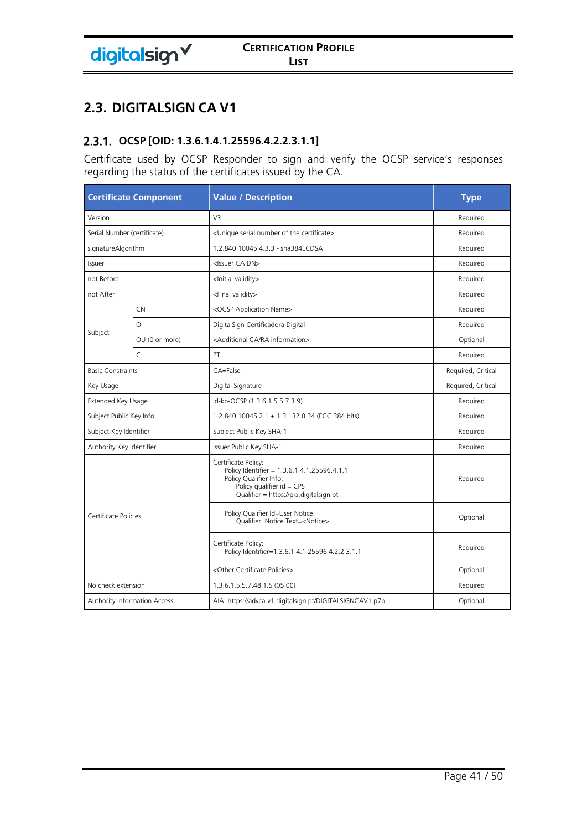# **2.3. DIGITALSIGN CA V1**

# **OCSP [OID: 1.3.6.1.4.1.25596.4.2.2.3.1.1]**

Certificate used by OCSP Responder to sign and verify the OCSP service's responses regarding the status of the certificates issued by the CA.

|                             | <b>Certificate Component</b>        | <b>Value / Description</b>                                                                                                                                            | <b>Type</b>        |
|-----------------------------|-------------------------------------|-----------------------------------------------------------------------------------------------------------------------------------------------------------------------|--------------------|
| Version                     |                                     | V3                                                                                                                                                                    | Required           |
| Serial Number (certificate) |                                     | <unique certificate="" number="" of="" serial="" the=""></unique>                                                                                                     | Required           |
| signatureAlgorithm          |                                     | 1.2.840.10045.4.3.3 - sha384ECDSA                                                                                                                                     | Required           |
| Issuer                      |                                     | <issuer ca="" dn=""></issuer>                                                                                                                                         | Required           |
| not Before                  |                                     | <lnitial validity=""></lnitial>                                                                                                                                       | Required           |
| not After                   |                                     | <final validity=""></final>                                                                                                                                           | Required           |
|                             | CN                                  | <ocsp application="" name=""></ocsp>                                                                                                                                  | Required           |
|                             | $\circ$                             | DigitalSign Certificadora Digital                                                                                                                                     | Required           |
| Subject                     | OU (0 or more)                      | <additional ca="" information="" ra=""></additional>                                                                                                                  | Optional           |
|                             | $\overline{C}$                      | PT                                                                                                                                                                    | Required           |
| <b>Basic Constraints</b>    |                                     | $CA = False$                                                                                                                                                          | Required, Critical |
| Key Usage                   |                                     | Digital Signature                                                                                                                                                     | Required, Critical |
| Extended Key Usage          |                                     | id-kp-OCSP (1.3.6.1.5.5.7.3.9)                                                                                                                                        | Required           |
| Subject Public Key Info     |                                     | 1.2.840.10045.2.1 + 1.3.132.0.34 (ECC 384 bits)                                                                                                                       | Required           |
| Subject Key Identifier      |                                     | Subject Public Key SHA-1                                                                                                                                              | Required           |
| Authority Key Identifier    |                                     | Issuer Public Key SHA-1                                                                                                                                               | Required           |
| Certificate Policies        |                                     | Certificate Policy:<br>Policy Identifier = 1.3.6.1.4.1.25596.4.1.1<br>Policy Qualifier Info:<br>Policy qualifier $id = CPS$<br>Qualifier = https://pki.digitalsign.pt | Required           |
|                             |                                     | Policy Qualifier Id=User Notice<br>Qualifier: Notice Text= <notice></notice>                                                                                          | Optional           |
|                             |                                     | Certificate Policy:<br>Policy Identifier=1.3.6.1.4.1.25596.4.2.2.3.1.1                                                                                                | Required           |
|                             |                                     | <other certificate="" policies=""></other>                                                                                                                            | Optional           |
| No check extension          |                                     | 1.3.6.1.5.5.7.48.1.5 (05 00)                                                                                                                                          | Required           |
|                             | <b>Authority Information Access</b> | AIA: https://advca-v1.digitalsign.pt/DIGITALSIGNCAV1.p7b                                                                                                              | Optional           |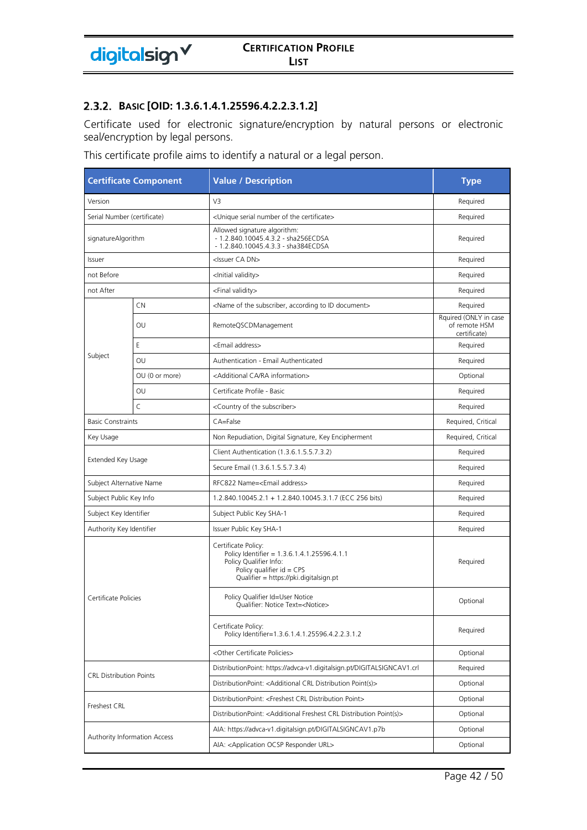#### **BASIC [OID: 1.3.6.1.4.1.25596.4.2.2.3.1.2]**

Certificate used for electronic signature/encryption by natural persons or electronic seal/encryption by legal persons.

This certificate profile aims to identify a natural or a legal person.

|                                | <b>Certificate Component</b>        | <b>Value / Description</b>                                                                                                                                            | <b>Type</b>                                            |
|--------------------------------|-------------------------------------|-----------------------------------------------------------------------------------------------------------------------------------------------------------------------|--------------------------------------------------------|
| Version                        |                                     | V3                                                                                                                                                                    | Required                                               |
| Serial Number (certificate)    |                                     | <unique certificate="" number="" of="" serial="" the=""></unique>                                                                                                     | Required                                               |
| signatureAlgorithm             |                                     | Allowed signature algorithm:<br>- 1.2.840.10045.4.3.2 - sha256ECDSA<br>- 1.2.840.10045.4.3.3 - sha384ECDSA                                                            | Required                                               |
| Issuer                         |                                     | <issuer ca="" dn=""></issuer>                                                                                                                                         | Required                                               |
| not Before                     |                                     | <lnitial validity=""></lnitial>                                                                                                                                       | Required                                               |
| not After                      |                                     | <final validity=""></final>                                                                                                                                           | Required                                               |
|                                | CN                                  | <name according="" document="" id="" of="" subscriber,="" the="" to=""></name>                                                                                        | Required                                               |
|                                | OU                                  | RemoteQSCDManagement                                                                                                                                                  | Rquired (ONLY in case<br>of remote HSM<br>certificate) |
|                                | E.                                  | <email address=""></email>                                                                                                                                            | Required                                               |
| Subject                        | OU                                  | Authentication - Email Authenticated                                                                                                                                  | Required                                               |
|                                | OU (0 or more)                      | <additional ca="" information="" ra=""></additional>                                                                                                                  | Optional                                               |
|                                | OU                                  | Certificate Profile - Basic                                                                                                                                           | Required                                               |
|                                | $\mathsf{C}$                        | <country of="" subscriber="" the=""></country>                                                                                                                        | Required                                               |
| <b>Basic Constraints</b>       |                                     | CA=False                                                                                                                                                              | Required, Critical                                     |
| Key Usage                      |                                     | Non Repudiation, Digital Signature, Key Encipherment                                                                                                                  | Required, Critical                                     |
| Extended Key Usage             |                                     | Client Authentication (1.3.6.1.5.5.7.3.2)                                                                                                                             | Required                                               |
|                                |                                     | Secure Email (1.3.6.1.5.5.7.3.4)                                                                                                                                      | Required                                               |
| Subject Alternative Name       |                                     | RFC822 Name= <email address=""></email>                                                                                                                               | Required                                               |
| Subject Public Key Info        |                                     | 1.2.840.10045.2.1 + 1.2.840.10045.3.1.7 (ECC 256 bits)                                                                                                                | Required                                               |
| Subject Key Identifier         |                                     | Subject Public Key SHA-1                                                                                                                                              | Required                                               |
| Authority Key Identifier       |                                     | Issuer Public Key SHA-1                                                                                                                                               | Required                                               |
|                                |                                     | Certificate Policy:<br>Policy Identifier = 1.3.6.1.4.1.25596.4.1.1<br>Policy Qualifier Info:<br>Policy qualifier $id = CPS$<br>Qualifier = https://pki.digitalsign.pt | Required                                               |
| Certificate Policies           |                                     | Policy Qualifier Id=User Notice<br>Qualifier: Notice Text= <notice></notice>                                                                                          | Optional                                               |
|                                |                                     | Certificate Policy:<br>Policy Identifier=1.3.6.1.4.1.25596.4.2.2.3.1.2                                                                                                | Required                                               |
|                                |                                     | <other certificate="" policies=""></other>                                                                                                                            | Optional                                               |
| <b>CRL Distribution Points</b> |                                     | DistributionPoint: https://advca-v1.digitalsign.pt/DIGITALSIGNCAV1.crl                                                                                                | Required                                               |
|                                |                                     | DistributionPoint: <additional crl="" distribution="" point(s)=""></additional>                                                                                       | Optional                                               |
| Freshest CRL                   |                                     | DistributionPoint: <freshest crl="" distribution="" point=""></freshest>                                                                                              | Optional                                               |
|                                |                                     | DistributionPoint: <additional crl="" distribution="" freshest="" point(s)=""></additional>                                                                           | Optional                                               |
|                                | <b>Authority Information Access</b> | AIA: https://advca-v1.digitalsign.pt/DIGITALSIGNCAV1.p7b                                                                                                              | Optional                                               |
|                                |                                     | AIA: <application ocsp="" responder="" url=""></application>                                                                                                          | Optional                                               |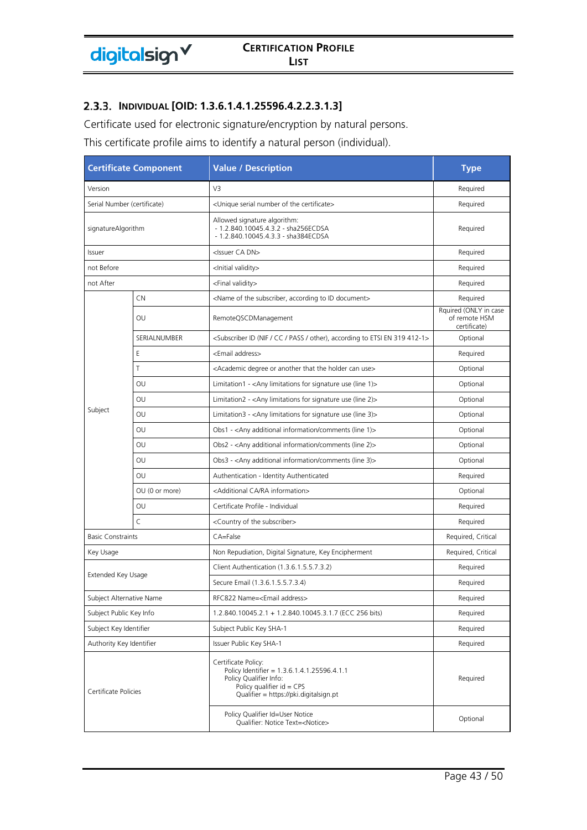### **INDIVIDUAL [OID: 1.3.6.1.4.1.25596.4.2.2.3.1.3]**

Certificate used for electronic signature/encryption by natural persons.

This certificate profile aims to identify a natural person (individual).

| <b>Certificate Component</b> |                             | <b>Value / Description</b>                                                                                                                                            | <b>Type</b>                                            |
|------------------------------|-----------------------------|-----------------------------------------------------------------------------------------------------------------------------------------------------------------------|--------------------------------------------------------|
| Version                      |                             | V3                                                                                                                                                                    | Required                                               |
|                              | Serial Number (certificate) | <unique certificate="" number="" of="" serial="" the=""></unique>                                                                                                     | Required                                               |
| signatureAlgorithm           |                             | Allowed signature algorithm:<br>- 1.2.840.10045.4.3.2 - sha256ECDSA<br>- 1.2.840.10045.4.3.3 - sha384ECDSA                                                            | Required                                               |
| Issuer                       |                             | <issuer ca="" dn=""></issuer>                                                                                                                                         | Required                                               |
| not Before                   |                             | <lnitial validity=""></lnitial>                                                                                                                                       | Required                                               |
| not After                    |                             | <final validity=""></final>                                                                                                                                           | Required                                               |
|                              | CN                          | <name according="" document="" id="" of="" subscriber,="" the="" to=""></name>                                                                                        | Required                                               |
|                              | OU                          | RemoteQSCDManagement                                                                                                                                                  | Rquired (ONLY in case<br>of remote HSM<br>certificate) |
|                              | SERIALNUMBER                | <subscriber (nif="" 319="" 412-1="" according="" cc="" en="" etsi="" id="" other),="" pass="" to=""></subscriber>                                                     | Optional                                               |
|                              | Ε                           | <email address=""></email>                                                                                                                                            | Required                                               |
|                              | T                           | <academic another="" can="" degree="" holder="" or="" that="" the="" use=""></academic>                                                                               | Optional                                               |
|                              | OU                          | Limitation1 - <any (line="" 1)="" for="" limitations="" signature="" use=""></any>                                                                                    | Optional                                               |
|                              | OU                          | Limitation2 - <any (line="" 2)="" for="" limitations="" signature="" use=""></any>                                                                                    | Optional                                               |
| Subject                      | OU                          | Limitation3 - <any (line="" 3)="" for="" limitations="" signature="" use=""></any>                                                                                    | Optional                                               |
|                              | OU                          | Obs1 - <any (line="" 1)="" additional="" comments="" information=""></any>                                                                                            | Optional                                               |
|                              | OU                          | Obs2 - <any (line="" 2)="" additional="" comments="" information=""></any>                                                                                            | Optional                                               |
|                              | OU                          | Obs3 - <any (line="" 3)="" additional="" comments="" information=""></any>                                                                                            | Optional                                               |
|                              | OU                          | Authentication - Identity Authenticated                                                                                                                               | Required                                               |
|                              | OU (0 or more)              | <additional ca="" information="" ra=""></additional>                                                                                                                  | Optional                                               |
|                              | OU                          | Certificate Profile - Individual                                                                                                                                      | Required                                               |
|                              | $\mathsf{C}$                | <country of="" subscriber="" the=""></country>                                                                                                                        | Required                                               |
| <b>Basic Constraints</b>     |                             | CA=False                                                                                                                                                              | Required, Critical                                     |
| Key Usage                    |                             | Non Repudiation, Digital Signature, Key Encipherment                                                                                                                  | Required, Critical                                     |
|                              |                             | Client Authentication (1.3.6.1.5.5.7.3.2)                                                                                                                             | Required                                               |
| Extended Key Usage           |                             | Secure Email (1.3.6.1.5.5.7.3.4)                                                                                                                                      | Required                                               |
| Subject Alternative Name     |                             | RFC822 Name= <email address=""></email>                                                                                                                               | Required                                               |
| Subject Public Key Info      |                             | 1.2.840.10045.2.1 + 1.2.840.10045.3.1.7 (ECC 256 bits)                                                                                                                | Required                                               |
| Subject Key Identifier       |                             | Subject Public Key SHA-1                                                                                                                                              | Required                                               |
| Authority Key Identifier     |                             | Issuer Public Key SHA-1                                                                                                                                               | Required                                               |
| Certificate Policies         |                             | Certificate Policy:<br>Policy Identifier = 1.3.6.1.4.1.25596.4.1.1<br>Policy Qualifier Info:<br>Policy qualifier $id = CPS$<br>Qualifier = https://pki.digitalsign.pt | Required                                               |
|                              |                             | Policy Qualifier Id=User Notice<br>Qualifier: Notice Text= <notice></notice>                                                                                          | Optional                                               |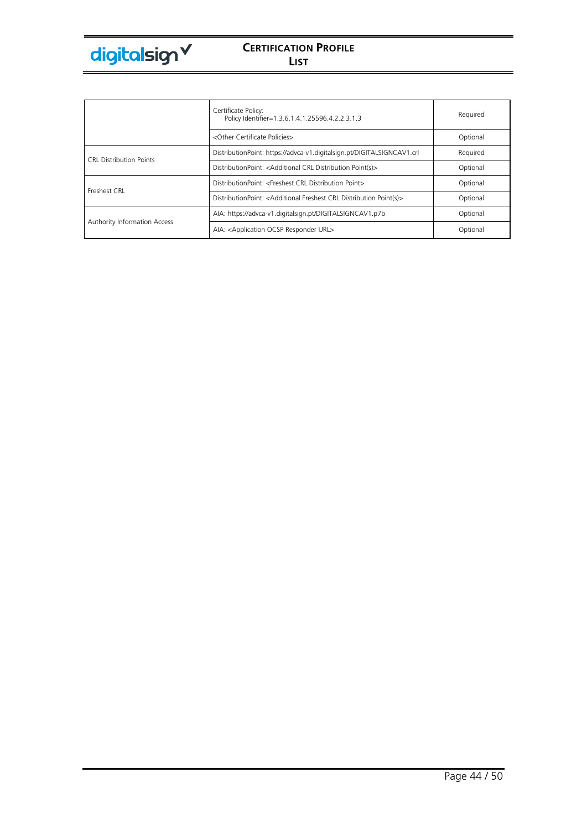

|                                | Certificate Policy:<br>Policy Identifier=1.3.6.1.4.1.25596.4.2.2.3.1.3                      | Required |
|--------------------------------|---------------------------------------------------------------------------------------------|----------|
|                                | <other certificate="" policies=""></other>                                                  | Optional |
| <b>CRL Distribution Points</b> | DistributionPoint: https://advca-v1.digitalsign.pt/DIGITALSIGNCAV1.crl                      | Required |
|                                | DistributionPoint: <additional crl="" distribution="" point(s)=""></additional>             | Optional |
| Freshest CRL                   | DistributionPoint: <freshest crl="" distribution="" point=""></freshest>                    | Optional |
|                                | DistributionPoint: <additional crl="" distribution="" freshest="" point(s)=""></additional> | Optional |
|                                | AIA: https://advca-v1.digitalsign.pt/DIGITALSIGNCAV1.p7b                                    | Optional |
| Authority Information Access   | AIA: < Application OCSP Responder URL>                                                      | Optional |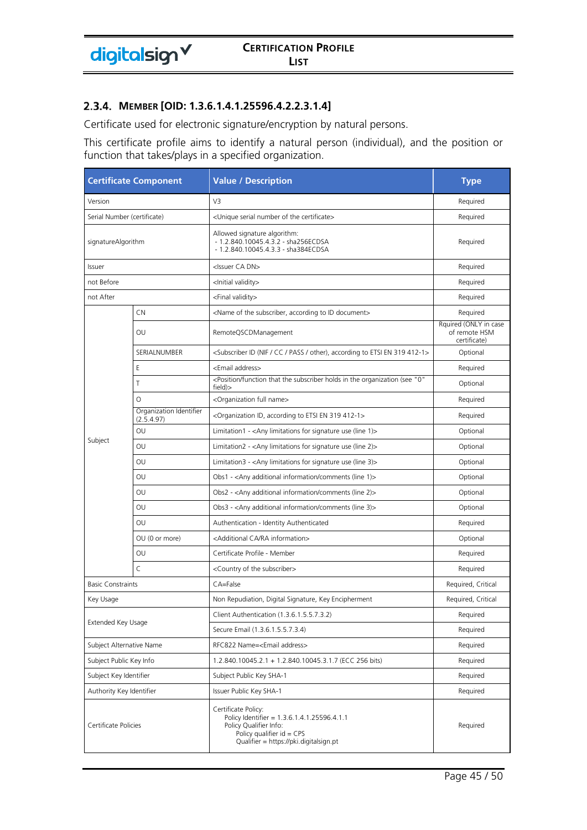#### **MEMBER [OID: 1.3.6.1.4.1.25596.4.2.2.3.1.4]**

Certificate used for electronic signature/encryption by natural persons.

This certificate profile aims to identify a natural person (individual), and the position or function that takes/plays in a specified organization.

| <b>Certificate Component</b> |                                       | <b>Value / Description</b>                                                                                                                                            | <b>Type</b>                                            |
|------------------------------|---------------------------------------|-----------------------------------------------------------------------------------------------------------------------------------------------------------------------|--------------------------------------------------------|
| Version                      |                                       | V3                                                                                                                                                                    | Required                                               |
| Serial Number (certificate)  |                                       | <unique certificate="" number="" of="" serial="" the=""></unique>                                                                                                     | Required                                               |
| signatureAlgorithm           |                                       | Allowed signature algorithm:<br>- 1.2.840.10045.4.3.2 - sha256ECDSA<br>- 1.2.840.10045.4.3.3 - sha384ECDSA                                                            | Required                                               |
| Issuer                       |                                       | <issuer ca="" dn=""></issuer>                                                                                                                                         | Required                                               |
| not Before                   |                                       | <lnitial validity=""></lnitial>                                                                                                                                       | Required                                               |
| not After                    |                                       | <final validity=""></final>                                                                                                                                           | Required                                               |
|                              | CN                                    | <name according="" document="" id="" of="" subscriber,="" the="" to=""></name>                                                                                        | Required                                               |
|                              | OU                                    | RemoteQSCDManagement                                                                                                                                                  | Rquired (ONLY in case<br>of remote HSM<br>certificate) |
|                              | SERIALNUMBER                          | <subscriber (nif="" 319="" 412-1="" according="" cc="" en="" etsi="" id="" other),="" pass="" to=""></subscriber>                                                     | Optional                                               |
|                              | Ε                                     | <email address=""></email>                                                                                                                                            | Required                                               |
|                              | T                                     | <position "0"<br="" (see="" function="" holds="" in="" organization="" subscriber="" that="" the="">field)&gt;</position>                                             | Optional                                               |
|                              | $\circ$                               | <organization full="" name=""></organization>                                                                                                                         | Required                                               |
|                              | Organization Identifier<br>(2.5.4.97) | <organization 319="" 412-1="" according="" en="" etsi="" id,="" to=""></organization>                                                                                 | Required                                               |
|                              | OU                                    | Limitation1 - < Any limitations for signature use (line 1) >                                                                                                          | Optional                                               |
| Subject                      | OU                                    | Limitation2 - <any (line="" 2)="" for="" limitations="" signature="" use=""></any>                                                                                    | Optional                                               |
|                              | OU                                    | Limitation3 - < Any limitations for signature use (line 3)>                                                                                                           | Optional                                               |
|                              | OU                                    | Obs1 - <any (line="" 1)="" additional="" comments="" information=""></any>                                                                                            | Optional                                               |
|                              | OU                                    | Obs2 - <any (line="" 2)="" additional="" comments="" information=""></any>                                                                                            | Optional                                               |
|                              | OU                                    | Obs3 - <any (line="" 3)="" additional="" comments="" information=""></any>                                                                                            | Optional                                               |
|                              | OU                                    | Authentication - Identity Authenticated                                                                                                                               | Required                                               |
|                              | OU (0 or more)                        | <additional ca="" information="" ra=""></additional>                                                                                                                  | Optional                                               |
|                              | OU                                    | Certificate Profile - Member                                                                                                                                          | Required                                               |
|                              | $\mathsf{C}$                          | <country of="" subscriber="" the=""></country>                                                                                                                        | Required                                               |
| <b>Basic Constraints</b>     |                                       | CA=False                                                                                                                                                              | Required, Critical                                     |
| Key Usage                    |                                       | Non Repudiation, Digital Signature, Key Encipherment                                                                                                                  | Required, Critical                                     |
| Extended Key Usage           |                                       | Client Authentication (1.3.6.1.5.5.7.3.2)                                                                                                                             | Required                                               |
|                              |                                       | Secure Email (1.3.6.1.5.5.7.3.4)                                                                                                                                      | Required                                               |
| Subject Alternative Name     |                                       | RFC822 Name= <email address=""></email>                                                                                                                               | Required                                               |
| Subject Public Key Info      |                                       | 1.2.840.10045.2.1 + 1.2.840.10045.3.1.7 (ECC 256 bits)                                                                                                                | Required                                               |
| Subject Key Identifier       |                                       | Subject Public Key SHA-1                                                                                                                                              | Required                                               |
| Authority Key Identifier     |                                       | Issuer Public Key SHA-1                                                                                                                                               | Required                                               |
| Certificate Policies         |                                       | Certificate Policy:<br>Policy Identifier = 1.3.6.1.4.1.25596.4.1.1<br>Policy Qualifier Info:<br>Policy qualifier $id = CPS$<br>Qualifier = https://pki.digitalsign.pt | Required                                               |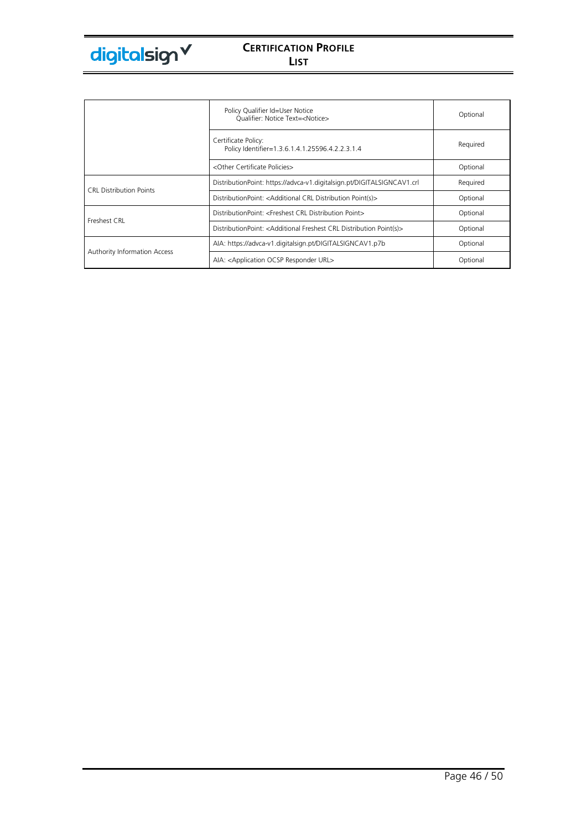|                                     | Policy Qualifier Id=User Notice<br>Qualifier: Notice Text= <notice></notice>                | Optional |
|-------------------------------------|---------------------------------------------------------------------------------------------|----------|
|                                     | Certificate Policy:<br>Policy Identifier=1.3.6.1.4.1.25596.4.2.2.3.1.4                      | Required |
|                                     | <other certificate="" policies=""></other>                                                  | Optional |
| <b>CRL Distribution Points</b>      | DistributionPoint: https://advca-v1.digitalsign.pt/DIGITALSIGNCAV1.crl                      | Required |
|                                     | DistributionPoint: <additional crl="" distribution="" point(s)=""></additional>             | Optional |
| Freshest CRL                        | DistributionPoint: <freshest crl="" distribution="" point=""></freshest>                    | Optional |
|                                     | DistributionPoint: <additional crl="" distribution="" freshest="" point(s)=""></additional> | Optional |
|                                     | AIA: https://advca-v1.digitalsign.pt/DIGITALSIGNCAV1.p7b                                    | Optional |
| <b>Authority Information Access</b> | AIA: <application ocsp="" responder="" url=""></application>                                | Optional |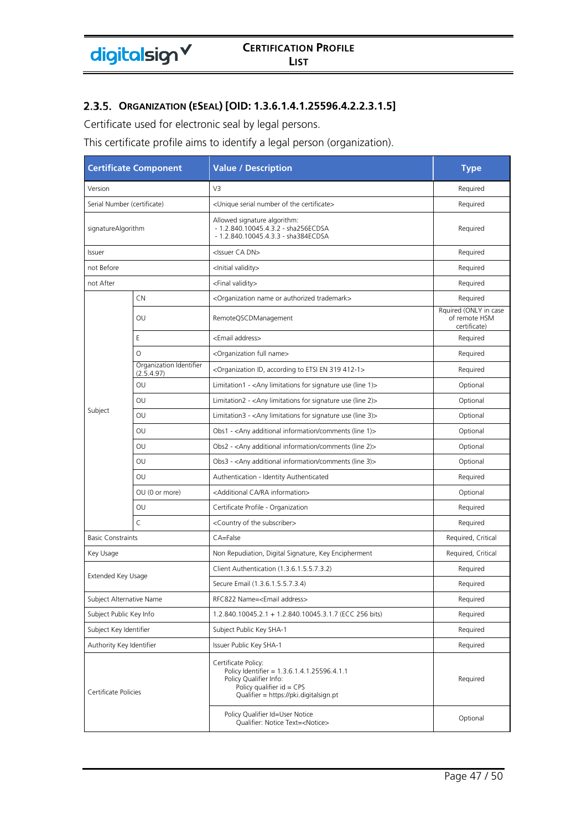# **ORGANIZATION (ESEAL) [OID: 1.3.6.1.4.1.25596.4.2.2.3.1.5]**

Certificate used for electronic seal by legal persons.

This certificate profile aims to identify a legal person (organization).

| <b>Certificate Component</b> |                                       | <b>Value / Description</b>                                                                                                                                            | <b>Type</b>                                            |
|------------------------------|---------------------------------------|-----------------------------------------------------------------------------------------------------------------------------------------------------------------------|--------------------------------------------------------|
| Version                      |                                       | V3                                                                                                                                                                    | Required                                               |
| Serial Number (certificate)  |                                       | <unique certificate="" number="" of="" serial="" the=""></unique>                                                                                                     | Required                                               |
| signatureAlgorithm           |                                       | Allowed signature algorithm:<br>- 1.2.840.10045.4.3.2 - sha256ECDSA<br>- 1.2.840.10045.4.3.3 - sha384ECDSA                                                            | Required                                               |
| Issuer                       |                                       | <issuer ca="" dn=""></issuer>                                                                                                                                         | Required                                               |
| not Before                   |                                       | <lnitial validity=""></lnitial>                                                                                                                                       | Required                                               |
| not After                    |                                       | <final validity=""></final>                                                                                                                                           | Required                                               |
|                              | CN                                    | <organization authorized="" name="" or="" trademark=""></organization>                                                                                                | Required                                               |
|                              | OU                                    | RemoteQSCDManagement                                                                                                                                                  | Rquired (ONLY in case<br>of remote HSM<br>certificate) |
|                              | E                                     | <email address=""></email>                                                                                                                                            | Required                                               |
|                              | $\circ$                               | <organization full="" name=""></organization>                                                                                                                         | Required                                               |
|                              | Organization Identifier<br>(2.5.4.97) | <organization 319="" 412-1="" according="" en="" etsi="" id,="" to=""></organization>                                                                                 | Required                                               |
|                              | OU                                    | Limitation1 - < Any limitations for signature use (line 1) >                                                                                                          | Optional                                               |
|                              | OU                                    | Limitation2 - < Any limitations for signature use (line 2)>                                                                                                           | Optional                                               |
| Subject                      | OU                                    | Limitation3 - < Any limitations for signature use (line 3)>                                                                                                           | Optional                                               |
|                              | OU                                    | Obs1 - < Any additional information/comments (line 1)>                                                                                                                | Optional                                               |
|                              | OU                                    | Obs2 - <any (line="" 2)="" additional="" comments="" information=""></any>                                                                                            | Optional                                               |
|                              | OU                                    | Obs3 - <any (line="" 3)="" additional="" comments="" information=""></any>                                                                                            | Optional                                               |
|                              | OU                                    | Authentication - Identity Authenticated                                                                                                                               | Required                                               |
|                              | OU (0 or more)                        | <additional ca="" information="" ra=""></additional>                                                                                                                  | Optional                                               |
|                              | OU                                    | Certificate Profile - Organization                                                                                                                                    | Required                                               |
|                              | $\mathsf{C}$                          | <country of="" subscriber="" the=""></country>                                                                                                                        | Required                                               |
| <b>Basic Constraints</b>     |                                       | CA=False                                                                                                                                                              | Required, Critical                                     |
| Key Usage                    |                                       | Non Repudiation, Digital Signature, Key Encipherment                                                                                                                  | Required, Critical                                     |
| Extended Key Usage           |                                       | Client Authentication (1.3.6.1.5.5.7.3.2)                                                                                                                             | Required                                               |
|                              |                                       | Secure Email (1.3.6.1.5.5.7.3.4)                                                                                                                                      | Required                                               |
| Subject Alternative Name     |                                       | RFC822 Name= <email address=""></email>                                                                                                                               | Required                                               |
| Subject Public Key Info      |                                       | 1.2.840.10045.2.1 + 1.2.840.10045.3.1.7 (ECC 256 bits)                                                                                                                | Required                                               |
| Subject Key Identifier       |                                       | Subject Public Key SHA-1                                                                                                                                              | Required                                               |
| Authority Key Identifier     |                                       | Issuer Public Key SHA-1                                                                                                                                               | Required                                               |
| Certificate Policies         |                                       | Certificate Policy:<br>Policy Identifier = 1.3.6.1.4.1.25596.4.1.1<br>Policy Qualifier Info:<br>Policy qualifier $id = CPS$<br>Qualifier = https://pki.digitalsign.pt | Required                                               |
|                              |                                       | Policy Qualifier Id=User Notice<br>Qualifier: Notice Text= <notice></notice>                                                                                          | Optional                                               |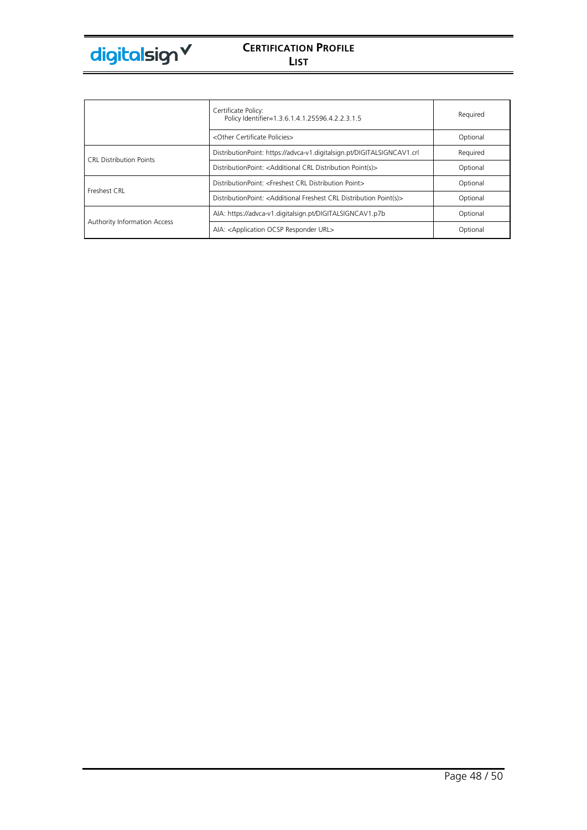

|                                | Certificate Policy:<br>Policy Identifier=1.3.6.1.4.1.25596.4.2.2.3.1.5                      | Required |
|--------------------------------|---------------------------------------------------------------------------------------------|----------|
|                                | <other certificate="" policies=""></other>                                                  | Optional |
| <b>CRL Distribution Points</b> | DistributionPoint: https://advca-v1.digitalsign.pt/DIGITALSIGNCAV1.crl                      | Required |
|                                | DistributionPoint: <additional crl="" distribution="" point(s)=""></additional>             | Optional |
| Freshest CRL                   | DistributionPoint: <freshest crl="" distribution="" point=""></freshest>                    | Optional |
|                                | DistributionPoint: <additional crl="" distribution="" freshest="" point(s)=""></additional> | Optional |
|                                | AIA: https://advca-v1.digitalsign.pt/DIGITALSIGNCAV1.p7b                                    | Optional |
| Authority Information Access   | AIA: < Application OCSP Responder URL>                                                      | Optional |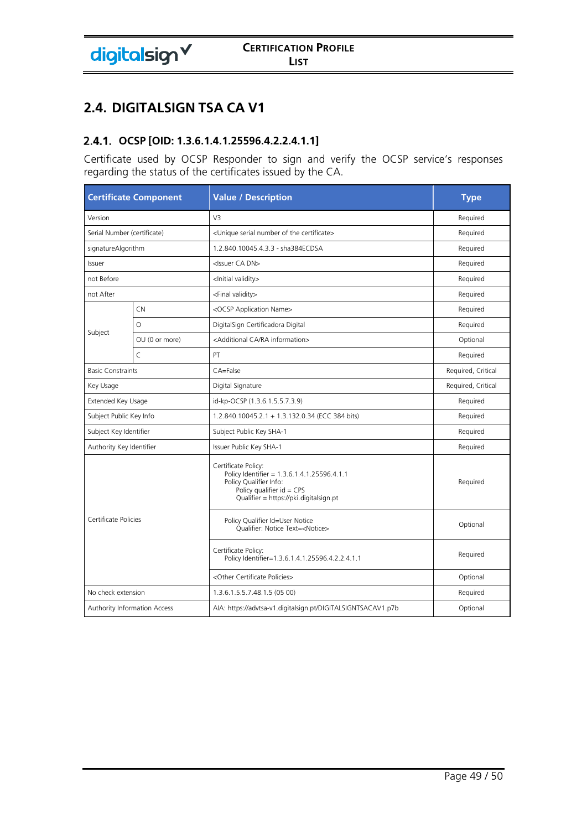# **2.4. DIGITALSIGN TSA CA V1**

# **OCSP [OID: 1.3.6.1.4.1.25596.4.2.2.4.1.1]**

Certificate used by OCSP Responder to sign and verify the OCSP service's responses regarding the status of the certificates issued by the CA.

| <b>Certificate Component</b>        |                | <b>Value / Description</b>                                                                                                                                            | <b>Type</b>        |
|-------------------------------------|----------------|-----------------------------------------------------------------------------------------------------------------------------------------------------------------------|--------------------|
| Version                             |                | V <sub>3</sub>                                                                                                                                                        | Required           |
| Serial Number (certificate)         |                | <unique certificate="" number="" of="" serial="" the=""></unique>                                                                                                     | Required           |
| signatureAlgorithm                  |                | 1.2.840.10045.4.3.3 - sha384ECDSA                                                                                                                                     | Required           |
| Issuer                              |                | <issuer ca="" dn=""></issuer>                                                                                                                                         | Required           |
| not Before                          |                | <lnitial validity=""></lnitial>                                                                                                                                       | Required           |
| not After                           |                | <final validity=""></final>                                                                                                                                           | Required           |
|                                     | <b>CN</b>      | <ocsp application="" name=""></ocsp>                                                                                                                                  | Required           |
|                                     | O              | DigitalSign Certificadora Digital                                                                                                                                     | Required           |
| Subject                             | OU (0 or more) | <additional ca="" information="" ra=""></additional>                                                                                                                  | Optional           |
|                                     | $\mathsf{C}$   | PT                                                                                                                                                                    | Required           |
| <b>Basic Constraints</b>            |                | CA=False                                                                                                                                                              | Required, Critical |
| Key Usage                           |                | Digital Signature                                                                                                                                                     | Required, Critical |
| Extended Key Usage                  |                | id-kp-OCSP (1.3.6.1.5.5.7.3.9)                                                                                                                                        | Required           |
| Subject Public Key Info             |                | 1.2.840.10045.2.1 + 1.3.132.0.34 (ECC 384 bits)                                                                                                                       | Required           |
| Subject Key Identifier              |                | Subject Public Key SHA-1                                                                                                                                              | Required           |
| Authority Key Identifier            |                | Issuer Public Key SHA-1                                                                                                                                               | Required           |
| Certificate Policies                |                | Certificate Policy:<br>Policy Identifier = 1.3.6.1.4.1.25596.4.1.1<br>Policy Qualifier Info:<br>Policy qualifier $id = CPS$<br>Qualifier = https://pki.digitalsign.pt | Required           |
|                                     |                | Policy Qualifier Id=User Notice<br>Qualifier: Notice Text= <notice></notice>                                                                                          | Optional           |
|                                     |                | Certificate Policy:<br>Policy Identifier=1.3.6.1.4.1.25596.4.2.2.4.1.1                                                                                                | Required           |
|                                     |                | <other certificate="" policies=""></other>                                                                                                                            | Optional           |
| No check extension                  |                | 1.3.6.1.5.5.7.48.1.5 (05 00)                                                                                                                                          | Required           |
| <b>Authority Information Access</b> |                | AIA: https://advtsa-v1.digitalsign.pt/DIGITALSIGNTSACAV1.p7b                                                                                                          | Optional           |